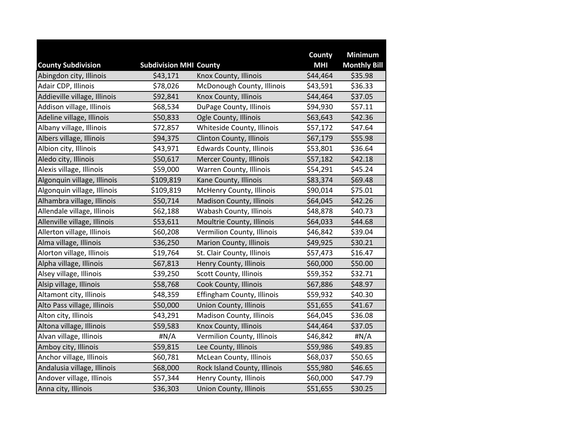|                              |                               |                                 | County     | <b>Minimum</b>      |
|------------------------------|-------------------------------|---------------------------------|------------|---------------------|
| <b>County Subdivision</b>    | <b>Subdivision MHI County</b> |                                 | <b>MHI</b> | <b>Monthly Bill</b> |
| Abingdon city, Illinois      | \$43,171                      | Knox County, Illinois           | \$44,464   | \$35.98             |
| Adair CDP, Illinois          | \$78,026                      | McDonough County, Illinois      | \$43,591   | \$36.33             |
| Addieville village, Illinois | \$92,841                      | Knox County, Illinois           | \$44,464   | \$37.05             |
| Addison village, Illinois    | \$68,534                      | DuPage County, Illinois         | \$94,930   | \$57.11             |
| Adeline village, Illinois    | \$50,833                      | Ogle County, Illinois           | \$63,643   | \$42.36             |
| Albany village, Illinois     | \$72,857                      | Whiteside County, Illinois      | \$57,172   | \$47.64             |
| Albers village, Illinois     | \$94,375                      | <b>Clinton County, Illinois</b> | \$67,179   | \$55.98             |
| Albion city, Illinois        | \$43,971                      | <b>Edwards County, Illinois</b> | \$53,801   | \$36.64             |
| Aledo city, Illinois         | \$50,617                      | Mercer County, Illinois         | \$57,182   | \$42.18             |
| Alexis village, Illinois     | \$59,000                      | Warren County, Illinois         | \$54,291   | \$45.24             |
| Algonquin village, Illinois  | \$109,819                     | Kane County, Illinois           | \$83,374   | \$69.48             |
| Algonquin village, Illinois  | \$109,819                     | McHenry County, Illinois        | \$90,014   | \$75.01             |
| Alhambra village, Illinois   | \$50,714                      | Madison County, Illinois        | \$64,045   | \$42.26             |
| Allendale village, Illinois  | \$62,188                      | Wabash County, Illinois         | \$48,878   | \$40.73             |
| Allenville village, Illinois | \$53,611                      | Moultrie County, Illinois       | \$64,033   | \$44.68             |
| Allerton village, Illinois   | \$60,208                      | Vermilion County, Illinois      | \$46,842   | \$39.04             |
| Alma village, Illinois       | \$36,250                      | <b>Marion County, Illinois</b>  | \$49,925   | \$30.21             |
| Alorton village, Illinois    | \$19,764                      | St. Clair County, Illinois      | \$57,473   | \$16.47             |
| Alpha village, Illinois      | \$67,813                      | Henry County, Illinois          | \$60,000   | \$50.00             |
| Alsey village, Illinois      | \$39,250                      | Scott County, Illinois          | \$59,352   | \$32.71             |
| Alsip village, Illinois      | \$58,768                      | Cook County, Illinois           | \$67,886   | \$48.97             |
| Altamont city, Illinois      | \$48,359                      | Effingham County, Illinois      | \$59,932   | \$40.30             |
| Alto Pass village, Illinois  | \$50,000                      | <b>Union County, Illinois</b>   | \$51,655   | \$41.67             |
| Alton city, Illinois         | \$43,291                      | Madison County, Illinois        | \$64,045   | \$36.08             |
| Altona village, Illinois     | \$59,583                      | Knox County, Illinois           | \$44,464   | \$37.05             |
| Alvan village, Illinois      | #N/A                          | Vermilion County, Illinois      | \$46,842   | #N/A                |
| Amboy city, Illinois         | \$59,815                      | Lee County, Illinois            | \$59,986   | \$49.85             |
| Anchor village, Illinois     | \$60,781                      | McLean County, Illinois         | \$68,037   | \$50.65             |
| Andalusia village, Illinois  | \$68,000                      | Rock Island County, Illinois    | \$55,980   | \$46.65             |
| Andover village, Illinois    | \$57,344                      | Henry County, Illinois          | \$60,000   | \$47.79             |
| Anna city, Illinois          | \$36,303                      | <b>Union County, Illinois</b>   | \$51,655   | \$30.25             |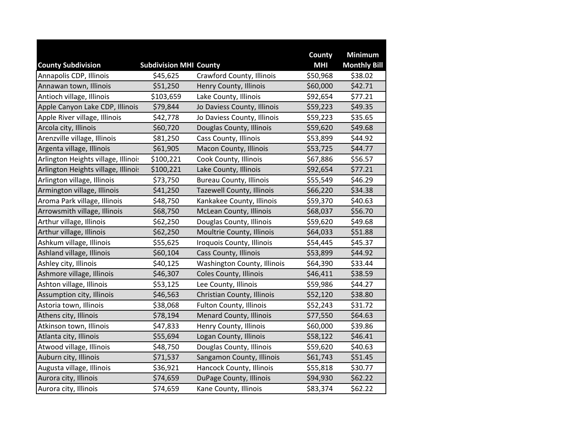|                                     |                               |                                  | County     | <b>Minimum</b>      |
|-------------------------------------|-------------------------------|----------------------------------|------------|---------------------|
| <b>County Subdivision</b>           | <b>Subdivision MHI County</b> |                                  | <b>MHI</b> | <b>Monthly Bill</b> |
| Annapolis CDP, Illinois             | \$45,625                      | Crawford County, Illinois        | \$50,968   | \$38.02             |
| Annawan town, Illinois              | \$51,250                      | Henry County, Illinois           | \$60,000   | \$42.71             |
| Antioch village, Illinois           | \$103,659                     | Lake County, Illinois            | \$92,654   | \$77.21             |
| Apple Canyon Lake CDP, Illinois     | \$79,844                      | Jo Daviess County, Illinois      | \$59,223   | \$49.35             |
| Apple River village, Illinois       | \$42,778                      | Jo Daviess County, Illinois      | \$59,223   | \$35.65             |
| Arcola city, Illinois               | \$60,720                      | Douglas County, Illinois         | \$59,620   | \$49.68             |
| Arenzville village, Illinois        | \$81,250                      | Cass County, Illinois            | \$53,899   | \$44.92             |
| Argenta village, Illinois           | \$61,905                      | Macon County, Illinois           | \$53,725   | \$44.77             |
| Arlington Heights village, Illinois | \$100,221                     | Cook County, Illinois            | \$67,886   | \$56.57             |
| Arlington Heights village, Illinois | \$100,221                     | Lake County, Illinois            | \$92,654   | \$77.21             |
| Arlington village, Illinois         | \$73,750                      | <b>Bureau County, Illinois</b>   | \$55,549   | \$46.29             |
| Armington village, Illinois         | \$41,250                      | <b>Tazewell County, Illinois</b> | \$66,220   | \$34.38             |
| Aroma Park village, Illinois        | \$48,750                      | Kankakee County, Illinois        | \$59,370   | \$40.63             |
| Arrowsmith village, Illinois        | \$68,750                      | McLean County, Illinois          | \$68,037   | \$56.70             |
| Arthur village, Illinois            | \$62,250                      | Douglas County, Illinois         | \$59,620   | \$49.68             |
| Arthur village, Illinois            | \$62,250                      | Moultrie County, Illinois        | \$64,033   | \$51.88             |
| Ashkum village, Illinois            | \$55,625                      | Iroquois County, Illinois        | \$54,445   | \$45.37             |
| Ashland village, Illinois           | \$60,104                      | Cass County, Illinois            | \$53,899   | \$44.92             |
| Ashley city, Illinois               | \$40,125                      | Washington County, Illinois      | \$64,390   | \$33.44             |
| Ashmore village, Illinois           | \$46,307                      | Coles County, Illinois           | \$46,411   | \$38.59             |
| Ashton village, Illinois            | \$53,125                      | Lee County, Illinois             | \$59,986   | \$44.27             |
| Assumption city, Illinois           | \$46,563                      | Christian County, Illinois       | \$52,120   | \$38.80             |
| Astoria town, Illinois              | \$38,068                      | <b>Fulton County, Illinois</b>   | \$52,243   | \$31.72             |
| Athens city, Illinois               | \$78,194                      | <b>Menard County, Illinois</b>   | \$77,550   | \$64.63             |
| Atkinson town, Illinois             | \$47,833                      | Henry County, Illinois           | \$60,000   | \$39.86             |
| Atlanta city, Illinois              | \$55,694                      | Logan County, Illinois           | \$58,122   | \$46.41             |
| Atwood village, Illinois            | \$48,750                      | Douglas County, Illinois         | \$59,620   | \$40.63             |
| Auburn city, Illinois               | \$71,537                      | Sangamon County, Illinois        | \$61,743   | \$51.45             |
| Augusta village, Illinois           | \$36,921                      | Hancock County, Illinois         | \$55,818   | \$30.77             |
| Aurora city, Illinois               | \$74,659                      | DuPage County, Illinois          | \$94,930   | \$62.22             |
| Aurora city, Illinois               | \$74,659                      | Kane County, Illinois            | \$83,374   | \$62.22             |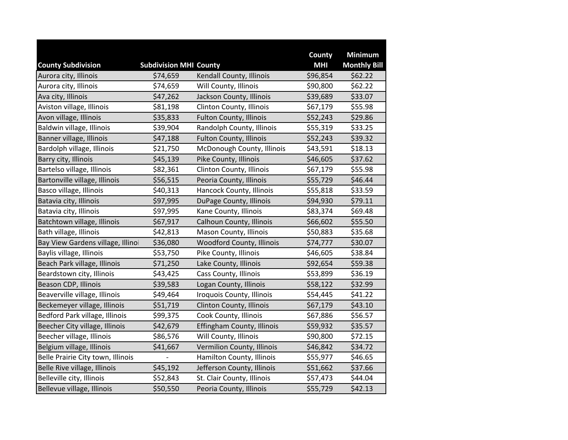|                                   |                               |                                  | County     | <b>Minimum</b>      |
|-----------------------------------|-------------------------------|----------------------------------|------------|---------------------|
| <b>County Subdivision</b>         | <b>Subdivision MHI County</b> |                                  | <b>MHI</b> | <b>Monthly Bill</b> |
| Aurora city, Illinois             | \$74,659                      | Kendall County, Illinois         | \$96,854   | \$62.22             |
| Aurora city, Illinois             | \$74,659                      | Will County, Illinois            | \$90,800   | \$62.22             |
| Ava city, Illinois                | \$47,262                      | Jackson County, Illinois         | \$39,689   | \$33.07             |
| Aviston village, Illinois         | \$81,198                      | Clinton County, Illinois         | \$67,179   | \$55.98             |
| Avon village, Illinois            | \$35,833                      | <b>Fulton County, Illinois</b>   | \$52,243   | \$29.86             |
| Baldwin village, Illinois         | \$39,904                      | Randolph County, Illinois        | \$55,319   | \$33.25             |
| Banner village, Illinois          | \$47,188                      | <b>Fulton County, Illinois</b>   | \$52,243   | \$39.32             |
| Bardolph village, Illinois        | \$21,750                      | McDonough County, Illinois       | \$43,591   | \$18.13             |
| Barry city, Illinois              | \$45,139                      | Pike County, Illinois            | \$46,605   | \$37.62             |
| Bartelso village, Illinois        | \$82,361                      | Clinton County, Illinois         | \$67,179   | \$55.98             |
| Bartonville village, Illinois     | \$56,515                      | Peoria County, Illinois          | \$55,729   | \$46.44             |
| Basco village, Illinois           | \$40,313                      | Hancock County, Illinois         | \$55,818   | \$33.59             |
| Batavia city, Illinois            | \$97,995                      | DuPage County, Illinois          | \$94,930   | \$79.11             |
| Batavia city, Illinois            | \$97,995                      | Kane County, Illinois            | \$83,374   | \$69.48             |
| Batchtown village, Illinois       | \$67,917                      | Calhoun County, Illinois         | \$66,602   | \$55.50             |
| Bath village, Illinois            | \$42,813                      | Mason County, Illinois           | \$50,883   | \$35.68             |
| Bay View Gardens village, Illinoi | \$36,080                      | <b>Woodford County, Illinois</b> | \$74,777   | \$30.07             |
| Baylis village, Illinois          | \$53,750                      | Pike County, Illinois            | \$46,605   | \$38.84             |
| Beach Park village, Illinois      | \$71,250                      | Lake County, Illinois            | \$92,654   | \$59.38             |
| Beardstown city, Illinois         | \$43,425                      | Cass County, Illinois            | \$53,899   | \$36.19             |
| Beason CDP, Illinois              | \$39,583                      | Logan County, Illinois           | \$58,122   | \$32.99             |
| Beaverville village, Illinois     | \$49,464                      | Iroquois County, Illinois        | \$54,445   | \$41.22             |
| Beckemeyer village, Illinois      | \$51,719                      | Clinton County, Illinois         | \$67,179   | \$43.10             |
| Bedford Park village, Illinois    | \$99,375                      | Cook County, Illinois            | \$67,886   | \$56.57             |
| Beecher City village, Illinois    | \$42,679                      | Effingham County, Illinois       | \$59,932   | \$35.57             |
| Beecher village, Illinois         | \$86,576                      | Will County, Illinois            | \$90,800   | \$72.15             |
| Belgium village, Illinois         | \$41,667                      | Vermilion County, Illinois       | \$46,842   | \$34.72             |
| Belle Prairie City town, Illinois |                               | Hamilton County, Illinois        | \$55,977   | \$46.65             |
| Belle Rive village, Illinois      | \$45,192                      | Jefferson County, Illinois       | \$51,662   | \$37.66             |
| Belleville city, Illinois         | \$52,843                      | St. Clair County, Illinois       | \$57,473   | \$44.04             |
| Bellevue village, Illinois        | \$50,550                      | Peoria County, Illinois          | \$55,729   | \$42.13             |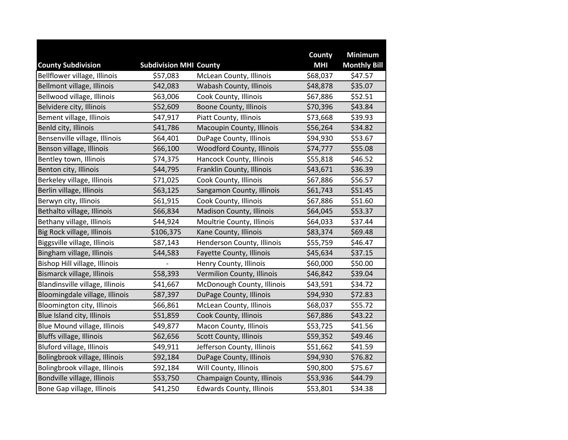|                                 |                               |                                 | County     | <b>Minimum</b>      |
|---------------------------------|-------------------------------|---------------------------------|------------|---------------------|
| <b>County Subdivision</b>       | <b>Subdivision MHI County</b> |                                 | <b>MHI</b> | <b>Monthly Bill</b> |
| Bellflower village, Illinois    | \$57,083                      | McLean County, Illinois         | \$68,037   | \$47.57             |
| Bellmont village, Illinois      | \$42,083                      | Wabash County, Illinois         | \$48,878   | \$35.07             |
| Bellwood village, Illinois      | \$63,006                      | Cook County, Illinois           | \$67,886   | \$52.51             |
| Belvidere city, Illinois        | \$52,609                      | <b>Boone County, Illinois</b>   | \$70,396   | \$43.84             |
| Bement village, Illinois        | \$47,917                      | Piatt County, Illinois          | \$73,668   | \$39.93             |
| Benld city, Illinois            | \$41,786                      | Macoupin County, Illinois       | \$56,264   | \$34.82             |
| Bensenville village, Illinois   | \$64,401                      | DuPage County, Illinois         | \$94,930   | \$53.67             |
| Benson village, Illinois        | \$66,100                      | Woodford County, Illinois       | \$74,777   | \$55.08             |
| Bentley town, Illinois          | \$74,375                      | Hancock County, Illinois        | \$55,818   | \$46.52             |
| Benton city, Illinois           | \$44,795                      | Franklin County, Illinois       | \$43,671   | \$36.39             |
| Berkeley village, Illinois      | \$71,025                      | Cook County, Illinois           | \$67,886   | \$56.57             |
| Berlin village, Illinois        | \$63,125                      | Sangamon County, Illinois       | \$61,743   | \$51.45             |
| Berwyn city, Illinois           | \$61,915                      | Cook County, Illinois           | \$67,886   | \$51.60             |
| Bethalto village, Illinois      | \$66,834                      | <b>Madison County, Illinois</b> | \$64,045   | \$53.37             |
| Bethany village, Illinois       | \$44,924                      | Moultrie County, Illinois       | \$64,033   | \$37.44             |
| Big Rock village, Illinois      | \$106,375                     | Kane County, Illinois           | \$83,374   | \$69.48             |
| Biggsville village, Illinois    | \$87,143                      | Henderson County, Illinois      | \$55,759   | \$46.47             |
| Bingham village, Illinois       | \$44,583                      | Fayette County, Illinois        | \$45,634   | \$37.15             |
| Bishop Hill village, Illinois   |                               | Henry County, Illinois          | \$60,000   | \$50.00             |
| Bismarck village, Illinois      | \$58,393                      | Vermilion County, Illinois      | \$46,842   | \$39.04             |
| Blandinsville village, Illinois | \$41,667                      | McDonough County, Illinois      | \$43,591   | \$34.72             |
| Bloomingdale village, Illinois  | \$87,397                      | DuPage County, Illinois         | \$94,930   | \$72.83             |
| Bloomington city, Illinois      | \$66,861                      | McLean County, Illinois         | \$68,037   | \$55.72             |
| Blue Island city, Illinois      | \$51,859                      | Cook County, Illinois           | \$67,886   | \$43.22             |
| Blue Mound village, Illinois    | \$49,877                      | Macon County, Illinois          | \$53,725   | \$41.56             |
| Bluffs village, Illinois        | \$62,656                      | Scott County, Illinois          | \$59,352   | \$49.46             |
| Bluford village, Illinois       | \$49,911                      | Jefferson County, Illinois      | \$51,662   | \$41.59             |
| Bolingbrook village, Illinois   | \$92,184                      | DuPage County, Illinois         | \$94,930   | \$76.82             |
| Bolingbrook village, Illinois   | \$92,184                      | Will County, Illinois           | \$90,800   | \$75.67             |
| Bondville village, Illinois     | \$53,750                      | Champaign County, Illinois      | \$53,936   | \$44.79             |
| Bone Gap village, Illinois      | \$41,250                      | <b>Edwards County, Illinois</b> | \$53,801   | \$34.38             |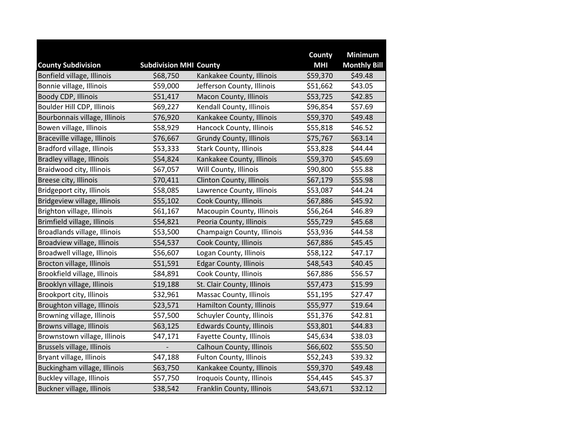|                               |                               |                                 | County     | <b>Minimum</b>      |
|-------------------------------|-------------------------------|---------------------------------|------------|---------------------|
| <b>County Subdivision</b>     | <b>Subdivision MHI County</b> |                                 | <b>MHI</b> | <b>Monthly Bill</b> |
| Bonfield village, Illinois    | \$68,750                      | Kankakee County, Illinois       | \$59,370   | \$49.48             |
| Bonnie village, Illinois      | \$59,000                      | Jefferson County, Illinois      | \$51,662   | \$43.05             |
| Boody CDP, Illinois           | \$51,417                      | Macon County, Illinois          | \$53,725   | \$42.85             |
| Boulder Hill CDP, Illinois    | \$69,227                      | Kendall County, Illinois        | \$96,854   | \$57.69             |
| Bourbonnais village, Illinois | \$76,920                      | Kankakee County, Illinois       | \$59,370   | \$49.48             |
| Bowen village, Illinois       | \$58,929                      | Hancock County, Illinois        | \$55,818   | \$46.52             |
| Braceville village, Illinois  | \$76,667                      | <b>Grundy County, Illinois</b>  | \$75,767   | \$63.14             |
| Bradford village, Illinois    | \$53,333                      | <b>Stark County, Illinois</b>   | \$53,828   | \$44.44             |
| Bradley village, Illinois     | \$54,824                      | Kankakee County, Illinois       | \$59,370   | \$45.69             |
| Braidwood city, Illinois      | \$67,057                      | Will County, Illinois           | \$90,800   | \$55.88             |
| Breese city, Illinois         | \$70,411                      | <b>Clinton County, Illinois</b> | \$67,179   | \$55.98             |
| Bridgeport city, Illinois     | \$58,085                      | Lawrence County, Illinois       | \$53,087   | \$44.24             |
| Bridgeview village, Illinois  | \$55,102                      | Cook County, Illinois           | \$67,886   | \$45.92             |
| Brighton village, Illinois    | \$61,167                      | Macoupin County, Illinois       | \$56,264   | \$46.89             |
| Brimfield village, Illinois   | \$54,821                      | Peoria County, Illinois         | \$55,729   | \$45.68             |
| Broadlands village, Illinois  | \$53,500                      | Champaign County, Illinois      | \$53,936   | \$44.58             |
| Broadview village, Illinois   | \$54,537                      | Cook County, Illinois           | \$67,886   | \$45.45             |
| Broadwell village, Illinois   | \$56,607                      | Logan County, Illinois          | \$58,122   | \$47.17             |
| Brocton village, Illinois     | \$51,591                      | <b>Edgar County, Illinois</b>   | \$48,543   | \$40.45             |
| Brookfield village, Illinois  | \$84,891                      | Cook County, Illinois           | \$67,886   | \$56.57             |
| Brooklyn village, Illinois    | \$19,188                      | St. Clair County, Illinois      | \$57,473   | \$15.99             |
| Brookport city, Illinois      | \$32,961                      | Massac County, Illinois         | \$51,195   | \$27.47             |
| Broughton village, Illinois   | \$23,571                      | Hamilton County, Illinois       | \$55,977   | \$19.64             |
| Browning village, Illinois    | \$57,500                      | Schuyler County, Illinois       | \$51,376   | \$42.81             |
| Browns village, Illinois      | \$63,125                      | <b>Edwards County, Illinois</b> | \$53,801   | \$44.83             |
| Brownstown village, Illinois  | \$47,171                      | Fayette County, Illinois        | \$45,634   | \$38.03             |
| Brussels village, Illinois    |                               | Calhoun County, Illinois        | \$66,602   | \$55.50             |
| Bryant village, Illinois      | \$47,188                      | Fulton County, Illinois         | \$52,243   | \$39.32             |
| Buckingham village, Illinois  | \$63,750                      | Kankakee County, Illinois       | \$59,370   | \$49.48             |
| Buckley village, Illinois     | \$57,750                      | Iroquois County, Illinois       | \$54,445   | \$45.37             |
| Buckner village, Illinois     | \$38,542                      | Franklin County, Illinois       | \$43,671   | \$32.12             |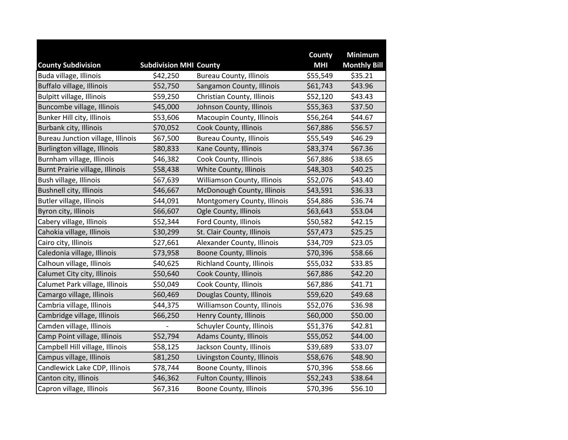|                                   |                               |                                  | County     | <b>Minimum</b>      |
|-----------------------------------|-------------------------------|----------------------------------|------------|---------------------|
| <b>County Subdivision</b>         | <b>Subdivision MHI County</b> |                                  | <b>MHI</b> | <b>Monthly Bill</b> |
| Buda village, Illinois            | \$42,250                      | <b>Bureau County, Illinois</b>   | \$55,549   | \$35.21             |
| Buffalo village, Illinois         | \$52,750                      | Sangamon County, Illinois        | \$61,743   | \$43.96             |
| Bulpitt village, Illinois         | \$59,250                      | Christian County, Illinois       | \$52,120   | \$43.43             |
| Buncombe village, Illinois        | \$45,000                      | Johnson County, Illinois         | \$55,363   | \$37.50             |
| Bunker Hill city, Illinois        | \$53,606                      | Macoupin County, Illinois        | \$56,264   | \$44.67             |
| Burbank city, Illinois            | \$70,052                      | Cook County, Illinois            | \$67,886   | \$56.57             |
| Bureau Junction village, Illinois | \$67,500                      | <b>Bureau County, Illinois</b>   | \$55,549   | \$46.29             |
| Burlington village, Illinois      | \$80,833                      | Kane County, Illinois            | \$83,374   | \$67.36             |
| Burnham village, Illinois         | \$46,382                      | Cook County, Illinois            | \$67,886   | \$38.65             |
| Burnt Prairie village, Illinois   | \$58,438                      | White County, Illinois           | \$48,303   | \$40.25             |
| Bush village, Illinois            | \$67,639                      | Williamson County, Illinois      | \$52,076   | \$43.40             |
| <b>Bushnell city, Illinois</b>    | \$46,667                      | McDonough County, Illinois       | \$43,591   | \$36.33             |
| Butler village, Illinois          | \$44,091                      | Montgomery County, Illinois      | \$54,886   | \$36.74             |
| Byron city, Illinois              | \$66,607                      | Ogle County, Illinois            | \$63,643   | \$53.04             |
| Cabery village, Illinois          | \$52,344                      | Ford County, Illinois            | \$50,582   | \$42.15             |
| Cahokia village, Illinois         | \$30,299                      | St. Clair County, Illinois       | \$57,473   | \$25.25             |
| Cairo city, Illinois              | \$27,661                      | Alexander County, Illinois       | \$34,709   | \$23.05             |
| Caledonia village, Illinois       | \$73,958                      | <b>Boone County, Illinois</b>    | \$70,396   | \$58.66             |
| Calhoun village, Illinois         | \$40,625                      | <b>Richland County, Illinois</b> | \$55,032   | \$33.85             |
| Calumet City city, Illinois       | \$50,640                      | Cook County, Illinois            | \$67,886   | \$42.20             |
| Calumet Park village, Illinois    | \$50,049                      | Cook County, Illinois            | \$67,886   | \$41.71             |
| Camargo village, Illinois         | \$60,469                      | Douglas County, Illinois         | \$59,620   | \$49.68             |
| Cambria village, Illinois         | \$44,375                      | Williamson County, Illinois      | \$52,076   | \$36.98             |
| Cambridge village, Illinois       | \$66,250                      | Henry County, Illinois           | \$60,000   | \$50.00             |
| Camden village, Illinois          |                               | Schuyler County, Illinois        | \$51,376   | \$42.81             |
| Camp Point village, Illinois      | \$52,794                      | Adams County, Illinois           | \$55,052   | \$44.00             |
| Campbell Hill village, Illinois   | \$58,125                      | Jackson County, Illinois         | \$39,689   | \$33.07             |
| Campus village, Illinois          | \$81,250                      | Livingston County, Illinois      | \$58,676   | \$48.90             |
| Candlewick Lake CDP, Illinois     | \$78,744                      | <b>Boone County, Illinois</b>    | \$70,396   | \$58.66             |
| Canton city, Illinois             | \$46,362                      | <b>Fulton County, Illinois</b>   | \$52,243   | \$38.64             |
| Capron village, Illinois          | \$67,316                      | Boone County, Illinois           | \$70,396   | \$56.10             |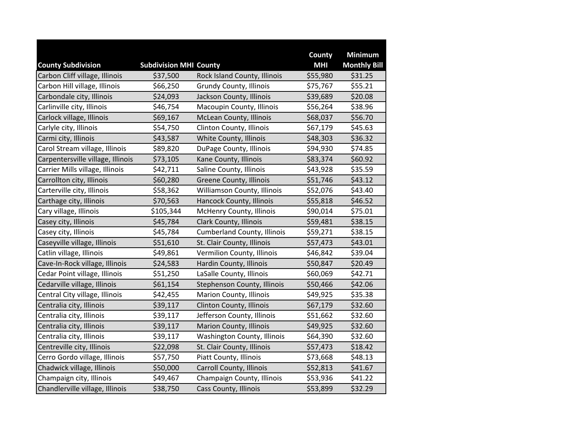|                                                             |                                           |                                    | County                 | <b>Minimum</b>                 |
|-------------------------------------------------------------|-------------------------------------------|------------------------------------|------------------------|--------------------------------|
| <b>County Subdivision</b><br>Carbon Cliff village, Illinois | <b>Subdivision MHI County</b><br>\$37,500 | Rock Island County, Illinois       | <b>MHI</b><br>\$55,980 | <b>Monthly Bill</b><br>\$31.25 |
| Carbon Hill village, Illinois                               | \$66,250                                  | Grundy County, Illinois            | \$75,767               | \$55.21                        |
| Carbondale city, Illinois                                   | \$24,093                                  | Jackson County, Illinois           | \$39,689               | \$20.08                        |
|                                                             |                                           |                                    |                        |                                |
| Carlinville city, Illinois                                  | \$46,754                                  | Macoupin County, Illinois          | \$56,264               | \$38.96                        |
| Carlock village, Illinois                                   | \$69,167                                  | McLean County, Illinois            | \$68,037               | \$56.70                        |
| Carlyle city, Illinois                                      | \$54,750                                  | Clinton County, Illinois           | \$67,179               | \$45.63                        |
| Carmi city, Illinois                                        | \$43,587                                  | White County, Illinois             | \$48,303               | \$36.32                        |
| Carol Stream village, Illinois                              | \$89,820                                  | DuPage County, Illinois            | \$94,930               | \$74.85                        |
| Carpentersville village, Illinois                           | \$73,105                                  | Kane County, Illinois              | \$83,374               | \$60.92                        |
| Carrier Mills village, Illinois                             | \$42,711                                  | Saline County, Illinois            | \$43,928               | \$35.59                        |
| Carrollton city, Illinois                                   | \$60,280                                  | <b>Greene County, Illinois</b>     | \$51,746               | \$43.12                        |
| Carterville city, Illinois                                  | \$58,362                                  | Williamson County, Illinois        | \$52,076               | \$43.40                        |
| Carthage city, Illinois                                     | \$70,563                                  | Hancock County, Illinois           | \$55,818               | \$46.52                        |
| Cary village, Illinois                                      | \$105,344                                 | <b>McHenry County, Illinois</b>    | \$90,014               | \$75.01                        |
| Casey city, Illinois                                        | \$45,784                                  | Clark County, Illinois             | \$59,481               | \$38.15                        |
| Casey city, Illinois                                        | \$45,784                                  | <b>Cumberland County, Illinois</b> | \$59,271               | \$38.15                        |
| Caseyville village, Illinois                                | \$51,610                                  | St. Clair County, Illinois         | \$57,473               | \$43.01                        |
| Catlin village, Illinois                                    | \$49,861                                  | Vermilion County, Illinois         | \$46,842               | \$39.04                        |
| Cave-In-Rock village, Illinois                              | \$24,583                                  | Hardin County, Illinois            | \$50,847               | \$20.49                        |
| Cedar Point village, Illinois                               | \$51,250                                  | LaSalle County, Illinois           | \$60,069               | \$42.71                        |
| Cedarville village, Illinois                                | \$61,154                                  | Stephenson County, Illinois        | \$50,466               | \$42.06                        |
| Central City village, Illinois                              | \$42,455                                  | Marion County, Illinois            | \$49,925               | \$35.38                        |
| Centralia city, Illinois                                    | \$39,117                                  | Clinton County, Illinois           | \$67,179               | \$32.60                        |
| Centralia city, Illinois                                    | \$39,117                                  | Jefferson County, Illinois         | \$51,662               | \$32.60                        |
| Centralia city, Illinois                                    | \$39,117                                  | <b>Marion County, Illinois</b>     | \$49,925               | \$32.60                        |
| Centralia city, Illinois                                    | \$39,117                                  | Washington County, Illinois        | \$64,390               | \$32.60                        |
| Centreville city, Illinois                                  | \$22,098                                  | St. Clair County, Illinois         | \$57,473               | \$18.42                        |
| Cerro Gordo village, Illinois                               | \$57,750                                  | Piatt County, Illinois             | \$73,668               | \$48.13                        |
| Chadwick village, Illinois                                  | \$50,000                                  | <b>Carroll County, Illinois</b>    | \$52,813               | \$41.67                        |
| Champaign city, Illinois                                    | \$49,467                                  | Champaign County, Illinois         | \$53,936               | \$41.22                        |
| Chandlerville village, Illinois                             | \$38,750                                  | Cass County, Illinois              | \$53,899               | \$32.29                        |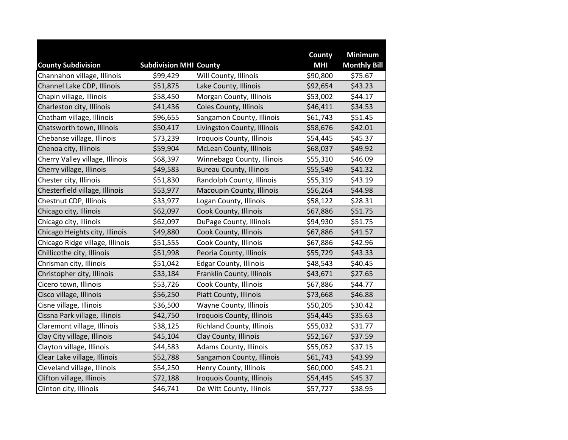|                                 |                               |                                | County     | <b>Minimum</b>      |
|---------------------------------|-------------------------------|--------------------------------|------------|---------------------|
| <b>County Subdivision</b>       | <b>Subdivision MHI County</b> |                                | <b>MHI</b> | <b>Monthly Bill</b> |
| Channahon village, Illinois     | \$99,429                      | Will County, Illinois          | \$90,800   | \$75.67             |
| Channel Lake CDP, Illinois      | \$51,875                      | Lake County, Illinois          | \$92,654   | \$43.23             |
| Chapin village, Illinois        | \$58,450                      | Morgan County, Illinois        | \$53,002   | \$44.17             |
| Charleston city, Illinois       | \$41,436                      | Coles County, Illinois         | \$46,411   | \$34.53             |
| Chatham village, Illinois       | \$96,655                      | Sangamon County, Illinois      | \$61,743   | \$51.45             |
| Chatsworth town, Illinois       | \$50,417                      | Livingston County, Illinois    | \$58,676   | \$42.01             |
| Chebanse village, Illinois      | \$73,239                      | Iroquois County, Illinois      | \$54,445   | \$45.37             |
| Chenoa city, Illinois           | \$59,904                      | McLean County, Illinois        | \$68,037   | \$49.92             |
| Cherry Valley village, Illinois | \$68,397                      | Winnebago County, Illinois     | \$55,310   | \$46.09             |
| Cherry village, Illinois        | \$49,583                      | <b>Bureau County, Illinois</b> | \$55,549   | \$41.32             |
| Chester city, Illinois          | \$51,830                      | Randolph County, Illinois      | \$55,319   | \$43.19             |
| Chesterfield village, Illinois  | \$53,977                      | Macoupin County, Illinois      | \$56,264   | \$44.98             |
| Chestnut CDP, Illinois          | \$33,977                      | Logan County, Illinois         | \$58,122   | \$28.31             |
| Chicago city, Illinois          | \$62,097                      | Cook County, Illinois          | \$67,886   | \$51.75             |
| Chicago city, Illinois          | \$62,097                      | DuPage County, Illinois        | \$94,930   | \$51.75             |
| Chicago Heights city, Illinois  | \$49,880                      | Cook County, Illinois          | \$67,886   | \$41.57             |
| Chicago Ridge village, Illinois | \$51,555                      | Cook County, Illinois          | \$67,886   | \$42.96             |
| Chillicothe city, Illinois      | \$51,998                      | Peoria County, Illinois        | \$55,729   | \$43.33             |
| Chrisman city, Illinois         | \$51,042                      | <b>Edgar County, Illinois</b>  | \$48,543   | \$40.45             |
| Christopher city, Illinois      | \$33,184                      | Franklin County, Illinois      | \$43,671   | \$27.65             |
| Cicero town, Illinois           | \$53,726                      | Cook County, Illinois          | \$67,886   | \$44.77             |
| Cisco village, Illinois         | \$56,250                      | Piatt County, Illinois         | \$73,668   | \$46.88             |
| Cisne village, Illinois         | \$36,500                      | Wayne County, Illinois         | \$50,205   | \$30.42             |
| Cissna Park village, Illinois   | \$42,750                      | Iroquois County, Illinois      | \$54,445   | \$35.63             |
| Claremont village, Illinois     | \$38,125                      | Richland County, Illinois      | \$55,032   | \$31.77             |
| Clay City village, Illinois     | \$45,104                      | Clay County, Illinois          | \$52,167   | \$37.59             |
| Clayton village, Illinois       | \$44,583                      | Adams County, Illinois         | \$55,052   | \$37.15             |
| Clear Lake village, Illinois    | \$52,788                      | Sangamon County, Illinois      | \$61,743   | \$43.99             |
| Cleveland village, Illinois     | \$54,250                      | Henry County, Illinois         | \$60,000   | \$45.21             |
| Clifton village, Illinois       | \$72,188                      | Iroquois County, Illinois      | \$54,445   | \$45.37             |
| Clinton city, Illinois          | \$46,741                      | De Witt County, Illinois       | \$57,727   | \$38.95             |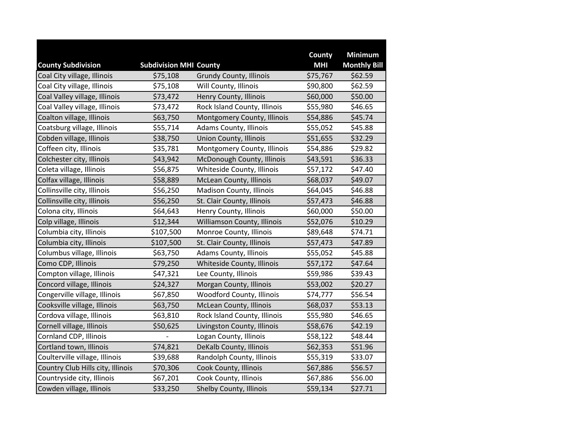|                                   |                               |                                | County     | <b>Minimum</b>      |
|-----------------------------------|-------------------------------|--------------------------------|------------|---------------------|
| <b>County Subdivision</b>         | <b>Subdivision MHI County</b> |                                | <b>MHI</b> | <b>Monthly Bill</b> |
| Coal City village, Illinois       | \$75,108                      | <b>Grundy County, Illinois</b> | \$75,767   | \$62.59             |
| Coal City village, Illinois       | \$75,108                      | Will County, Illinois          | \$90,800   | \$62.59             |
| Coal Valley village, Illinois     | \$73,472                      | Henry County, Illinois         | \$60,000   | \$50.00             |
| Coal Valley village, Illinois     | \$73,472                      | Rock Island County, Illinois   | \$55,980   | \$46.65             |
| Coalton village, Illinois         | \$63,750                      | Montgomery County, Illinois    | \$54,886   | \$45.74             |
| Coatsburg village, Illinois       | \$55,714                      | Adams County, Illinois         | \$55,052   | \$45.88             |
| Cobden village, Illinois          | \$38,750                      | <b>Union County, Illinois</b>  | \$51,655   | \$32.29             |
| Coffeen city, Illinois            | \$35,781                      | Montgomery County, Illinois    | \$54,886   | \$29.82             |
| Colchester city, Illinois         | \$43,942                      | McDonough County, Illinois     | \$43,591   | \$36.33             |
| Coleta village, Illinois          | \$56,875                      | Whiteside County, Illinois     | \$57,172   | \$47.40             |
| Colfax village, Illinois          | \$58,889                      | McLean County, Illinois        | \$68,037   | \$49.07             |
| Collinsville city, Illinois       | \$56,250                      | Madison County, Illinois       | \$64,045   | \$46.88             |
| Collinsville city, Illinois       | \$56,250                      | St. Clair County, Illinois     | \$57,473   | \$46.88             |
| Colona city, Illinois             | \$64,643                      | Henry County, Illinois         | \$60,000   | \$50.00             |
| Colp village, Illinois            | \$12,344                      | Williamson County, Illinois    | \$52,076   | \$10.29             |
| Columbia city, Illinois           | \$107,500                     | Monroe County, Illinois        | \$89,648   | \$74.71             |
| Columbia city, Illinois           | \$107,500                     | St. Clair County, Illinois     | \$57,473   | \$47.89             |
| Columbus village, Illinois        | \$63,750                      | Adams County, Illinois         | \$55,052   | \$45.88             |
| Como CDP, Illinois                | \$79,250                      | Whiteside County, Illinois     | \$57,172   | \$47.64             |
| Compton village, Illinois         | \$47,321                      | Lee County, Illinois           | \$59,986   | \$39.43             |
| Concord village, Illinois         | \$24,327                      | Morgan County, Illinois        | \$53,002   | \$20.27             |
| Congerville village, Illinois     | \$67,850                      | Woodford County, Illinois      | \$74,777   | \$56.54             |
| Cooksville village, Illinois      | \$63,750                      | <b>McLean County, Illinois</b> | \$68,037   | \$53.13             |
| Cordova village, Illinois         | \$63,810                      | Rock Island County, Illinois   | \$55,980   | \$46.65             |
| Cornell village, Illinois         | \$50,625                      | Livingston County, Illinois    | \$58,676   | \$42.19             |
| Cornland CDP, Illinois            |                               | Logan County, Illinois         | \$58,122   | \$48.44             |
| Cortland town, Illinois           | \$74,821                      | DeKalb County, Illinois        | \$62,353   | \$51.96             |
| Coulterville village, Illinois    | \$39,688                      | Randolph County, Illinois      | \$55,319   | \$33.07             |
| Country Club Hills city, Illinois | \$70,306                      | Cook County, Illinois          | \$67,886   | \$56.57             |
| Countryside city, Illinois        | \$67,201                      | Cook County, Illinois          | \$67,886   | \$56.00             |
| Cowden village, Illinois          | \$33,250                      | Shelby County, Illinois        | \$59,134   | \$27.71             |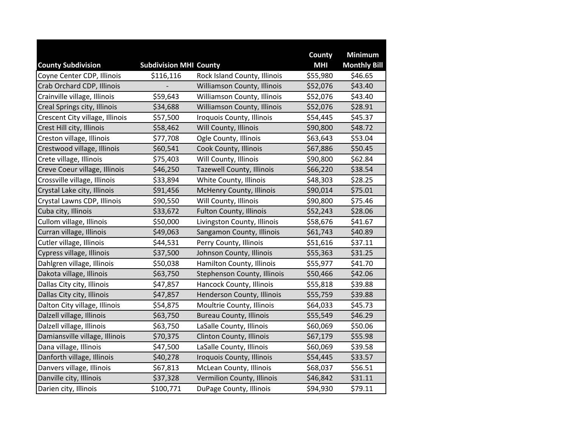|                                 |                               |                                  | County     | <b>Minimum</b>      |
|---------------------------------|-------------------------------|----------------------------------|------------|---------------------|
| <b>County Subdivision</b>       | <b>Subdivision MHI County</b> |                                  | <b>MHI</b> | <b>Monthly Bill</b> |
| Coyne Center CDP, Illinois      | \$116,116                     | Rock Island County, Illinois     | \$55,980   | \$46.65             |
| Crab Orchard CDP, Illinois      |                               | Williamson County, Illinois      | \$52,076   | \$43.40             |
| Crainville village, Illinois    | \$59,643                      | Williamson County, Illinois      | \$52,076   | \$43.40             |
| Creal Springs city, Illinois    | \$34,688                      | Williamson County, Illinois      | \$52,076   | \$28.91             |
| Crescent City village, Illinois | \$57,500                      | Iroquois County, Illinois        | \$54,445   | \$45.37             |
| Crest Hill city, Illinois       | \$58,462                      | Will County, Illinois            | \$90,800   | \$48.72             |
| Creston village, Illinois       | \$77,708                      | Ogle County, Illinois            | \$63,643   | \$53.04             |
| Crestwood village, Illinois     | \$60,541                      | Cook County, Illinois            | \$67,886   | \$50.45             |
| Crete village, Illinois         | \$75,403                      | Will County, Illinois            | \$90,800   | \$62.84             |
| Creve Coeur village, Illinois   | \$46,250                      | <b>Tazewell County, Illinois</b> | \$66,220   | \$38.54             |
| Crossville village, Illinois    | \$33,894                      | White County, Illinois           | \$48,303   | \$28.25             |
| Crystal Lake city, Illinois     | \$91,456                      | McHenry County, Illinois         | \$90,014   | \$75.01             |
| Crystal Lawns CDP, Illinois     | \$90,550                      | Will County, Illinois            | \$90,800   | \$75.46             |
| Cuba city, Illinois             | \$33,672                      | <b>Fulton County, Illinois</b>   | \$52,243   | \$28.06             |
| Cullom village, Illinois        | \$50,000                      | Livingston County, Illinois      | \$58,676   | \$41.67             |
| Curran village, Illinois        | \$49,063                      | Sangamon County, Illinois        | \$61,743   | \$40.89             |
| Cutler village, Illinois        | \$44,531                      | Perry County, Illinois           | \$51,616   | \$37.11             |
| Cypress village, Illinois       | \$37,500                      | Johnson County, Illinois         | \$55,363   | \$31.25             |
| Dahlgren village, Illinois      | \$50,038                      | Hamilton County, Illinois        | \$55,977   | \$41.70             |
| Dakota village, Illinois        | \$63,750                      | Stephenson County, Illinois      | \$50,466   | \$42.06             |
| Dallas City city, Illinois      | \$47,857                      | Hancock County, Illinois         | \$55,818   | \$39.88             |
| Dallas City city, Illinois      | \$47,857                      | Henderson County, Illinois       | \$55,759   | \$39.88             |
| Dalton City village, Illinois   | \$54,875                      | Moultrie County, Illinois        | \$64,033   | \$45.73             |
| Dalzell village, Illinois       | \$63,750                      | <b>Bureau County, Illinois</b>   | \$55,549   | \$46.29             |
| Dalzell village, Illinois       | \$63,750                      | LaSalle County, Illinois         | \$60,069   | \$50.06             |
| Damiansville village, Illinois  | \$70,375                      | Clinton County, Illinois         | \$67,179   | \$55.98             |
| Dana village, Illinois          | \$47,500                      | LaSalle County, Illinois         | \$60,069   | \$39.58             |
| Danforth village, Illinois      | \$40,278                      | Iroquois County, Illinois        | \$54,445   | \$33.57             |
| Danvers village, Illinois       | \$67,813                      | McLean County, Illinois          | \$68,037   | \$56.51             |
| Danville city, Illinois         | \$37,328                      | Vermilion County, Illinois       | \$46,842   | \$31.11             |
| Darien city, Illinois           | \$100,771                     | DuPage County, Illinois          | \$94,930   | \$79.11             |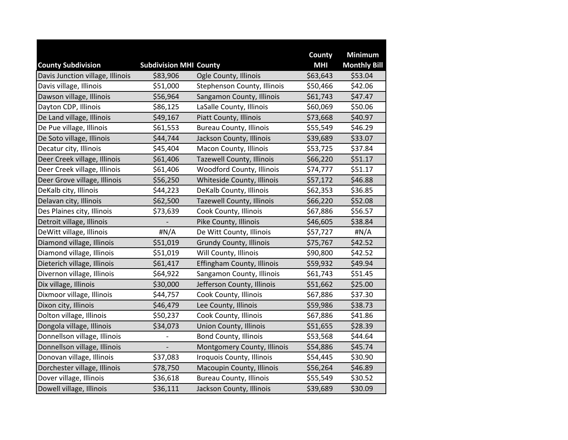|                                  |                               |                                  | County     | <b>Minimum</b>      |
|----------------------------------|-------------------------------|----------------------------------|------------|---------------------|
| <b>County Subdivision</b>        | <b>Subdivision MHI County</b> |                                  | <b>MHI</b> | <b>Monthly Bill</b> |
| Davis Junction village, Illinois | \$83,906                      | Ogle County, Illinois            | \$63,643   | \$53.04             |
| Davis village, Illinois          | \$51,000                      | Stephenson County, Illinois      | \$50,466   | \$42.06             |
| Dawson village, Illinois         | \$56,964                      | Sangamon County, Illinois        | \$61,743   | \$47.47             |
| Dayton CDP, Illinois             | \$86,125                      | LaSalle County, Illinois         | \$60,069   | \$50.06             |
| De Land village, Illinois        | \$49,167                      | Piatt County, Illinois           | \$73,668   | \$40.97             |
| De Pue village, Illinois         | \$61,553                      | <b>Bureau County, Illinois</b>   | \$55,549   | \$46.29             |
| De Soto village, Illinois        | \$44,744                      | Jackson County, Illinois         | \$39,689   | \$33.07             |
| Decatur city, Illinois           | \$45,404                      | Macon County, Illinois           | \$53,725   | \$37.84             |
| Deer Creek village, Illinois     | \$61,406                      | <b>Tazewell County, Illinois</b> | \$66,220   | \$51.17             |
| Deer Creek village, Illinois     | \$61,406                      | <b>Woodford County, Illinois</b> | \$74,777   | \$51.17             |
| Deer Grove village, Illinois     | \$56,250                      | Whiteside County, Illinois       | \$57,172   | \$46.88             |
| DeKalb city, Illinois            | \$44,223                      | DeKalb County, Illinois          | \$62,353   | \$36.85             |
| Delavan city, Illinois           | \$62,500                      | Tazewell County, Illinois        | \$66,220   | \$52.08             |
| Des Plaines city, Illinois       | \$73,639                      | Cook County, Illinois            | \$67,886   | \$56.57             |
| Detroit village, Illinois        |                               | Pike County, Illinois            | \$46,605   | \$38.84             |
| DeWitt village, Illinois         | #N/A                          | De Witt County, Illinois         | \$57,727   | #N/A                |
| Diamond village, Illinois        | \$51,019                      | <b>Grundy County, Illinois</b>   | \$75,767   | \$42.52             |
| Diamond village, Illinois        | \$51,019                      | Will County, Illinois            | \$90,800   | \$42.52             |
| Dieterich village, Illinois      | \$61,417                      | Effingham County, Illinois       | \$59,932   | \$49.94             |
| Divernon village, Illinois       | \$64,922                      | Sangamon County, Illinois        | \$61,743   | \$51.45             |
| Dix village, Illinois            | \$30,000                      | Jefferson County, Illinois       | \$51,662   | \$25.00             |
| Dixmoor village, Illinois        | \$44,757                      | Cook County, Illinois            | \$67,886   | \$37.30             |
| Dixon city, Illinois             | \$46,479                      | Lee County, Illinois             | \$59,986   | \$38.73             |
| Dolton village, Illinois         | \$50,237                      | Cook County, Illinois            | \$67,886   | \$41.86             |
| Dongola village, Illinois        | \$34,073                      | <b>Union County, Illinois</b>    | \$51,655   | \$28.39             |
| Donnellson village, Illinois     |                               | <b>Bond County, Illinois</b>     | \$53,568   | \$44.64             |
| Donnellson village, Illinois     |                               | Montgomery County, Illinois      | \$54,886   | \$45.74             |
| Donovan village, Illinois        | \$37,083                      | Iroquois County, Illinois        | \$54,445   | \$30.90             |
| Dorchester village, Illinois     | \$78,750                      | Macoupin County, Illinois        | \$56,264   | \$46.89             |
| Dover village, Illinois          | \$36,618                      | <b>Bureau County, Illinois</b>   | \$55,549   | \$30.52             |
| Dowell village, Illinois         | \$36,111                      | Jackson County, Illinois         | \$39,689   | \$30.09             |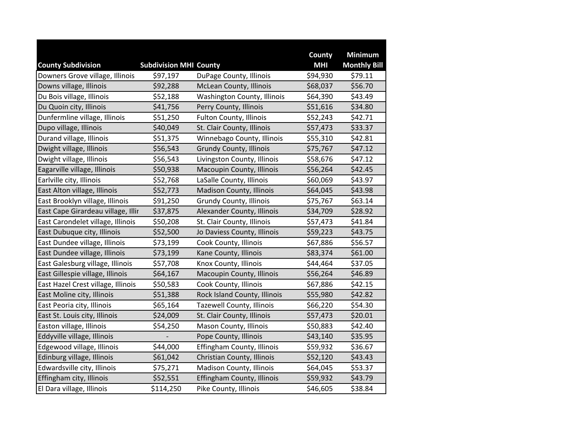|                                    |                               |                                 | County     | <b>Minimum</b>      |
|------------------------------------|-------------------------------|---------------------------------|------------|---------------------|
| <b>County Subdivision</b>          | <b>Subdivision MHI County</b> |                                 | <b>MHI</b> | <b>Monthly Bill</b> |
| Downers Grove village, Illinois    | \$97,197                      | DuPage County, Illinois         | \$94,930   | \$79.11             |
| Downs village, Illinois            | \$92,288                      | McLean County, Illinois         | \$68,037   | \$56.70             |
| Du Bois village, Illinois          | \$52,188                      | Washington County, Illinois     | \$64,390   | \$43.49             |
| Du Quoin city, Illinois            | \$41,756                      | Perry County, Illinois          | \$51,616   | \$34.80             |
| Dunfermline village, Illinois      | \$51,250                      | Fulton County, Illinois         | \$52,243   | \$42.71             |
| Dupo village, Illinois             | \$40,049                      | St. Clair County, Illinois      | \$57,473   | \$33.37             |
| Durand village, Illinois           | \$51,375                      | Winnebago County, Illinois      | \$55,310   | \$42.81             |
| Dwight village, Illinois           | \$56,543                      | <b>Grundy County, Illinois</b>  | \$75,767   | \$47.12             |
| Dwight village, Illinois           | \$56,543                      | Livingston County, Illinois     | \$58,676   | \$47.12             |
| Eagarville village, Illinois       | \$50,938                      | Macoupin County, Illinois       | \$56,264   | \$42.45             |
| Earlville city, Illinois           | \$52,768                      | LaSalle County, Illinois        | \$60,069   | \$43.97             |
| East Alton village, Illinois       | \$52,773                      | <b>Madison County, Illinois</b> | \$64,045   | \$43.98             |
| East Brooklyn village, Illinois    | \$91,250                      | <b>Grundy County, Illinois</b>  | \$75,767   | \$63.14             |
| East Cape Girardeau village, Illir | \$37,875                      | Alexander County, Illinois      | \$34,709   | \$28.92             |
| East Carondelet village, Illinois  | \$50,208                      | St. Clair County, Illinois      | \$57,473   | \$41.84             |
| East Dubuque city, Illinois        | \$52,500                      | Jo Daviess County, Illinois     | \$59,223   | \$43.75             |
| East Dundee village, Illinois      | \$73,199                      | Cook County, Illinois           | \$67,886   | \$56.57             |
| East Dundee village, Illinois      | \$73,199                      | Kane County, Illinois           | \$83,374   | \$61.00             |
| East Galesburg village, Illinois   | \$57,708                      | Knox County, Illinois           | \$44,464   | \$37.05             |
| East Gillespie village, Illinois   | \$64,167                      | Macoupin County, Illinois       | \$56,264   | \$46.89             |
| East Hazel Crest village, Illinois | \$50,583                      | Cook County, Illinois           | \$67,886   | \$42.15             |
| East Moline city, Illinois         | \$51,388                      | Rock Island County, Illinois    | \$55,980   | \$42.82             |
| East Peoria city, Illinois         | \$65,164                      | Tazewell County, Illinois       | \$66,220   | \$54.30             |
| East St. Louis city, Illinois      | \$24,009                      | St. Clair County, Illinois      | \$57,473   | \$20.01             |
| Easton village, Illinois           | \$54,250                      | Mason County, Illinois          | \$50,883   | \$42.40             |
| Eddyville village, Illinois        |                               | Pope County, Illinois           | \$43,140   | \$35.95             |
| Edgewood village, Illinois         | \$44,000                      | Effingham County, Illinois      | \$59,932   | \$36.67             |
| Edinburg village, Illinois         | \$61,042                      | Christian County, Illinois      | \$52,120   | \$43.43             |
| Edwardsville city, Illinois        | \$75,271                      | Madison County, Illinois        | \$64,045   | \$53.37             |
| Effingham city, Illinois           | \$52,551                      | Effingham County, Illinois      | \$59,932   | \$43.79             |
| El Dara village, Illinois          | \$114,250                     | Pike County, Illinois           | \$46,605   | \$38.84             |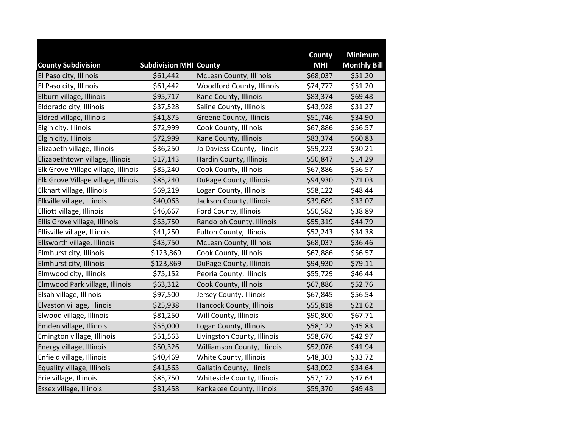|                                     |                               |                                  | County     | <b>Minimum</b>      |
|-------------------------------------|-------------------------------|----------------------------------|------------|---------------------|
| <b>County Subdivision</b>           | <b>Subdivision MHI County</b> |                                  | <b>MHI</b> | <b>Monthly Bill</b> |
| El Paso city, Illinois              | \$61,442                      | McLean County, Illinois          | \$68,037   | \$51.20             |
| El Paso city, Illinois              | \$61,442                      | Woodford County, Illinois        | \$74,777   | \$51.20             |
| Elburn village, Illinois            | \$95,717                      | Kane County, Illinois            | \$83,374   | \$69.48             |
| Eldorado city, Illinois             | \$37,528                      | Saline County, Illinois          | \$43,928   | \$31.27             |
| Eldred village, Illinois            | \$41,875                      | Greene County, Illinois          | \$51,746   | \$34.90             |
| Elgin city, Illinois                | \$72,999                      | Cook County, Illinois            | \$67,886   | \$56.57             |
| Elgin city, Illinois                | \$72,999                      | Kane County, Illinois            | \$83,374   | \$60.83             |
| Elizabeth village, Illinois         | \$36,250                      | Jo Daviess County, Illinois      | \$59,223   | \$30.21             |
| Elizabethtown village, Illinois     | \$17,143                      | Hardin County, Illinois          | \$50,847   | \$14.29             |
| Elk Grove Village village, Illinois | \$85,240                      | Cook County, Illinois            | \$67,886   | \$56.57             |
| Elk Grove Village village, Illinois | \$85,240                      | DuPage County, Illinois          | \$94,930   | \$71.03             |
| Elkhart village, Illinois           | \$69,219                      | Logan County, Illinois           | \$58,122   | \$48.44             |
| Elkville village, Illinois          | \$40,063                      | Jackson County, Illinois         | \$39,689   | \$33.07             |
| Elliott village, Illinois           | \$46,667                      | Ford County, Illinois            | \$50,582   | \$38.89             |
| Ellis Grove village, Illinois       | \$53,750                      | Randolph County, Illinois        | \$55,319   | \$44.79             |
| Ellisville village, Illinois        | \$41,250                      | <b>Fulton County, Illinois</b>   | \$52,243   | \$34.38             |
| Ellsworth village, Illinois         | \$43,750                      | McLean County, Illinois          | \$68,037   | \$36.46             |
| Elmhurst city, Illinois             | \$123,869                     | Cook County, Illinois            | \$67,886   | \$56.57             |
| Elmhurst city, Illinois             | \$123,869                     | DuPage County, Illinois          | \$94,930   | \$79.11             |
| Elmwood city, Illinois              | \$75,152                      | Peoria County, Illinois          | \$55,729   | \$46.44             |
| Elmwood Park village, Illinois      | \$63,312                      | Cook County, Illinois            | \$67,886   | \$52.76             |
| Elsah village, Illinois             | \$97,500                      | Jersey County, Illinois          | \$67,845   | \$56.54             |
| Elvaston village, Illinois          | \$25,938                      | Hancock County, Illinois         | \$55,818   | \$21.62             |
| Elwood village, Illinois            | \$81,250                      | Will County, Illinois            | \$90,800   | \$67.71             |
| Emden village, Illinois             | \$55,000                      | Logan County, Illinois           | \$58,122   | \$45.83             |
| Emington village, Illinois          | \$51,563                      | Livingston County, Illinois      | \$58,676   | \$42.97             |
| Energy village, Illinois            | \$50,326                      | Williamson County, Illinois      | \$52,076   | \$41.94             |
| Enfield village, Illinois           | \$40,469                      | White County, Illinois           | \$48,303   | \$33.72             |
| Equality village, Illinois          | \$41,563                      | <b>Gallatin County, Illinois</b> | \$43,092   | \$34.64             |
| Erie village, Illinois              | \$85,750                      | Whiteside County, Illinois       | \$57,172   | \$47.64             |
| Essex village, Illinois             | \$81,458                      | Kankakee County, Illinois        | \$59,370   | \$49.48             |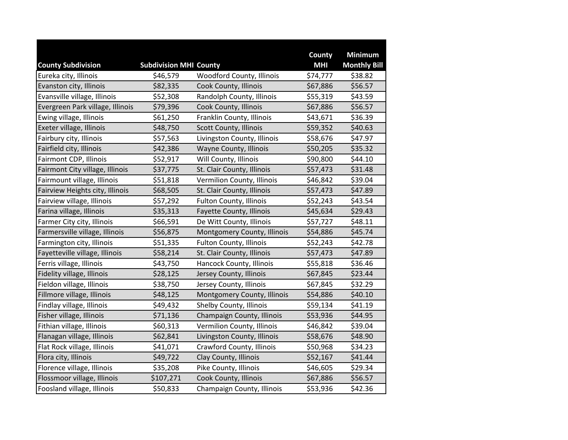|                                                    |                                           |                             | County<br><b>MHI</b> | <b>Minimum</b>                 |
|----------------------------------------------------|-------------------------------------------|-----------------------------|----------------------|--------------------------------|
| <b>County Subdivision</b><br>Eureka city, Illinois | <b>Subdivision MHI County</b><br>\$46,579 | Woodford County, Illinois   | \$74,777             | <b>Monthly Bill</b><br>\$38.82 |
| Evanston city, Illinois                            | \$82,335                                  | Cook County, Illinois       | \$67,886             | \$56.57                        |
| Evansville village, Illinois                       | \$52,308                                  | Randolph County, Illinois   | \$55,319             | \$43.59                        |
| Evergreen Park village, Illinois                   | \$79,396                                  | Cook County, Illinois       | \$67,886             | \$56.57                        |
| Ewing village, Illinois                            | \$61,250                                  | Franklin County, Illinois   | \$43,671             | \$36.39                        |
| Exeter village, Illinois                           | \$48,750                                  | Scott County, Illinois      | \$59,352             | \$40.63                        |
| Fairbury city, Illinois                            | \$57,563                                  | Livingston County, Illinois | \$58,676             | \$47.97                        |
|                                                    |                                           |                             |                      |                                |
| Fairfield city, Illinois                           | \$42,386                                  | Wayne County, Illinois      | \$50,205             | \$35.32                        |
| Fairmont CDP, Illinois                             | \$52,917                                  | Will County, Illinois       | \$90,800             | \$44.10                        |
| Fairmont City village, Illinois                    | \$37,775                                  | St. Clair County, Illinois  | \$57,473             | \$31.48                        |
| Fairmount village, Illinois                        | \$51,818                                  | Vermilion County, Illinois  | \$46,842             | \$39.04                        |
| Fairview Heights city, Illinois                    | \$68,505                                  | St. Clair County, Illinois  | \$57,473             | \$47.89                        |
| Fairview village, Illinois                         | \$57,292                                  | Fulton County, Illinois     | \$52,243             | \$43.54                        |
| Farina village, Illinois                           | \$35,313                                  | Fayette County, Illinois    | \$45,634             | \$29.43                        |
| Farmer City city, Illinois                         | \$66,591                                  | De Witt County, Illinois    | \$57,727             | \$48.11                        |
| Farmersville village, Illinois                     | \$56,875                                  | Montgomery County, Illinois | \$54,886             | \$45.74                        |
| Farmington city, Illinois                          | \$51,335                                  | Fulton County, Illinois     | \$52,243             | \$42.78                        |
| Fayetteville village, Illinois                     | \$58,214                                  | St. Clair County, Illinois  | \$57,473             | \$47.89                        |
| Ferris village, Illinois                           | \$43,750                                  | Hancock County, Illinois    | \$55,818             | \$36.46                        |
| Fidelity village, Illinois                         | \$28,125                                  | Jersey County, Illinois     | \$67,845             | \$23.44                        |
| Fieldon village, Illinois                          | \$38,750                                  | Jersey County, Illinois     | \$67,845             | \$32.29                        |
| Fillmore village, Illinois                         | \$48,125                                  | Montgomery County, Illinois | \$54,886             | \$40.10                        |
| Findlay village, Illinois                          | \$49,432                                  | Shelby County, Illinois     | \$59,134             | \$41.19                        |
| Fisher village, Illinois                           | \$71,136                                  | Champaign County, Illinois  | \$53,936             | \$44.95                        |
| Fithian village, Illinois                          | \$60,313                                  | Vermilion County, Illinois  | \$46,842             | \$39.04                        |
| Flanagan village, Illinois                         | \$62,841                                  | Livingston County, Illinois | \$58,676             | \$48.90                        |
| Flat Rock village, Illinois                        | \$41,071                                  | Crawford County, Illinois   | \$50,968             | \$34.23                        |
| Flora city, Illinois                               | \$49,722                                  | Clay County, Illinois       | \$52,167             | \$41.44                        |
| Florence village, Illinois                         | \$35,208                                  | Pike County, Illinois       | \$46,605             | \$29.34                        |
| Flossmoor village, Illinois                        | \$107,271                                 | Cook County, Illinois       | \$67,886             | \$56.57                        |
| Foosland village, Illinois                         | \$50,833                                  | Champaign County, Illinois  | \$53,936             | \$42.36                        |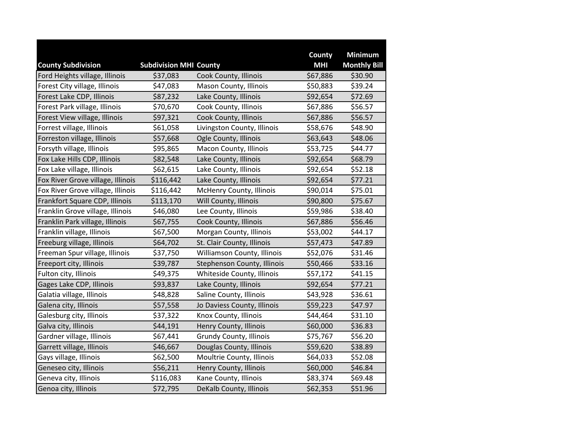|                                   |                               |                                | County     | <b>Minimum</b>      |
|-----------------------------------|-------------------------------|--------------------------------|------------|---------------------|
| <b>County Subdivision</b>         | <b>Subdivision MHI County</b> |                                | <b>MHI</b> | <b>Monthly Bill</b> |
| Ford Heights village, Illinois    | \$37,083                      | Cook County, Illinois          | \$67,886   | \$30.90             |
| Forest City village, Illinois     | \$47,083                      | Mason County, Illinois         | \$50,883   | \$39.24             |
| Forest Lake CDP, Illinois         | \$87,232                      | Lake County, Illinois          | \$92,654   | \$72.69             |
| Forest Park village, Illinois     | \$70,670                      | Cook County, Illinois          | \$67,886   | \$56.57             |
| Forest View village, Illinois     | \$97,321                      | Cook County, Illinois          | \$67,886   | \$56.57             |
| Forrest village, Illinois         | \$61,058                      | Livingston County, Illinois    | \$58,676   | \$48.90             |
| Forreston village, Illinois       | \$57,668                      | Ogle County, Illinois          | \$63,643   | \$48.06             |
| Forsyth village, Illinois         | \$95,865                      | Macon County, Illinois         | \$53,725   | \$44.77             |
| Fox Lake Hills CDP, Illinois      | \$82,548                      | Lake County, Illinois          | \$92,654   | \$68.79             |
| Fox Lake village, Illinois        | \$62,615                      | Lake County, Illinois          | \$92,654   | \$52.18             |
| Fox River Grove village, Illinois | \$116,442                     | Lake County, Illinois          | \$92,654   | \$77.21             |
| Fox River Grove village, Illinois | \$116,442                     | McHenry County, Illinois       | \$90,014   | \$75.01             |
| Frankfort Square CDP, Illinois    | \$113,170                     | Will County, Illinois          | \$90,800   | \$75.67             |
| Franklin Grove village, Illinois  | \$46,080                      | Lee County, Illinois           | \$59,986   | \$38.40             |
| Franklin Park village, Illinois   | \$67,755                      | Cook County, Illinois          | \$67,886   | \$56.46             |
| Franklin village, Illinois        | \$67,500                      | Morgan County, Illinois        | \$53,002   | \$44.17             |
| Freeburg village, Illinois        | \$64,702                      | St. Clair County, Illinois     | \$57,473   | \$47.89             |
| Freeman Spur village, Illinois    | \$37,750                      | Williamson County, Illinois    | \$52,076   | \$31.46             |
| Freeport city, Illinois           | \$39,787                      | Stephenson County, Illinois    | \$50,466   | \$33.16             |
| Fulton city, Illinois             | \$49,375                      | Whiteside County, Illinois     | \$57,172   | \$41.15             |
| Gages Lake CDP, Illinois          | \$93,837                      | Lake County, Illinois          | \$92,654   | \$77.21             |
| Galatia village, Illinois         | \$48,828                      | Saline County, Illinois        | \$43,928   | \$36.61             |
| Galena city, Illinois             | \$57,558                      | Jo Daviess County, Illinois    | \$59,223   | \$47.97             |
| Galesburg city, Illinois          | \$37,322                      | Knox County, Illinois          | \$44,464   | \$31.10             |
| Galva city, Illinois              | \$44,191                      | Henry County, Illinois         | \$60,000   | \$36.83             |
| Gardner village, Illinois         | \$67,441                      | <b>Grundy County, Illinois</b> | \$75,767   | \$56.20             |
| Garrett village, Illinois         | \$46,667                      | Douglas County, Illinois       | \$59,620   | \$38.89             |
| Gays village, Illinois            | \$62,500                      | Moultrie County, Illinois      | \$64,033   | \$52.08             |
| Geneseo city, Illinois            | \$56,211                      | Henry County, Illinois         | \$60,000   | \$46.84             |
| Geneva city, Illinois             | \$116,083                     | Kane County, Illinois          | \$83,374   | \$69.48             |
| Genoa city, Illinois              | \$72,795                      | DeKalb County, Illinois        | \$62,353   | \$51.96             |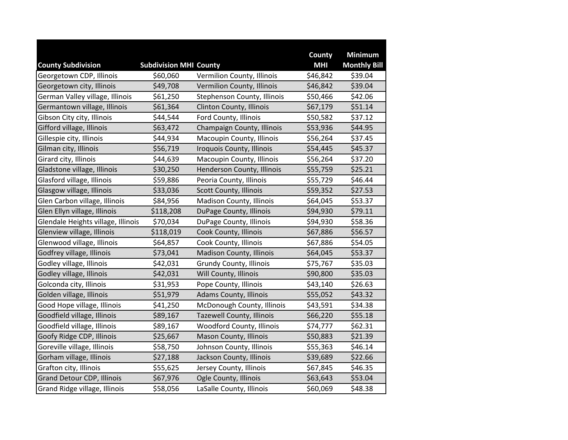|                                    |                               |                                  | County     | <b>Minimum</b>      |
|------------------------------------|-------------------------------|----------------------------------|------------|---------------------|
| <b>County Subdivision</b>          | <b>Subdivision MHI County</b> |                                  | <b>MHI</b> | <b>Monthly Bill</b> |
| Georgetown CDP, Illinois           | \$60,060                      | Vermilion County, Illinois       | \$46,842   | \$39.04             |
| Georgetown city, Illinois          | \$49,708                      | Vermilion County, Illinois       | \$46,842   | \$39.04             |
| German Valley village, Illinois    | \$61,250                      | Stephenson County, Illinois      | \$50,466   | \$42.06             |
| Germantown village, Illinois       | \$61,364                      | Clinton County, Illinois         | \$67,179   | \$51.14             |
| Gibson City city, Illinois         | \$44,544                      | Ford County, Illinois            | \$50,582   | \$37.12             |
| Gifford village, Illinois          | \$63,472                      | Champaign County, Illinois       | \$53,936   | \$44.95             |
| Gillespie city, Illinois           | \$44,934                      | Macoupin County, Illinois        | \$56,264   | \$37.45             |
| Gilman city, Illinois              | \$56,719                      | Iroquois County, Illinois        | \$54,445   | \$45.37             |
| Girard city, Illinois              | \$44,639                      | Macoupin County, Illinois        | \$56,264   | \$37.20             |
| Gladstone village, Illinois        | \$30,250                      | Henderson County, Illinois       | \$55,759   | \$25.21             |
| Glasford village, Illinois         | \$59,886                      | Peoria County, Illinois          | \$55,729   | \$46.44             |
| Glasgow village, Illinois          | \$33,036                      | Scott County, Illinois           | \$59,352   | \$27.53             |
| Glen Carbon village, Illinois      | \$84,956                      | Madison County, Illinois         | \$64,045   | \$53.37             |
| Glen Ellyn village, Illinois       | \$118,208                     | DuPage County, Illinois          | \$94,930   | \$79.11             |
| Glendale Heights village, Illinois | \$70,034                      | DuPage County, Illinois          | \$94,930   | \$58.36             |
| Glenview village, Illinois         | \$118,019                     | Cook County, Illinois            | \$67,886   | \$56.57             |
| Glenwood village, Illinois         | \$64,857                      | Cook County, Illinois            | \$67,886   | \$54.05             |
| Godfrey village, Illinois          | \$73,041                      | <b>Madison County, Illinois</b>  | \$64,045   | \$53.37             |
| Godley village, Illinois           | \$42,031                      | <b>Grundy County, Illinois</b>   | \$75,767   | \$35.03             |
| Godley village, Illinois           | \$42,031                      | Will County, Illinois            | \$90,800   | \$35.03             |
| Golconda city, Illinois            | \$31,953                      | Pope County, Illinois            | \$43,140   | \$26.63             |
| Golden village, Illinois           | \$51,979                      | <b>Adams County, Illinois</b>    | \$55,052   | \$43.32             |
| Good Hope village, Illinois        | \$41,250                      | McDonough County, Illinois       | \$43,591   | \$34.38             |
| Goodfield village, Illinois        | \$89,167                      | <b>Tazewell County, Illinois</b> | \$66,220   | \$55.18             |
| Goodfield village, Illinois        | \$89,167                      | Woodford County, Illinois        | \$74,777   | \$62.31             |
| Goofy Ridge CDP, Illinois          | \$25,667                      | Mason County, Illinois           | \$50,883   | \$21.39             |
| Goreville village, Illinois        | \$58,750                      | Johnson County, Illinois         | \$55,363   | \$46.14             |
| Gorham village, Illinois           | \$27,188                      | Jackson County, Illinois         | \$39,689   | \$22.66             |
| Grafton city, Illinois             | \$55,625                      | Jersey County, Illinois          | \$67,845   | \$46.35             |
| <b>Grand Detour CDP, Illinois</b>  | \$67,976                      | Ogle County, Illinois            | \$63,643   | \$53.04             |
| Grand Ridge village, Illinois      | \$58,056                      | LaSalle County, Illinois         | \$60,069   | \$48.38             |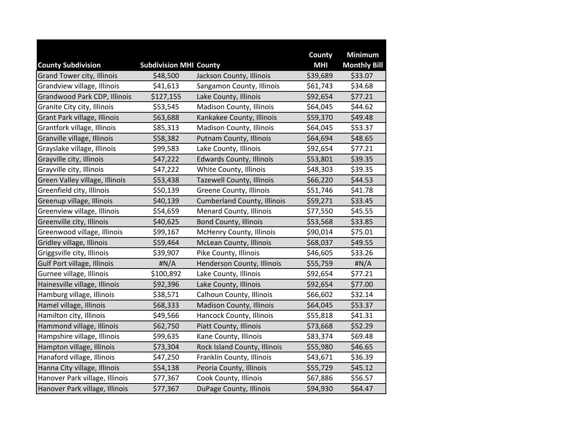|                                   |                               |                                    | County     | <b>Minimum</b>      |
|-----------------------------------|-------------------------------|------------------------------------|------------|---------------------|
| <b>County Subdivision</b>         | <b>Subdivision MHI County</b> |                                    | <b>MHI</b> | <b>Monthly Bill</b> |
| <b>Grand Tower city, Illinois</b> | \$48,500                      | Jackson County, Illinois           | \$39,689   | \$33.07             |
| Grandview village, Illinois       | \$41,613                      | Sangamon County, Illinois          | \$61,743   | \$34.68             |
| Grandwood Park CDP, Illinois      | \$127,155                     | Lake County, Illinois              | \$92,654   | \$77.21             |
| Granite City city, Illinois       | \$53,545                      | Madison County, Illinois           | \$64,045   | \$44.62             |
| Grant Park village, Illinois      | \$63,688                      | Kankakee County, Illinois          | \$59,370   | \$49.48             |
| Grantfork village, Illinois       | \$85,313                      | Madison County, Illinois           | \$64,045   | \$53.37             |
| Granville village, Illinois       | \$58,382                      | Putnam County, Illinois            | \$64,694   | \$48.65             |
| Grayslake village, Illinois       | \$99,583                      | Lake County, Illinois              | \$92,654   | \$77.21             |
| Grayville city, Illinois          | \$47,222                      | <b>Edwards County, Illinois</b>    | \$53,801   | \$39.35             |
| Grayville city, Illinois          | \$47,222                      | White County, Illinois             | \$48,303   | \$39.35             |
| Green Valley village, Illinois    | \$53,438                      | <b>Tazewell County, Illinois</b>   | \$66,220   | \$44.53             |
| Greenfield city, Illinois         | \$50,139                      | Greene County, Illinois            | \$51,746   | \$41.78             |
| Greenup village, Illinois         | \$40,139                      | <b>Cumberland County, Illinois</b> | \$59,271   | \$33.45             |
| Greenview village, Illinois       | \$54,659                      | <b>Menard County, Illinois</b>     | \$77,550   | \$45.55             |
| Greenville city, Illinois         | \$40,625                      | <b>Bond County, Illinois</b>       | \$53,568   | \$33.85             |
| Greenwood village, Illinois       | \$99,167                      | McHenry County, Illinois           | \$90,014   | \$75.01             |
| Gridley village, Illinois         | \$59,464                      | <b>McLean County, Illinois</b>     | \$68,037   | \$49.55             |
| Griggsville city, Illinois        | \$39,907                      | Pike County, Illinois              | \$46,605   | \$33.26             |
| Gulf Port village, Illinois       | H N/A                         | Henderson County, Illinois         | \$55,759   | H N/A               |
| Gurnee village, Illinois          | \$100,892                     | Lake County, Illinois              | \$92,654   | \$77.21             |
| Hainesville village, Illinois     | \$92,396                      | Lake County, Illinois              | \$92,654   | \$77.00             |
| Hamburg village, Illinois         | \$38,571                      | Calhoun County, Illinois           | \$66,602   | \$32.14             |
| Hamel village, Illinois           | \$68,333                      | Madison County, Illinois           | \$64,045   | \$53.37             |
| Hamilton city, Illinois           | \$49,566                      | Hancock County, Illinois           | \$55,818   | \$41.31             |
| Hammond village, Illinois         | \$62,750                      | Piatt County, Illinois             | \$73,668   | \$52.29             |
| Hampshire village, Illinois       | \$99,635                      | Kane County, Illinois              | \$83,374   | \$69.48             |
| Hampton village, Illinois         | \$73,304                      | Rock Island County, Illinois       | \$55,980   | \$46.65             |
| Hanaford village, Illinois        | \$47,250                      | Franklin County, Illinois          | \$43,671   | \$36.39             |
| Hanna City village, Illinois      | \$54,138                      | Peoria County, Illinois            | \$55,729   | \$45.12             |
| Hanover Park village, Illinois    | \$77,367                      | Cook County, Illinois              | \$67,886   | \$56.57             |
| Hanover Park village, Illinois    | \$77,367                      | DuPage County, Illinois            | \$94,930   | \$64.47             |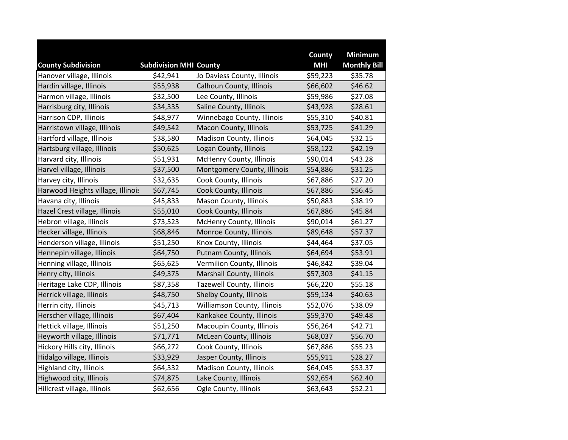|                                   |                               |                                  | County     | <b>Minimum</b>      |
|-----------------------------------|-------------------------------|----------------------------------|------------|---------------------|
| <b>County Subdivision</b>         | <b>Subdivision MHI County</b> |                                  | <b>MHI</b> | <b>Monthly Bill</b> |
| Hanover village, Illinois         | \$42,941                      | Jo Daviess County, Illinois      | \$59,223   | \$35.78             |
| Hardin village, Illinois          | \$55,938                      | Calhoun County, Illinois         | \$66,602   | \$46.62             |
| Harmon village, Illinois          | \$32,500                      | Lee County, Illinois             | \$59,986   | \$27.08             |
| Harrisburg city, Illinois         | \$34,335                      | Saline County, Illinois          | \$43,928   | \$28.61             |
| Harrison CDP, Illinois            | \$48,977                      | Winnebago County, Illinois       | \$55,310   | \$40.81             |
| Harristown village, Illinois      | \$49,542                      | Macon County, Illinois           | \$53,725   | \$41.29             |
| Hartford village, Illinois        | \$38,580                      | Madison County, Illinois         | \$64,045   | \$32.15             |
| Hartsburg village, Illinois       | \$50,625                      | Logan County, Illinois           | \$58,122   | \$42.19             |
| Harvard city, Illinois            | \$51,931                      | McHenry County, Illinois         | \$90,014   | \$43.28             |
| Harvel village, Illinois          | \$37,500                      | Montgomery County, Illinois      | \$54,886   | \$31.25             |
| Harvey city, Illinois             | \$32,635                      | Cook County, Illinois            | \$67,886   | \$27.20             |
| Harwood Heights village, Illinois | \$67,745                      | Cook County, Illinois            | \$67,886   | \$56.45             |
| Havana city, Illinois             | \$45,833                      | Mason County, Illinois           | \$50,883   | \$38.19             |
| Hazel Crest village, Illinois     | \$55,010                      | Cook County, Illinois            | \$67,886   | \$45.84             |
| Hebron village, Illinois          | \$73,523                      | McHenry County, Illinois         | \$90,014   | \$61.27             |
| Hecker village, Illinois          | \$68,846                      | Monroe County, Illinois          | \$89,648   | \$57.37             |
| Henderson village, Illinois       | \$51,250                      | Knox County, Illinois            | \$44,464   | \$37.05             |
| Hennepin village, Illinois        | \$64,750                      | Putnam County, Illinois          | \$64,694   | \$53.91             |
| Henning village, Illinois         | \$65,625                      | Vermilion County, Illinois       | \$46,842   | \$39.04             |
| Henry city, Illinois              | \$49,375                      | Marshall County, Illinois        | \$57,303   | \$41.15             |
| Heritage Lake CDP, Illinois       | \$87,358                      | <b>Tazewell County, Illinois</b> | \$66,220   | \$55.18             |
| Herrick village, Illinois         | \$48,750                      | Shelby County, Illinois          | \$59,134   | \$40.63             |
| Herrin city, Illinois             | \$45,713                      | Williamson County, Illinois      | \$52,076   | \$38.09             |
| Herscher village, Illinois        | \$67,404                      | Kankakee County, Illinois        | \$59,370   | \$49.48             |
| Hettick village, Illinois         | \$51,250                      | Macoupin County, Illinois        | \$56,264   | \$42.71             |
| Heyworth village, Illinois        | \$71,771                      | McLean County, Illinois          | \$68,037   | \$56.70             |
| Hickory Hills city, Illinois      | \$66,272                      | Cook County, Illinois            | \$67,886   | \$55.23             |
| Hidalgo village, Illinois         | \$33,929                      | Jasper County, Illinois          | \$55,911   | \$28.27             |
| Highland city, Illinois           | \$64,332                      | Madison County, Illinois         | \$64,045   | \$53.37             |
| Highwood city, Illinois           | \$74,875                      | Lake County, Illinois            | \$92,654   | \$62.40             |
| Hillcrest village, Illinois       | \$62,656                      | Ogle County, Illinois            | \$63,643   | \$52.21             |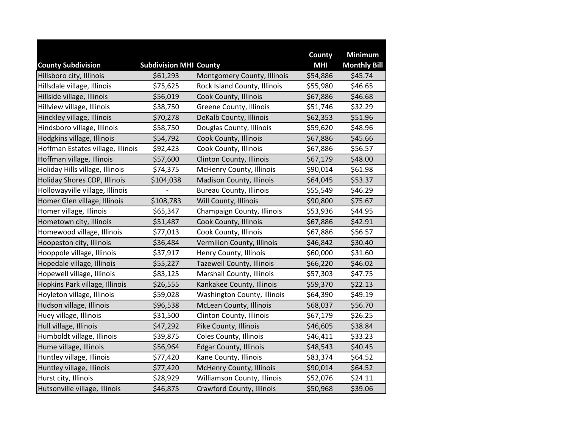|                                                       |                                           |                                  | County<br><b>MHI</b> | <b>Minimum</b>                 |
|-------------------------------------------------------|-------------------------------------------|----------------------------------|----------------------|--------------------------------|
| <b>County Subdivision</b><br>Hillsboro city, Illinois | <b>Subdivision MHI County</b><br>\$61,293 | Montgomery County, Illinois      | \$54,886             | <b>Monthly Bill</b><br>\$45.74 |
| Hillsdale village, Illinois                           | \$75,625                                  | Rock Island County, Illinois     | \$55,980             | \$46.65                        |
| Hillside village, Illinois                            | \$56,019                                  | Cook County, Illinois            | \$67,886             | \$46.68                        |
|                                                       |                                           |                                  |                      |                                |
| Hillview village, Illinois                            | \$38,750                                  | Greene County, Illinois          | \$51,746             | \$32.29                        |
| Hinckley village, Illinois                            | \$70,278                                  | DeKalb County, Illinois          | \$62,353             | \$51.96                        |
| Hindsboro village, Illinois                           | \$58,750                                  | Douglas County, Illinois         | \$59,620             | \$48.96                        |
| Hodgkins village, Illinois                            | \$54,792                                  | Cook County, Illinois            | \$67,886             | \$45.66                        |
| Hoffman Estates village, Illinois                     | \$92,423                                  | Cook County, Illinois            | \$67,886             | \$56.57                        |
| Hoffman village, Illinois                             | \$57,600                                  | Clinton County, Illinois         | \$67,179             | \$48.00                        |
| Holiday Hills village, Illinois                       | \$74,375                                  | <b>McHenry County, Illinois</b>  | \$90,014             | \$61.98                        |
| Holiday Shores CDP, Illinois                          | \$104,038                                 | <b>Madison County, Illinois</b>  | \$64,045             | \$53.37                        |
| Hollowayville village, Illinois                       |                                           | <b>Bureau County, Illinois</b>   | \$55,549             | \$46.29                        |
| Homer Glen village, Illinois                          | \$108,783                                 | Will County, Illinois            | \$90,800             | \$75.67                        |
| Homer village, Illinois                               | \$65,347                                  | Champaign County, Illinois       | \$53,936             | \$44.95                        |
| Hometown city, Illinois                               | \$51,487                                  | Cook County, Illinois            | \$67,886             | \$42.91                        |
| Homewood village, Illinois                            | \$77,013                                  | Cook County, Illinois            | \$67,886             | \$56.57                        |
| Hoopeston city, Illinois                              | \$36,484                                  | Vermilion County, Illinois       | \$46,842             | \$30.40                        |
| Hooppole village, Illinois                            | \$37,917                                  | Henry County, Illinois           | \$60,000             | \$31.60                        |
| Hopedale village, Illinois                            | \$55,227                                  | <b>Tazewell County, Illinois</b> | \$66,220             | \$46.02                        |
| Hopewell village, Illinois                            | \$83,125                                  | Marshall County, Illinois        | \$57,303             | \$47.75                        |
| Hopkins Park village, Illinois                        | \$26,555                                  | Kankakee County, Illinois        | \$59,370             | \$22.13                        |
| Hoyleton village, Illinois                            | \$59,028                                  | Washington County, Illinois      | \$64,390             | \$49.19                        |
| Hudson village, Illinois                              | \$96,538                                  | McLean County, Illinois          | \$68,037             | \$56.70                        |
| Huey village, Illinois                                | \$31,500                                  | Clinton County, Illinois         | \$67,179             | \$26.25                        |
| Hull village, Illinois                                | \$47,292                                  | Pike County, Illinois            | \$46,605             | \$38.84                        |
| Humboldt village, Illinois                            | \$39,875                                  | Coles County, Illinois           | \$46,411             | \$33.23                        |
| Hume village, Illinois                                | \$56,964                                  | <b>Edgar County, Illinois</b>    | \$48,543             | \$40.45                        |
| Huntley village, Illinois                             | \$77,420                                  | Kane County, Illinois            | \$83,374             | \$64.52                        |
| Huntley village, Illinois                             | \$77,420                                  | McHenry County, Illinois         | \$90,014             | \$64.52                        |
| Hurst city, Illinois                                  | \$28,929                                  | Williamson County, Illinois      | \$52,076             | \$24.11                        |
| Hutsonville village, Illinois                         | \$46,875                                  | Crawford County, Illinois        | \$50,968             | \$39.06                        |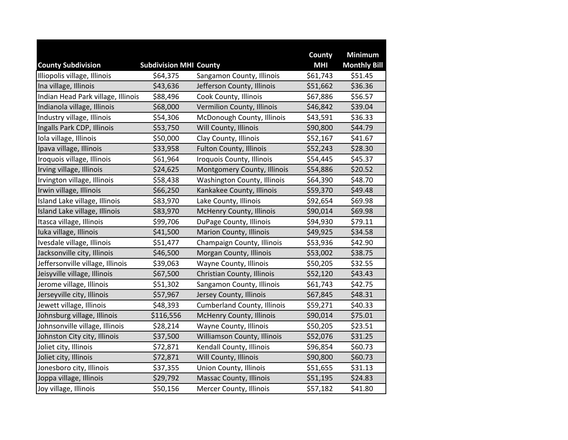|                                    |                               |                                    | County     | <b>Minimum</b>      |
|------------------------------------|-------------------------------|------------------------------------|------------|---------------------|
| <b>County Subdivision</b>          | <b>Subdivision MHI County</b> |                                    | <b>MHI</b> | <b>Monthly Bill</b> |
| Illiopolis village, Illinois       | \$64,375                      | Sangamon County, Illinois          | \$61,743   | \$51.45             |
| Ina village, Illinois              | \$43,636                      | Jefferson County, Illinois         | \$51,662   | \$36.36             |
| Indian Head Park village, Illinois | \$88,496                      | Cook County, Illinois              | \$67,886   | \$56.57             |
| Indianola village, Illinois        | \$68,000                      | Vermilion County, Illinois         | \$46,842   | \$39.04             |
| Industry village, Illinois         | \$54,306                      | McDonough County, Illinois         | \$43,591   | \$36.33             |
| Ingalls Park CDP, Illinois         | \$53,750                      | Will County, Illinois              | \$90,800   | \$44.79             |
| Iola village, Illinois             | \$50,000                      | Clay County, Illinois              | \$52,167   | \$41.67             |
| Ipava village, Illinois            | \$33,958                      | <b>Fulton County, Illinois</b>     | \$52,243   | \$28.30             |
| Iroquois village, Illinois         | \$61,964                      | Iroquois County, Illinois          | \$54,445   | \$45.37             |
| Irving village, Illinois           | \$24,625                      | Montgomery County, Illinois        | \$54,886   | \$20.52             |
| Irvington village, Illinois        | \$58,438                      | Washington County, Illinois        | \$64,390   | \$48.70             |
| Irwin village, Illinois            | \$66,250                      | Kankakee County, Illinois          | \$59,370   | \$49.48             |
| Island Lake village, Illinois      | \$83,970                      | Lake County, Illinois              | \$92,654   | \$69.98             |
| Island Lake village, Illinois      | \$83,970                      | McHenry County, Illinois           | \$90,014   | \$69.98             |
| Itasca village, Illinois           | \$99,706                      | DuPage County, Illinois            | \$94,930   | \$79.11             |
| Iuka village, Illinois             | \$41,500                      | <b>Marion County, Illinois</b>     | \$49,925   | \$34.58             |
| Ivesdale village, Illinois         | \$51,477                      | Champaign County, Illinois         | \$53,936   | \$42.90             |
| Jacksonville city, Illinois        | \$46,500                      | Morgan County, Illinois            | \$53,002   | \$38.75             |
| Jeffersonville village, Illinois   | \$39,063                      | Wayne County, Illinois             | \$50,205   | \$32.55             |
| Jeisyville village, Illinois       | \$67,500                      | Christian County, Illinois         | \$52,120   | \$43.43             |
| Jerome village, Illinois           | \$51,302                      | Sangamon County, Illinois          | \$61,743   | \$42.75             |
| Jerseyville city, Illinois         | \$57,967                      | Jersey County, Illinois            | \$67,845   | \$48.31             |
| Jewett village, Illinois           | \$48,393                      | <b>Cumberland County, Illinois</b> | \$59,271   | \$40.33             |
| Johnsburg village, Illinois        | \$116,556                     | <b>McHenry County, Illinois</b>    | \$90,014   | \$75.01             |
| Johnsonville village, Illinois     | \$28,214                      | Wayne County, Illinois             | \$50,205   | \$23.51             |
| Johnston City city, Illinois       | \$37,500                      | Williamson County, Illinois        | \$52,076   | \$31.25             |
| Joliet city, Illinois              | \$72,871                      | Kendall County, Illinois           | \$96,854   | \$60.73             |
| Joliet city, Illinois              | \$72,871                      | Will County, Illinois              | \$90,800   | \$60.73             |
| Jonesboro city, Illinois           | \$37,355                      | <b>Union County, Illinois</b>      | \$51,655   | \$31.13             |
| Joppa village, Illinois            | \$29,792                      | Massac County, Illinois            | \$51,195   | \$24.83             |
| Joy village, Illinois              | \$50,156                      | Mercer County, Illinois            | \$57,182   | \$41.80             |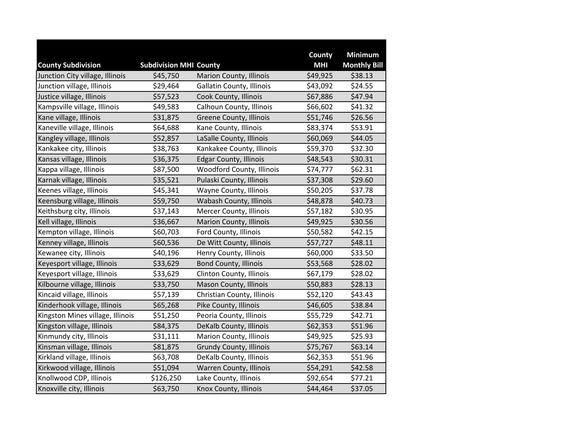|                                  |                               |                                  | County     | <b>Minimum</b>      |
|----------------------------------|-------------------------------|----------------------------------|------------|---------------------|
| <b>County Subdivision</b>        | <b>Subdivision MHI County</b> |                                  | <b>MHI</b> | <b>Monthly Bill</b> |
| Junction City village, Illinois  | \$45,750                      | <b>Marion County, Illinois</b>   | \$49,925   | \$38.13             |
| Junction village, Illinois       | \$29,464                      | Gallatin County, Illinois        | \$43,092   | \$24.55             |
| Justice village, Illinois        | \$57,523                      | Cook County, Illinois            | \$67,886   | \$47.94             |
| Kampsville village, Illinois     | \$49,583                      | Calhoun County, Illinois         | \$66,602   | \$41.32             |
| Kane village, Illinois           | \$31,875                      | Greene County, Illinois          | \$51,746   | \$26.56             |
| Kaneville village, Illinois      | \$64,688                      | Kane County, Illinois            | \$83,374   | \$53.91             |
| Kangley village, Illinois        | \$52,857                      | LaSalle County, Illinois         | \$60,069   | \$44.05             |
| Kankakee city, Illinois          | \$38,763                      | Kankakee County, Illinois        | \$59,370   | \$32.30             |
| Kansas village, Illinois         | \$36,375                      | <b>Edgar County, Illinois</b>    | \$48,543   | \$30.31             |
| Kappa village, Illinois          | \$87,500                      | <b>Woodford County, Illinois</b> | \$74,777   | \$62.31             |
| Karnak village, Illinois         | \$35,521                      | Pulaski County, Illinois         | \$37,308   | \$29.60             |
| Keenes village, Illinois         | \$45,341                      | Wayne County, Illinois           | \$50,205   | \$37.78             |
| Keensburg village, Illinois      | \$59,750                      | Wabash County, Illinois          | \$48,878   | \$40.73             |
| Keithsburg city, Illinois        | \$37,143                      | Mercer County, Illinois          | \$57,182   | \$30.95             |
| Kell village, Illinois           | \$36,667                      | <b>Marion County, Illinois</b>   | \$49,925   | \$30.56             |
| Kempton village, Illinois        | \$60,703                      | Ford County, Illinois            | \$50,582   | \$42.15             |
| Kenney village, Illinois         | \$60,536                      | De Witt County, Illinois         | \$57,727   | \$48.11             |
| Kewanee city, Illinois           | \$40,196                      | Henry County, Illinois           | \$60,000   | \$33.50             |
| Keyesport village, Illinois      | \$33,629                      | <b>Bond County, Illinois</b>     | \$53,568   | \$28.02             |
| Keyesport village, Illinois      | \$33,629                      | Clinton County, Illinois         | \$67,179   | \$28.02             |
| Kilbourne village, Illinois      | \$33,750                      | Mason County, Illinois           | \$50,883   | \$28.13             |
| Kincaid village, Illinois        | \$57,139                      | Christian County, Illinois       | \$52,120   | \$43.43             |
| Kinderhook village, Illinois     | \$65,268                      | Pike County, Illinois            | \$46,605   | \$38.84             |
| Kingston Mines village, Illinois | \$51,250                      | Peoria County, Illinois          | \$55,729   | \$42.71             |
| Kingston village, Illinois       | \$84,375                      | DeKalb County, Illinois          | \$62,353   | \$51.96             |
| Kinmundy city, Illinois          | \$31,111                      | Marion County, Illinois          | \$49,925   | \$25.93             |
| Kinsman village, Illinois        | \$81,875                      | <b>Grundy County, Illinois</b>   | \$75,767   | \$63.14             |
| Kirkland village, Illinois       | \$63,708                      | DeKalb County, Illinois          | \$62,353   | \$51.96             |
| Kirkwood village, Illinois       | \$51,094                      | <b>Warren County, Illinois</b>   | \$54,291   | \$42.58             |
| Knollwood CDP, Illinois          | \$126,250                     | Lake County, Illinois            | \$92,654   | \$77.21             |
| Knoxville city, Illinois         | \$63,750                      | Knox County, Illinois            | \$44,464   | \$37.05             |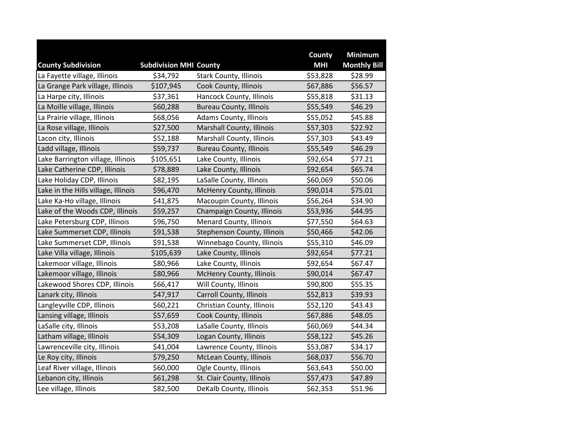|                                     |                               |                                 | County     | <b>Minimum</b>      |
|-------------------------------------|-------------------------------|---------------------------------|------------|---------------------|
| <b>County Subdivision</b>           | <b>Subdivision MHI County</b> |                                 | <b>MHI</b> | <b>Monthly Bill</b> |
| La Fayette village, Illinois        | \$34,792                      | <b>Stark County, Illinois</b>   | \$53,828   | \$28.99             |
| La Grange Park village, Illinois    | \$107,945                     | Cook County, Illinois           | \$67,886   | \$56.57             |
| La Harpe city, Illinois             | \$37,361                      | Hancock County, Illinois        | \$55,818   | \$31.13             |
| La Moille village, Illinois         | \$60,288                      | <b>Bureau County, Illinois</b>  | \$55,549   | \$46.29             |
| La Prairie village, Illinois        | \$68,056                      | Adams County, Illinois          | \$55,052   | \$45.88             |
| La Rose village, Illinois           | \$27,500                      | Marshall County, Illinois       | \$57,303   | \$22.92             |
| Lacon city, Illinois                | \$52,188                      | Marshall County, Illinois       | \$57,303   | \$43.49             |
| Ladd village, Illinois              | \$59,737                      | <b>Bureau County, Illinois</b>  | \$55,549   | \$46.29             |
| Lake Barrington village, Illinois   | \$105,651                     | Lake County, Illinois           | \$92,654   | \$77.21             |
| Lake Catherine CDP, Illinois        | \$78,889                      | Lake County, Illinois           | \$92,654   | \$65.74             |
| Lake Holiday CDP, Illinois          | \$82,195                      | LaSalle County, Illinois        | \$60,069   | \$50.06             |
| Lake in the Hills village, Illinois | \$96,470                      | McHenry County, Illinois        | \$90,014   | \$75.01             |
| Lake Ka-Ho village, Illinois        | \$41,875                      | Macoupin County, Illinois       | \$56,264   | \$34.90             |
| Lake of the Woods CDP, Illinois     | \$59,257                      | Champaign County, Illinois      | \$53,936   | \$44.95             |
| Lake Petersburg CDP, Illinois       | \$96,750                      | <b>Menard County, Illinois</b>  | \$77,550   | \$64.63             |
| Lake Summerset CDP, Illinois        | \$91,538                      | Stephenson County, Illinois     | \$50,466   | \$42.06             |
| Lake Summerset CDP, Illinois        | \$91,538                      | Winnebago County, Illinois      | \$55,310   | \$46.09             |
| Lake Villa village, Illinois        | \$105,639                     | Lake County, Illinois           | \$92,654   | \$77.21             |
| Lakemoor village, Illinois          | \$80,966                      | Lake County, Illinois           | \$92,654   | \$67.47             |
| Lakemoor village, Illinois          | \$80,966                      | <b>McHenry County, Illinois</b> | \$90,014   | \$67.47             |
| Lakewood Shores CDP, Illinois       | \$66,417                      | Will County, Illinois           | \$90,800   | \$55.35             |
| Lanark city, Illinois               | \$47,917                      | Carroll County, Illinois        | \$52,813   | \$39.93             |
| Langleyville CDP, Illinois          | \$60,221                      | Christian County, Illinois      | \$52,120   | \$43.43             |
| Lansing village, Illinois           | \$57,659                      | Cook County, Illinois           | \$67,886   | \$48.05             |
| LaSalle city, Illinois              | \$53,208                      | LaSalle County, Illinois        | \$60,069   | \$44.34             |
| Latham village, Illinois            | \$54,309                      | Logan County, Illinois          | \$58,122   | \$45.26             |
| Lawrenceville city, Illinois        | \$41,004                      | Lawrence County, Illinois       | \$53,087   | \$34.17             |
| Le Roy city, Illinois               | \$79,250                      | McLean County, Illinois         | \$68,037   | \$56.70             |
| Leaf River village, Illinois        | \$60,000                      | Ogle County, Illinois           | \$63,643   | \$50.00             |
| Lebanon city, Illinois              | \$61,298                      | St. Clair County, Illinois      | \$57,473   | \$47.89             |
| Lee village, Illinois               | \$82,500                      | DeKalb County, Illinois         | \$62,353   | \$51.96             |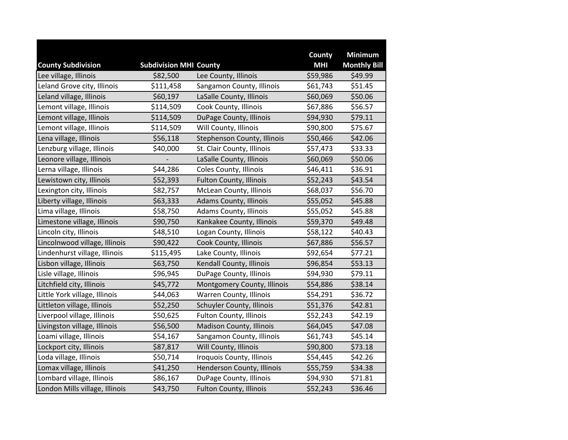|                                                    |                                           |                                  | County                 | <b>Minimum</b>                 |
|----------------------------------------------------|-------------------------------------------|----------------------------------|------------------------|--------------------------------|
| <b>County Subdivision</b><br>Lee village, Illinois | <b>Subdivision MHI County</b><br>\$82,500 | Lee County, Illinois             | <b>MHI</b><br>\$59,986 | <b>Monthly Bill</b><br>\$49.99 |
| Leland Grove city, Illinois                        | \$111,458                                 | Sangamon County, Illinois        | \$61,743               | \$51.45                        |
|                                                    |                                           |                                  |                        |                                |
| Leland village, Illinois                           | \$60,197                                  | LaSalle County, Illinois         | \$60,069               | \$50.06                        |
| Lemont village, Illinois                           | \$114,509                                 | Cook County, Illinois            | \$67,886               | \$56.57                        |
| Lemont village, Illinois                           | \$114,509                                 | DuPage County, Illinois          | \$94,930               | \$79.11                        |
| Lemont village, Illinois                           | \$114,509                                 | Will County, Illinois            | \$90,800               | \$75.67                        |
| Lena village, Illinois                             | \$56,118                                  | Stephenson County, Illinois      | \$50,466               | \$42.06                        |
| Lenzburg village, Illinois                         | \$40,000                                  | St. Clair County, Illinois       | \$57,473               | \$33.33                        |
| Leonore village, Illinois                          |                                           | LaSalle County, Illinois         | \$60,069               | \$50.06                        |
| Lerna village, Illinois                            | \$44,286                                  | Coles County, Illinois           | \$46,411               | \$36.91                        |
| Lewistown city, Illinois                           | \$52,393                                  | <b>Fulton County, Illinois</b>   | \$52,243               | \$43.54                        |
| Lexington city, Illinois                           | \$82,757                                  | McLean County, Illinois          | \$68,037               | \$56.70                        |
| Liberty village, Illinois                          | \$63,333                                  | Adams County, Illinois           | \$55,052               | \$45.88                        |
| Lima village, Illinois                             | \$58,750                                  | Adams County, Illinois           | \$55,052               | \$45.88                        |
| Limestone village, Illinois                        | \$90,750                                  | Kankakee County, Illinois        | \$59,370               | \$49.48                        |
| Lincoln city, Illinois                             | \$48,510                                  | Logan County, Illinois           | \$58,122               | \$40.43                        |
| Lincolnwood village, Illinois                      | \$90,422                                  | Cook County, Illinois            | \$67,886               | \$56.57                        |
| Lindenhurst village, Illinois                      | \$115,495                                 | Lake County, Illinois            | \$92,654               | \$77.21                        |
| Lisbon village, Illinois                           | \$63,750                                  | Kendall County, Illinois         | \$96,854               | \$53.13                        |
| Lisle village, Illinois                            | \$96,945                                  | DuPage County, Illinois          | \$94,930               | \$79.11                        |
| Litchfield city, Illinois                          | \$45,772                                  | Montgomery County, Illinois      | \$54,886               | \$38.14                        |
| Little York village, Illinois                      | \$44,063                                  | Warren County, Illinois          | \$54,291               | \$36.72                        |
| Littleton village, Illinois                        | \$52,250                                  | <b>Schuyler County, Illinois</b> | \$51,376               | \$42.81                        |
| Liverpool village, Illinois                        | \$50,625                                  | <b>Fulton County, Illinois</b>   | \$52,243               | \$42.19                        |
| Livingston village, Illinois                       | \$56,500                                  | <b>Madison County, Illinois</b>  | \$64,045               | \$47.08                        |
| Loami village, Illinois                            | \$54,167                                  | Sangamon County, Illinois        | \$61,743               | \$45.14                        |
| Lockport city, Illinois                            | \$87,817                                  | Will County, Illinois            | \$90,800               | \$73.18                        |
| Loda village, Illinois                             | \$50,714                                  | Iroquois County, Illinois        | \$54,445               | \$42.26                        |
| Lomax village, Illinois                            | \$41,250                                  | Henderson County, Illinois       | \$55,759               | \$34.38                        |
| Lombard village, Illinois                          | \$86,167                                  | DuPage County, Illinois          | \$94,930               | \$71.81                        |
| London Mills village, Illinois                     | \$43,750                                  | <b>Fulton County, Illinois</b>   | \$52,243               | \$36.46                        |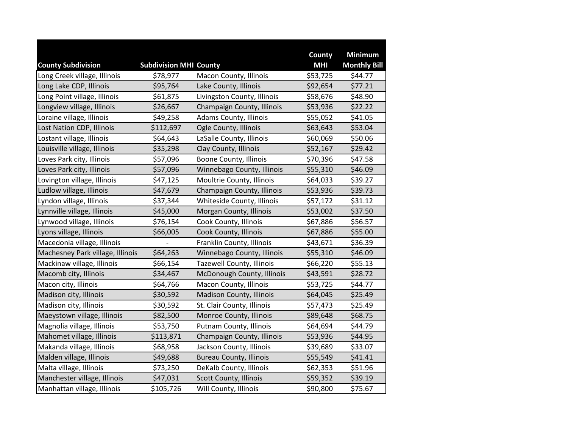|                                  |                               |                                  | County     | <b>Minimum</b>      |
|----------------------------------|-------------------------------|----------------------------------|------------|---------------------|
| <b>County Subdivision</b>        | <b>Subdivision MHI County</b> |                                  | <b>MHI</b> | <b>Monthly Bill</b> |
| Long Creek village, Illinois     | \$78,977                      | Macon County, Illinois           | \$53,725   | \$44.77             |
| Long Lake CDP, Illinois          | \$95,764                      | Lake County, Illinois            | \$92,654   | \$77.21             |
| Long Point village, Illinois     | \$61,875                      | Livingston County, Illinois      | \$58,676   | \$48.90             |
| Longview village, Illinois       | \$26,667                      | Champaign County, Illinois       | \$53,936   | \$22.22             |
| Loraine village, Illinois        | \$49,258                      | Adams County, Illinois           | \$55,052   | \$41.05             |
| Lost Nation CDP, Illinois        | \$112,697                     | Ogle County, Illinois            | \$63,643   | \$53.04             |
| Lostant village, Illinois        | \$64,643                      | LaSalle County, Illinois         | \$60,069   | \$50.06             |
| Louisville village, Illinois     | \$35,298                      | Clay County, Illinois            | \$52,167   | \$29.42             |
| Loves Park city, Illinois        | \$57,096                      | <b>Boone County, Illinois</b>    | \$70,396   | \$47.58             |
| Loves Park city, Illinois        | \$57,096                      | Winnebago County, Illinois       | \$55,310   | \$46.09             |
| Lovington village, Illinois      | \$47,125                      | Moultrie County, Illinois        | \$64,033   | \$39.27             |
| Ludlow village, Illinois         | \$47,679                      | Champaign County, Illinois       | \$53,936   | \$39.73             |
| Lyndon village, Illinois         | \$37,344                      | Whiteside County, Illinois       | \$57,172   | \$31.12             |
| Lynnville village, Illinois      | \$45,000                      | Morgan County, Illinois          | \$53,002   | \$37.50             |
| Lynwood village, Illinois        | \$76,154                      | Cook County, Illinois            | \$67,886   | \$56.57             |
| Lyons village, Illinois          | \$66,005                      | Cook County, Illinois            | \$67,886   | \$55.00             |
| Macedonia village, Illinois      |                               | Franklin County, Illinois        | \$43,671   | \$36.39             |
| Machesney Park village, Illinois | \$64,263                      | Winnebago County, Illinois       | \$55,310   | \$46.09             |
| Mackinaw village, Illinois       | \$66,154                      | <b>Tazewell County, Illinois</b> | \$66,220   | \$55.13             |
| Macomb city, Illinois            | \$34,467                      | McDonough County, Illinois       | \$43,591   | \$28.72             |
| Macon city, Illinois             | \$64,766                      | Macon County, Illinois           | \$53,725   | \$44.77             |
| Madison city, Illinois           | \$30,592                      | <b>Madison County, Illinois</b>  | \$64,045   | \$25.49             |
| Madison city, Illinois           | \$30,592                      | St. Clair County, Illinois       | \$57,473   | \$25.49             |
| Maeystown village, Illinois      | \$82,500                      | Monroe County, Illinois          | \$89,648   | \$68.75             |
| Magnolia village, Illinois       | \$53,750                      | Putnam County, Illinois          | \$64,694   | \$44.79             |
| Mahomet village, Illinois        | \$113,871                     | Champaign County, Illinois       | \$53,936   | \$44.95             |
| Makanda village, Illinois        | \$68,958                      | Jackson County, Illinois         | \$39,689   | \$33.07             |
| Malden village, Illinois         | \$49,688                      | <b>Bureau County, Illinois</b>   | \$55,549   | \$41.41             |
| Malta village, Illinois          | \$73,250                      | DeKalb County, Illinois          | \$62,353   | \$51.96             |
| Manchester village, Illinois     | \$47,031                      | Scott County, Illinois           | \$59,352   | \$39.19             |
| Manhattan village, Illinois      | \$105,726                     | Will County, Illinois            | \$90,800   | \$75.67             |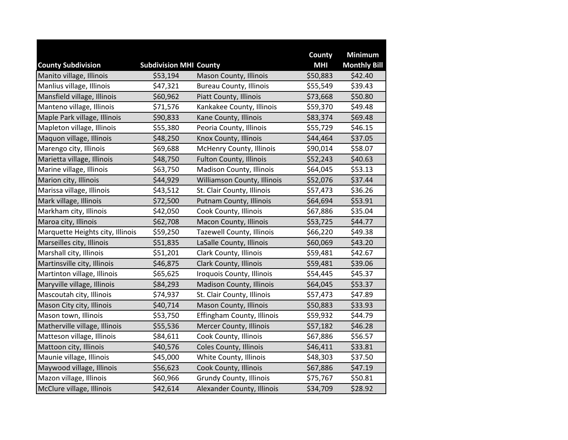|                                  |                               |                                  | County     | <b>Minimum</b>      |
|----------------------------------|-------------------------------|----------------------------------|------------|---------------------|
| <b>County Subdivision</b>        | <b>Subdivision MHI County</b> |                                  | <b>MHI</b> | <b>Monthly Bill</b> |
| Manito village, Illinois         | \$53,194                      | Mason County, Illinois           | \$50,883   | \$42.40             |
| Manlius village, Illinois        | \$47,321                      | <b>Bureau County, Illinois</b>   | \$55,549   | \$39.43             |
| Mansfield village, Illinois      | \$60,962                      | Piatt County, Illinois           | \$73,668   | \$50.80             |
| Manteno village, Illinois        | \$71,576                      | Kankakee County, Illinois        | \$59,370   | \$49.48             |
| Maple Park village, Illinois     | \$90,833                      | Kane County, Illinois            | \$83,374   | \$69.48             |
| Mapleton village, Illinois       | \$55,380                      | Peoria County, Illinois          | \$55,729   | \$46.15             |
| Maquon village, Illinois         | \$48,250                      | Knox County, Illinois            | \$44,464   | \$37.05             |
| Marengo city, Illinois           | \$69,688                      | McHenry County, Illinois         | \$90,014   | \$58.07             |
| Marietta village, Illinois       | \$48,750                      | <b>Fulton County, Illinois</b>   | \$52,243   | \$40.63             |
| Marine village, Illinois         | \$63,750                      | Madison County, Illinois         | \$64,045   | \$53.13             |
| Marion city, Illinois            | \$44,929                      | Williamson County, Illinois      | \$52,076   | \$37.44             |
| Marissa village, Illinois        | \$43,512                      | St. Clair County, Illinois       | \$57,473   | \$36.26             |
| Mark village, Illinois           | \$72,500                      | Putnam County, Illinois          | \$64,694   | \$53.91             |
| Markham city, Illinois           | \$42,050                      | Cook County, Illinois            | \$67,886   | \$35.04             |
| Maroa city, Illinois             | \$62,708                      | Macon County, Illinois           | \$53,725   | \$44.77             |
| Marquette Heights city, Illinois | \$59,250                      | <b>Tazewell County, Illinois</b> | \$66,220   | \$49.38             |
| Marseilles city, Illinois        | \$51,835                      | LaSalle County, Illinois         | \$60,069   | \$43.20             |
| Marshall city, Illinois          | \$51,201                      | Clark County, Illinois           | \$59,481   | \$42.67             |
| Martinsville city, Illinois      | \$46,875                      | <b>Clark County, Illinois</b>    | \$59,481   | \$39.06             |
| Martinton village, Illinois      | \$65,625                      | Iroquois County, Illinois        | \$54,445   | \$45.37             |
| Maryville village, Illinois      | \$84,293                      | <b>Madison County, Illinois</b>  | \$64,045   | \$53.37             |
| Mascoutah city, Illinois         | \$74,937                      | St. Clair County, Illinois       | \$57,473   | \$47.89             |
| Mason City city, Illinois        | \$40,714                      | Mason County, Illinois           | \$50,883   | \$33.93             |
| Mason town, Illinois             | \$53,750                      | Effingham County, Illinois       | \$59,932   | \$44.79             |
| Matherville village, Illinois    | \$55,536                      | <b>Mercer County, Illinois</b>   | \$57,182   | \$46.28             |
| Matteson village, Illinois       | \$84,611                      | Cook County, Illinois            | \$67,886   | \$56.57             |
| Mattoon city, Illinois           | \$40,576                      | Coles County, Illinois           | \$46,411   | \$33.81             |
| Maunie village, Illinois         | \$45,000                      | White County, Illinois           | \$48,303   | \$37.50             |
| Maywood village, Illinois        | \$56,623                      | Cook County, Illinois            | \$67,886   | \$47.19             |
| Mazon village, Illinois          | \$60,966                      | <b>Grundy County, Illinois</b>   | \$75,767   | \$50.81             |
| McClure village, Illinois        | \$42,614                      | Alexander County, Illinois       | \$34,709   | \$28.92             |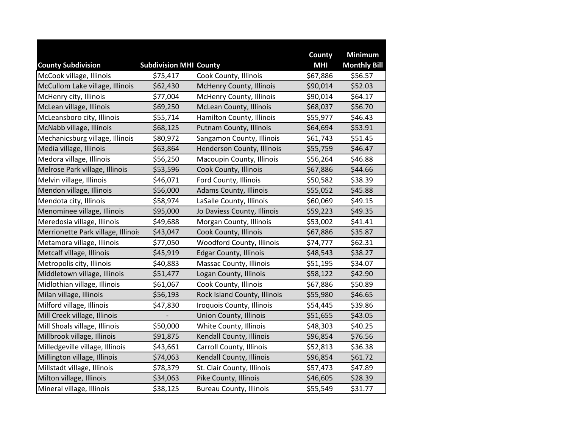|                                    |                               |                                 | County     | <b>Minimum</b>      |
|------------------------------------|-------------------------------|---------------------------------|------------|---------------------|
| <b>County Subdivision</b>          | <b>Subdivision MHI County</b> |                                 | <b>MHI</b> | <b>Monthly Bill</b> |
| McCook village, Illinois           | \$75,417                      | Cook County, Illinois           | \$67,886   | \$56.57             |
| McCullom Lake village, Illinois    | \$62,430                      | <b>McHenry County, Illinois</b> | \$90,014   | \$52.03             |
| McHenry city, Illinois             | \$77,004                      | McHenry County, Illinois        | \$90,014   | \$64.17             |
| McLean village, Illinois           | \$69,250                      | McLean County, Illinois         | \$68,037   | \$56.70             |
| McLeansboro city, Illinois         | \$55,714                      | Hamilton County, Illinois       | \$55,977   | \$46.43             |
| McNabb village, Illinois           | \$68,125                      | Putnam County, Illinois         | \$64,694   | \$53.91             |
| Mechanicsburg village, Illinois    | \$80,972                      | Sangamon County, Illinois       | \$61,743   | \$51.45             |
| Media village, Illinois            | \$63,864                      | Henderson County, Illinois      | \$55,759   | \$46.47             |
| Medora village, Illinois           | \$56,250                      | Macoupin County, Illinois       | \$56,264   | \$46.88             |
| Melrose Park village, Illinois     | \$53,596                      | Cook County, Illinois           | \$67,886   | \$44.66             |
| Melvin village, Illinois           | \$46,071                      | Ford County, Illinois           | \$50,582   | \$38.39             |
| Mendon village, Illinois           | \$56,000                      | Adams County, Illinois          | \$55,052   | \$45.88             |
| Mendota city, Illinois             | \$58,974                      | LaSalle County, Illinois        | \$60,069   | \$49.15             |
| Menominee village, Illinois        | \$95,000                      | Jo Daviess County, Illinois     | \$59,223   | \$49.35             |
| Meredosia village, Illinois        | \$49,688                      | Morgan County, Illinois         | \$53,002   | \$41.41             |
| Merrionette Park village, Illinois | \$43,047                      | Cook County, Illinois           | \$67,886   | \$35.87             |
| Metamora village, Illinois         | \$77,050                      | Woodford County, Illinois       | \$74,777   | \$62.31             |
| Metcalf village, Illinois          | \$45,919                      | <b>Edgar County, Illinois</b>   | \$48,543   | \$38.27             |
| Metropolis city, Illinois          | \$40,883                      | Massac County, Illinois         | \$51,195   | \$34.07             |
| Middletown village, Illinois       | \$51,477                      | Logan County, Illinois          | \$58,122   | \$42.90             |
| Midlothian village, Illinois       | \$61,067                      | Cook County, Illinois           | \$67,886   | \$50.89             |
| Milan village, Illinois            | \$56,193                      | Rock Island County, Illinois    | \$55,980   | \$46.65             |
| Milford village, Illinois          | \$47,830                      | Iroquois County, Illinois       | \$54,445   | \$39.86             |
| Mill Creek village, Illinois       |                               | Union County, Illinois          | \$51,655   | \$43.05             |
| Mill Shoals village, Illinois      | \$50,000                      | White County, Illinois          | \$48,303   | \$40.25             |
| Millbrook village, Illinois        | \$91,875                      | Kendall County, Illinois        | \$96,854   | \$76.56             |
| Milledgeville village, Illinois    | \$43,661                      | Carroll County, Illinois        | \$52,813   | \$36.38             |
| Millington village, Illinois       | \$74,063                      | Kendall County, Illinois        | \$96,854   | \$61.72             |
| Millstadt village, Illinois        | \$78,379                      | St. Clair County, Illinois      | \$57,473   | \$47.89             |
| Milton village, Illinois           | \$34,063                      | Pike County, Illinois           | \$46,605   | \$28.39             |
| Mineral village, Illinois          | \$38,125                      | <b>Bureau County, Illinois</b>  | \$55,549   | \$31.77             |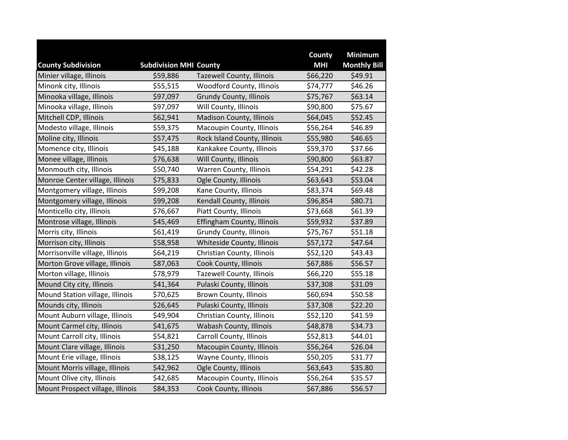|                                  |                               |                                  | County     | <b>Minimum</b>      |
|----------------------------------|-------------------------------|----------------------------------|------------|---------------------|
| <b>County Subdivision</b>        | <b>Subdivision MHI County</b> |                                  | <b>MHI</b> | <b>Monthly Bill</b> |
| Minier village, Illinois         | \$59,886                      | <b>Tazewell County, Illinois</b> | \$66,220   | \$49.91             |
| Minonk city, Illinois            | \$55,515                      | Woodford County, Illinois        | \$74,777   | \$46.26             |
| Minooka village, Illinois        | \$97,097                      | <b>Grundy County, Illinois</b>   | \$75,767   | \$63.14             |
| Minooka village, Illinois        | \$97,097                      | Will County, Illinois            | \$90,800   | \$75.67             |
| Mitchell CDP, Illinois           | \$62,941                      | Madison County, Illinois         | \$64,045   | \$52.45             |
| Modesto village, Illinois        | \$59,375                      | Macoupin County, Illinois        | \$56,264   | \$46.89             |
| Moline city, Illinois            | \$57,475                      | Rock Island County, Illinois     | \$55,980   | \$46.65             |
| Momence city, Illinois           | \$45,188                      | Kankakee County, Illinois        | \$59,370   | \$37.66             |
| Monee village, Illinois          | \$76,638                      | Will County, Illinois            | \$90,800   | \$63.87             |
| Monmouth city, Illinois          | \$50,740                      | Warren County, Illinois          | \$54,291   | \$42.28             |
| Monroe Center village, Illinois  | \$75,833                      | Ogle County, Illinois            | \$63,643   | \$53.04             |
| Montgomery village, Illinois     | \$99,208                      | Kane County, Illinois            | \$83,374   | \$69.48             |
| Montgomery village, Illinois     | \$99,208                      | Kendall County, Illinois         | \$96,854   | \$80.71             |
| Monticello city, Illinois        | \$76,667                      | Piatt County, Illinois           | \$73,668   | \$61.39             |
| Montrose village, Illinois       | \$45,469                      | Effingham County, Illinois       | \$59,932   | \$37.89             |
| Morris city, Illinois            | \$61,419                      | <b>Grundy County, Illinois</b>   | \$75,767   | \$51.18             |
| Morrison city, Illinois          | \$58,958                      | Whiteside County, Illinois       | \$57,172   | \$47.64             |
| Morrisonville village, Illinois  | \$64,219                      | Christian County, Illinois       | \$52,120   | \$43.43             |
| Morton Grove village, Illinois   | \$87,063                      | Cook County, Illinois            | \$67,886   | \$56.57             |
| Morton village, Illinois         | \$78,979                      | Tazewell County, Illinois        | \$66,220   | \$55.18             |
| Mound City city, Illinois        | \$41,364                      | Pulaski County, Illinois         | \$37,308   | \$31.09             |
| Mound Station village, Illinois  | \$70,625                      | <b>Brown County, Illinois</b>    | \$60,694   | \$50.58             |
| Mounds city, Illinois            | \$26,645                      | Pulaski County, Illinois         | \$37,308   | \$22.20             |
| Mount Auburn village, Illinois   | \$49,904                      | Christian County, Illinois       | \$52,120   | \$41.59             |
| Mount Carmel city, Illinois      | \$41,675                      | Wabash County, Illinois          | \$48,878   | \$34.73             |
| Mount Carroll city, Illinois     | \$54,821                      | Carroll County, Illinois         | \$52,813   | \$44.01             |
| Mount Clare village, Illinois    | \$31,250                      | Macoupin County, Illinois        | \$56,264   | \$26.04             |
| Mount Erie village, Illinois     | \$38,125                      | Wayne County, Illinois           | \$50,205   | \$31.77             |
| Mount Morris village, Illinois   | \$42,962                      | Ogle County, Illinois            | \$63,643   | \$35.80             |
| Mount Olive city, Illinois       | \$42,685                      | Macoupin County, Illinois        | \$56,264   | \$35.57             |
| Mount Prospect village, Illinois | \$84,353                      | Cook County, Illinois            | \$67,886   | \$56.57             |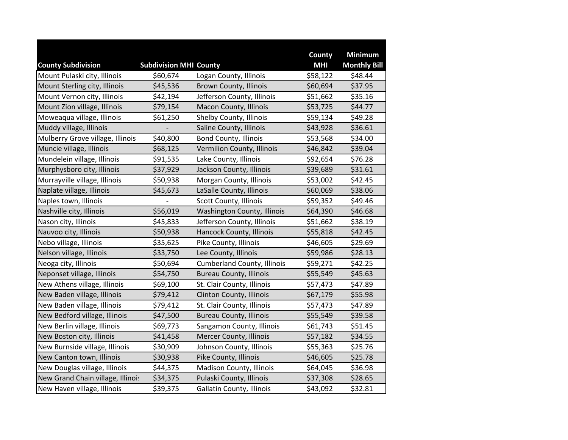|                                   |                               |                                    | County     | <b>Minimum</b>      |
|-----------------------------------|-------------------------------|------------------------------------|------------|---------------------|
| <b>County Subdivision</b>         | <b>Subdivision MHI County</b> |                                    | <b>MHI</b> | <b>Monthly Bill</b> |
| Mount Pulaski city, Illinois      | \$60,674                      | Logan County, Illinois             | \$58,122   | \$48.44             |
| Mount Sterling city, Illinois     | \$45,536                      | <b>Brown County, Illinois</b>      | \$60,694   | \$37.95             |
| Mount Vernon city, Illinois       | \$42,194                      | Jefferson County, Illinois         | \$51,662   | \$35.16             |
| Mount Zion village, Illinois      | \$79,154                      | Macon County, Illinois             | \$53,725   | \$44.77             |
| Moweaqua village, Illinois        | \$61,250                      | Shelby County, Illinois            | \$59,134   | \$49.28             |
| Muddy village, Illinois           |                               | Saline County, Illinois            | \$43,928   | \$36.61             |
| Mulberry Grove village, Illinois  | \$40,800                      | <b>Bond County, Illinois</b>       | \$53,568   | \$34.00             |
| Muncie village, Illinois          | \$68,125                      | Vermilion County, Illinois         | \$46,842   | \$39.04             |
| Mundelein village, Illinois       | \$91,535                      | Lake County, Illinois              | \$92,654   | \$76.28             |
| Murphysboro city, Illinois        | \$37,929                      | Jackson County, Illinois           | \$39,689   | \$31.61             |
| Murrayville village, Illinois     | \$50,938                      | Morgan County, Illinois            | \$53,002   | \$42.45             |
| Naplate village, Illinois         | \$45,673                      | LaSalle County, Illinois           | \$60,069   | \$38.06             |
| Naples town, Illinois             |                               | Scott County, Illinois             | \$59,352   | \$49.46             |
| Nashville city, Illinois          | \$56,019                      | Washington County, Illinois        | \$64,390   | \$46.68             |
| Nason city, Illinois              | \$45,833                      | Jefferson County, Illinois         | \$51,662   | \$38.19             |
| Nauvoo city, Illinois             | \$50,938                      | Hancock County, Illinois           | \$55,818   | \$42.45             |
| Nebo village, Illinois            | \$35,625                      | Pike County, Illinois              | \$46,605   | \$29.69             |
| Nelson village, Illinois          | \$33,750                      | Lee County, Illinois               | \$59,986   | \$28.13             |
| Neoga city, Illinois              | \$50,694                      | <b>Cumberland County, Illinois</b> | \$59,271   | \$42.25             |
| Neponset village, Illinois        | \$54,750                      | <b>Bureau County, Illinois</b>     | \$55,549   | \$45.63             |
| New Athens village, Illinois      | \$69,100                      | St. Clair County, Illinois         | \$57,473   | \$47.89             |
| New Baden village, Illinois       | \$79,412                      | Clinton County, Illinois           | \$67,179   | \$55.98             |
| New Baden village, Illinois       | \$79,412                      | St. Clair County, Illinois         | \$57,473   | \$47.89             |
| New Bedford village, Illinois     | \$47,500                      | <b>Bureau County, Illinois</b>     | \$55,549   | \$39.58             |
| New Berlin village, Illinois      | \$69,773                      | Sangamon County, Illinois          | \$61,743   | \$51.45             |
| New Boston city, Illinois         | \$41,458                      | Mercer County, Illinois            | \$57,182   | \$34.55             |
| New Burnside village, Illinois    | \$30,909                      | Johnson County, Illinois           | \$55,363   | \$25.76             |
| New Canton town, Illinois         | \$30,938                      | Pike County, Illinois              | \$46,605   | \$25.78             |
| New Douglas village, Illinois     | \$44,375                      | Madison County, Illinois           | \$64,045   | \$36.98             |
| New Grand Chain village, Illinoi: | \$34,375                      | Pulaski County, Illinois           | \$37,308   | \$28.65             |
| New Haven village, Illinois       | \$39,375                      | Gallatin County, Illinois          | \$43,092   | \$32.81             |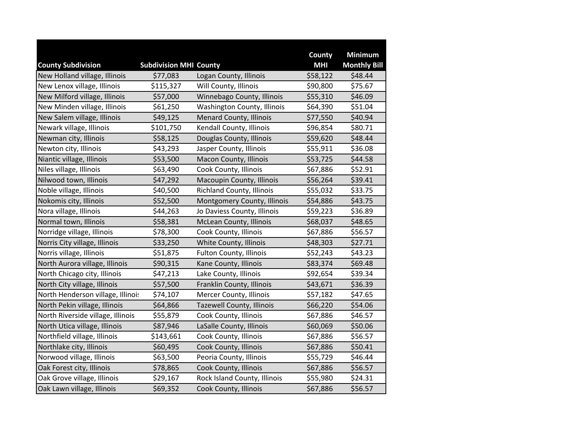|                                   |                               |                                  | <b>County</b> | <b>Minimum</b>      |
|-----------------------------------|-------------------------------|----------------------------------|---------------|---------------------|
| <b>County Subdivision</b>         | <b>Subdivision MHI County</b> |                                  | <b>MHI</b>    | <b>Monthly Bill</b> |
| New Holland village, Illinois     | \$77,083                      | Logan County, Illinois           | \$58,122      | \$48.44             |
| New Lenox village, Illinois       | \$115,327                     | Will County, Illinois            | \$90,800      | \$75.67             |
| New Milford village, Illinois     | \$57,000                      | Winnebago County, Illinois       | \$55,310      | \$46.09             |
| New Minden village, Illinois      | \$61,250                      | Washington County, Illinois      | \$64,390      | \$51.04             |
| New Salem village, Illinois       | \$49,125                      | <b>Menard County, Illinois</b>   | \$77,550      | \$40.94             |
| Newark village, Illinois          | \$101,750                     | Kendall County, Illinois         | \$96,854      | \$80.71             |
| Newman city, Illinois             | \$58,125                      | Douglas County, Illinois         | \$59,620      | \$48.44             |
| Newton city, Illinois             | \$43,293                      | Jasper County, Illinois          | \$55,911      | \$36.08             |
| Niantic village, Illinois         | \$53,500                      | Macon County, Illinois           | \$53,725      | \$44.58             |
| Niles village, Illinois           | \$63,490                      | Cook County, Illinois            | \$67,886      | \$52.91             |
| Nilwood town, Illinois            | \$47,292                      | Macoupin County, Illinois        | \$56,264      | \$39.41             |
| Noble village, Illinois           | \$40,500                      | Richland County, Illinois        | \$55,032      | \$33.75             |
| Nokomis city, Illinois            | \$52,500                      | Montgomery County, Illinois      | \$54,886      | \$43.75             |
| Nora village, Illinois            | \$44,263                      | Jo Daviess County, Illinois      | \$59,223      | \$36.89             |
| Normal town, Illinois             | \$58,381                      | <b>McLean County, Illinois</b>   | \$68,037      | \$48.65             |
| Norridge village, Illinois        | \$78,300                      | Cook County, Illinois            | \$67,886      | \$56.57             |
| Norris City village, Illinois     | \$33,250                      | White County, Illinois           | \$48,303      | \$27.71             |
| Norris village, Illinois          | \$51,875                      | Fulton County, Illinois          | \$52,243      | \$43.23             |
| North Aurora village, Illinois    | \$90,315                      | Kane County, Illinois            | \$83,374      | \$69.48             |
| North Chicago city, Illinois      | \$47,213                      | Lake County, Illinois            | \$92,654      | \$39.34             |
| North City village, Illinois      | \$57,500                      | Franklin County, Illinois        | \$43,671      | \$36.39             |
| North Henderson village, Illinois | \$74,107                      | Mercer County, Illinois          | \$57,182      | \$47.65             |
| North Pekin village, Illinois     | \$64,866                      | <b>Tazewell County, Illinois</b> | \$66,220      | \$54.06             |
| North Riverside village, Illinois | \$55,879                      | Cook County, Illinois            | \$67,886      | \$46.57             |
| North Utica village, Illinois     | \$87,946                      | LaSalle County, Illinois         | \$60,069      | \$50.06             |
| Northfield village, Illinois      | \$143,661                     | Cook County, Illinois            | \$67,886      | \$56.57             |
| Northlake city, Illinois          | \$60,495                      | Cook County, Illinois            | \$67,886      | \$50.41             |
| Norwood village, Illinois         | \$63,500                      | Peoria County, Illinois          | \$55,729      | \$46.44             |
| Oak Forest city, Illinois         | \$78,865                      | <b>Cook County, Illinois</b>     | \$67,886      | \$56.57             |
| Oak Grove village, Illinois       | \$29,167                      | Rock Island County, Illinois     | \$55,980      | \$24.31             |
| Oak Lawn village, Illinois        | \$69,352                      | Cook County, Illinois            | \$67,886      | \$56.57             |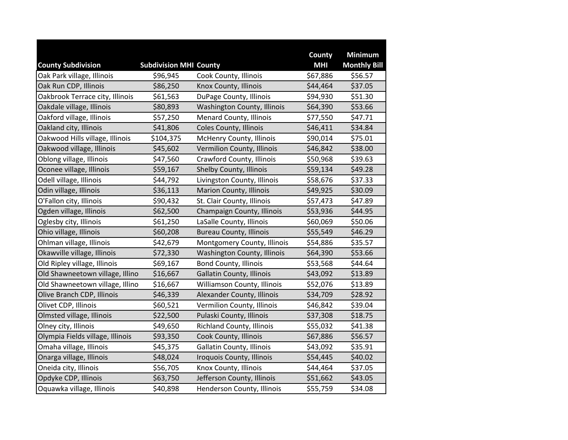|                                  |                               |                                  | <b>County</b> | <b>Minimum</b>      |
|----------------------------------|-------------------------------|----------------------------------|---------------|---------------------|
| <b>County Subdivision</b>        | <b>Subdivision MHI County</b> |                                  | <b>MHI</b>    | <b>Monthly Bill</b> |
| Oak Park village, Illinois       | \$96,945                      | Cook County, Illinois            | \$67,886      | \$56.57             |
| Oak Run CDP, Illinois            | \$86,250                      | Knox County, Illinois            | \$44,464      | \$37.05             |
| Oakbrook Terrace city, Illinois  | \$61,563                      | DuPage County, Illinois          | \$94,930      | \$51.30             |
| Oakdale village, Illinois        | \$80,893                      | Washington County, Illinois      | \$64,390      | \$53.66             |
| Oakford village, Illinois        | \$57,250                      | <b>Menard County, Illinois</b>   | \$77,550      | \$47.71             |
| Oakland city, Illinois           | \$41,806                      | Coles County, Illinois           | \$46,411      | \$34.84             |
| Oakwood Hills village, Illinois  | \$104,375                     | McHenry County, Illinois         | \$90,014      | \$75.01             |
| Oakwood village, Illinois        | \$45,602                      | Vermilion County, Illinois       | \$46,842      | \$38.00             |
| Oblong village, Illinois         | \$47,560                      | Crawford County, Illinois        | \$50,968      | \$39.63             |
| Oconee village, Illinois         | \$59,167                      | Shelby County, Illinois          | \$59,134      | \$49.28             |
| Odell village, Illinois          | \$44,792                      | Livingston County, Illinois      | \$58,676      | \$37.33             |
| Odin village, Illinois           | \$36,113                      | Marion County, Illinois          | \$49,925      | \$30.09             |
| O'Fallon city, Illinois          | \$90,432                      | St. Clair County, Illinois       | \$57,473      | \$47.89             |
| Ogden village, Illinois          | \$62,500                      | Champaign County, Illinois       | \$53,936      | \$44.95             |
| Oglesby city, Illinois           | \$61,250                      | LaSalle County, Illinois         | \$60,069      | \$50.06             |
| Ohio village, Illinois           | \$60,208                      | <b>Bureau County, Illinois</b>   | \$55,549      | \$46.29             |
| Ohlman village, Illinois         | \$42,679                      | Montgomery County, Illinois      | \$54,886      | \$35.57             |
| Okawville village, Illinois      | \$72,330                      | Washington County, Illinois      | \$64,390      | \$53.66             |
| Old Ripley village, Illinois     | \$69,167                      | <b>Bond County, Illinois</b>     | \$53,568      | \$44.64             |
| Old Shawneetown village, Illino  | \$16,667                      | <b>Gallatin County, Illinois</b> | \$43,092      | \$13.89             |
| Old Shawneetown village, Illino  | \$16,667                      | Williamson County, Illinois      | \$52,076      | \$13.89             |
| Olive Branch CDP, Illinois       | \$46,339                      | Alexander County, Illinois       | \$34,709      | \$28.92             |
| Olivet CDP, Illinois             | \$60,521                      | Vermilion County, Illinois       | \$46,842      | \$39.04             |
| Olmsted village, Illinois        | \$22,500                      | Pulaski County, Illinois         | \$37,308      | \$18.75             |
| Olney city, Illinois             | \$49,650                      | <b>Richland County, Illinois</b> | \$55,032      | \$41.38             |
| Olympia Fields village, Illinois | \$93,350                      | Cook County, Illinois            | \$67,886      | \$56.57             |
| Omaha village, Illinois          | \$45,375                      | <b>Gallatin County, Illinois</b> | \$43,092      | \$35.91             |
| Onarga village, Illinois         | \$48,024                      | Iroquois County, Illinois        | \$54,445      | \$40.02             |
| Oneida city, Illinois            | \$56,705                      | Knox County, Illinois            | \$44,464      | \$37.05             |
| Opdyke CDP, Illinois             | \$63,750                      | Jefferson County, Illinois       | \$51,662      | \$43.05             |
| Oquawka village, Illinois        | \$40,898                      | Henderson County, Illinois       | \$55,759      | \$34.08             |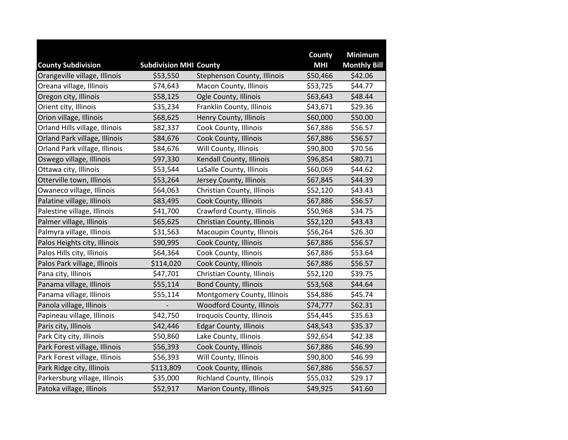|                                |                               |                                  | County     | <b>Minimum</b>      |
|--------------------------------|-------------------------------|----------------------------------|------------|---------------------|
| <b>County Subdivision</b>      | <b>Subdivision MHI County</b> |                                  | <b>MHI</b> | <b>Monthly Bill</b> |
| Orangeville village, Illinois  | \$53,550                      | Stephenson County, Illinois      | \$50,466   | \$42.06             |
| Oreana village, Illinois       | \$74,643                      | Macon County, Illinois           | \$53,725   | \$44.77             |
| Oregon city, Illinois          | \$58,125                      | Ogle County, Illinois            | \$63,643   | \$48.44             |
| Orient city, Illinois          | \$35,234                      | Franklin County, Illinois        | \$43,671   | \$29.36             |
| Orion village, Illinois        | \$68,625                      | Henry County, Illinois           | \$60,000   | \$50.00             |
| Orland Hills village, Illinois | \$82,337                      | Cook County, Illinois            | \$67,886   | \$56.57             |
| Orland Park village, Illinois  | \$84,676                      | Cook County, Illinois            | \$67,886   | \$56.57             |
| Orland Park village, Illinois  | \$84,676                      | Will County, Illinois            | \$90,800   | \$70.56             |
| Oswego village, Illinois       | \$97,330                      | Kendall County, Illinois         | \$96,854   | \$80.71             |
| Ottawa city, Illinois          | \$53,544                      | LaSalle County, Illinois         | \$60,069   | \$44.62             |
| Otterville town, Illinois      | \$53,264                      | Jersey County, Illinois          | \$67,845   | \$44.39             |
| Owaneco village, Illinois      | \$64,063                      | Christian County, Illinois       | \$52,120   | \$43.43             |
| Palatine village, Illinois     | \$83,495                      | Cook County, Illinois            | \$67,886   | \$56.57             |
| Palestine village, Illinois    | \$41,700                      | Crawford County, Illinois        | \$50,968   | \$34.75             |
| Palmer village, Illinois       | \$65,625                      | Christian County, Illinois       | \$52,120   | \$43.43             |
| Palmyra village, Illinois      | \$31,563                      | Macoupin County, Illinois        | \$56,264   | \$26.30             |
| Palos Heights city, Illinois   | \$90,995                      | Cook County, Illinois            | \$67,886   | \$56.57             |
| Palos Hills city, Illinois     | \$64,364                      | Cook County, Illinois            | \$67,886   | \$53.64             |
| Palos Park village, Illinois   | \$114,020                     | Cook County, Illinois            | \$67,886   | \$56.57             |
| Pana city, Illinois            | \$47,701                      | Christian County, Illinois       | \$52,120   | \$39.75             |
| Panama village, Illinois       | \$55,114                      | <b>Bond County, Illinois</b>     | \$53,568   | \$44.64             |
| Panama village, Illinois       | \$55,114                      | Montgomery County, Illinois      | \$54,886   | \$45.74             |
| Panola village, Illinois       |                               | <b>Woodford County, Illinois</b> | \$74,777   | \$62.31             |
| Papineau village, Illinois     | \$42,750                      | Iroquois County, Illinois        | \$54,445   | \$35.63             |
| Paris city, Illinois           | \$42,446                      | <b>Edgar County, Illinois</b>    | \$48,543   | \$35.37             |
| Park City city, Illinois       | \$50,860                      | Lake County, Illinois            | \$92,654   | \$42.38             |
| Park Forest village, Illinois  | \$56,393                      | Cook County, Illinois            | \$67,886   | \$46.99             |
| Park Forest village, Illinois  | \$56,393                      | Will County, Illinois            | \$90,800   | \$46.99             |
| Park Ridge city, Illinois      | \$113,809                     | Cook County, Illinois            | \$67,886   | \$56.57             |
| Parkersburg village, Illinois  | \$35,000                      | Richland County, Illinois        | \$55,032   | \$29.17             |
| Patoka village, Illinois       | \$52,917                      | Marion County, Illinois          | \$49,925   | \$41.60             |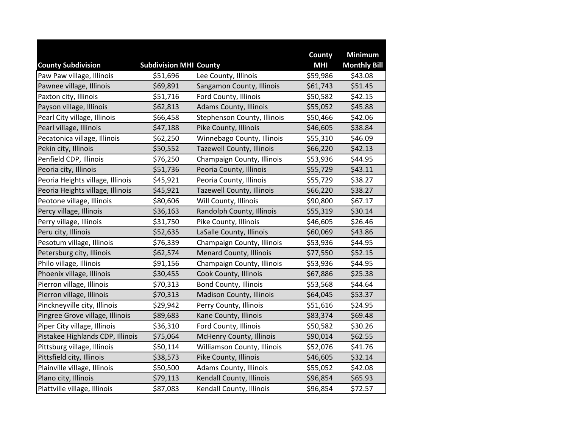|                                  |                               |                                  | County     | <b>Minimum</b>      |
|----------------------------------|-------------------------------|----------------------------------|------------|---------------------|
| <b>County Subdivision</b>        | <b>Subdivision MHI County</b> |                                  | <b>MHI</b> | <b>Monthly Bill</b> |
| Paw Paw village, Illinois        | \$51,696                      | Lee County, Illinois             | \$59,986   | \$43.08             |
| Pawnee village, Illinois         | \$69,891                      | Sangamon County, Illinois        | \$61,743   | \$51.45             |
| Paxton city, Illinois            | \$51,716                      | Ford County, Illinois            | \$50,582   | \$42.15             |
| Payson village, Illinois         | \$62,813                      | <b>Adams County, Illinois</b>    | \$55,052   | \$45.88             |
| Pearl City village, Illinois     | \$66,458                      | Stephenson County, Illinois      | \$50,466   | \$42.06             |
| Pearl village, Illinois          | \$47,188                      | Pike County, Illinois            | \$46,605   | \$38.84             |
| Pecatonica village, Illinois     | \$62,250                      | Winnebago County, Illinois       | \$55,310   | \$46.09             |
| Pekin city, Illinois             | \$50,552                      | <b>Tazewell County, Illinois</b> | \$66,220   | \$42.13             |
| Penfield CDP, Illinois           | \$76,250                      | Champaign County, Illinois       | \$53,936   | \$44.95             |
| Peoria city, Illinois            | \$51,736                      | Peoria County, Illinois          | \$55,729   | \$43.11             |
| Peoria Heights village, Illinois | \$45,921                      | Peoria County, Illinois          | \$55,729   | \$38.27             |
| Peoria Heights village, Illinois | \$45,921                      | Tazewell County, Illinois        | \$66,220   | \$38.27             |
| Peotone village, Illinois        | \$80,606                      | Will County, Illinois            | \$90,800   | \$67.17             |
| Percy village, Illinois          | \$36,163                      | Randolph County, Illinois        | \$55,319   | \$30.14             |
| Perry village, Illinois          | \$31,750                      | Pike County, Illinois            | \$46,605   | \$26.46             |
| Peru city, Illinois              | \$52,635                      | LaSalle County, Illinois         | \$60,069   | \$43.86             |
| Pesotum village, Illinois        | \$76,339                      | Champaign County, Illinois       | \$53,936   | \$44.95             |
| Petersburg city, Illinois        | \$62,574                      | <b>Menard County, Illinois</b>   | \$77,550   | \$52.15             |
| Philo village, Illinois          | \$91,156                      | Champaign County, Illinois       | \$53,936   | \$44.95             |
| Phoenix village, Illinois        | \$30,455                      | Cook County, Illinois            | \$67,886   | \$25.38             |
| Pierron village, Illinois        | \$70,313                      | <b>Bond County, Illinois</b>     | \$53,568   | \$44.64             |
| Pierron village, Illinois        | \$70,313                      | Madison County, Illinois         | \$64,045   | \$53.37             |
| Pinckneyville city, Illinois     | \$29,942                      | Perry County, Illinois           | \$51,616   | \$24.95             |
| Pingree Grove village, Illinois  | \$89,683                      | Kane County, Illinois            | \$83,374   | \$69.48             |
| Piper City village, Illinois     | \$36,310                      | Ford County, Illinois            | \$50,582   | \$30.26             |
| Pistakee Highlands CDP, Illinois | \$75,064                      | <b>McHenry County, Illinois</b>  | \$90,014   | \$62.55             |
| Pittsburg village, Illinois      | \$50,114                      | Williamson County, Illinois      | \$52,076   | \$41.76             |
| Pittsfield city, Illinois        | \$38,573                      | Pike County, Illinois            | \$46,605   | \$32.14             |
| Plainville village, Illinois     | \$50,500                      | Adams County, Illinois           | \$55,052   | \$42.08             |
| Plano city, Illinois             | \$79,113                      | Kendall County, Illinois         | \$96,854   | \$65.93             |
| Plattville village, Illinois     | \$87,083                      | Kendall County, Illinois         | \$96,854   | \$72.57             |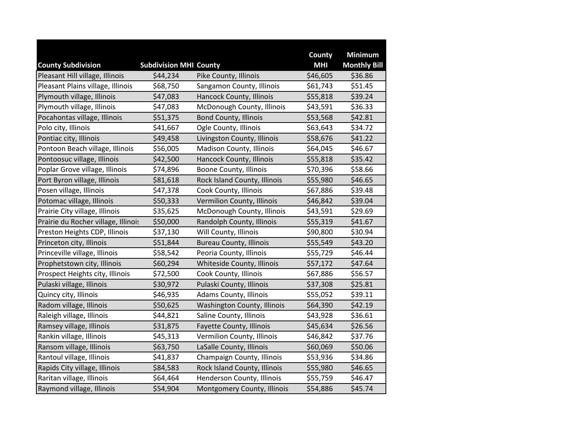|                                                              |                                           |                                | County                 | <b>Minimum</b>                 |
|--------------------------------------------------------------|-------------------------------------------|--------------------------------|------------------------|--------------------------------|
| <b>County Subdivision</b><br>Pleasant Hill village, Illinois | <b>Subdivision MHI County</b><br>\$44,234 | Pike County, Illinois          | <b>MHI</b><br>\$46,605 | <b>Monthly Bill</b><br>\$36.86 |
| Pleasant Plains village, Illinois                            | \$68,750                                  | Sangamon County, Illinois      | \$61,743               | \$51.45                        |
| Plymouth village, Illinois                                   |                                           |                                |                        | \$39.24                        |
|                                                              | \$47,083                                  | Hancock County, Illinois       | \$55,818               |                                |
| Plymouth village, Illinois                                   | \$47,083                                  | McDonough County, Illinois     | \$43,591               | \$36.33                        |
| Pocahontas village, Illinois                                 | \$51,375                                  | <b>Bond County, Illinois</b>   | \$53,568               | \$42.81                        |
| Polo city, Illinois                                          | \$41,667                                  | Ogle County, Illinois          | \$63,643               | \$34.72                        |
| Pontiac city, Illinois                                       | \$49,458                                  | Livingston County, Illinois    | \$58,676               | \$41.22                        |
| Pontoon Beach village, Illinois                              | \$56,005                                  | Madison County, Illinois       | \$64,045               | \$46.67                        |
| Pontoosuc village, Illinois                                  | \$42,500                                  | Hancock County, Illinois       | \$55,818               | \$35.42                        |
| Poplar Grove village, Illinois                               | \$74,896                                  | Boone County, Illinois         | \$70,396               | \$58.66                        |
| Port Byron village, Illinois                                 | \$81,618                                  | Rock Island County, Illinois   | \$55,980               | \$46.65                        |
| Posen village, Illinois                                      | \$47,378                                  | Cook County, Illinois          | \$67,886               | \$39.48                        |
| Potomac village, Illinois                                    | \$50,333                                  | Vermilion County, Illinois     | \$46,842               | \$39.04                        |
| Prairie City village, Illinois                               | \$35,625                                  | McDonough County, Illinois     | \$43,591               | \$29.69                        |
| Prairie du Rocher village, Illinois                          | \$50,000                                  | Randolph County, Illinois      | \$55,319               | \$41.67                        |
| Preston Heights CDP, Illinois                                | \$37,130                                  | Will County, Illinois          | \$90,800               | \$30.94                        |
| Princeton city, Illinois                                     | \$51,844                                  | <b>Bureau County, Illinois</b> | \$55,549               | \$43.20                        |
| Princeville village, Illinois                                | \$58,542                                  | Peoria County, Illinois        | \$55,729               | \$46.44                        |
| Prophetstown city, Illinois                                  | \$60,294                                  | Whiteside County, Illinois     | \$57,172               | \$47.64                        |
| Prospect Heights city, Illinois                              | \$72,500                                  | Cook County, Illinois          | \$67,886               | \$56.57                        |
| Pulaski village, Illinois                                    | \$30,972                                  | Pulaski County, Illinois       | \$37,308               | \$25.81                        |
| Quincy city, Illinois                                        | \$46,935                                  | Adams County, Illinois         | \$55,052               | \$39.11                        |
| Radom village, Illinois                                      | \$50,625                                  | Washington County, Illinois    | \$64,390               | \$42.19                        |
| Raleigh village, Illinois                                    | \$44,821                                  | Saline County, Illinois        | \$43,928               | \$36.61                        |
| Ramsey village, Illinois                                     | \$31,875                                  | Fayette County, Illinois       | \$45,634               | \$26.56                        |
| Rankin village, Illinois                                     | \$45,313                                  | Vermilion County, Illinois     | \$46,842               | \$37.76                        |
| Ransom village, Illinois                                     | \$63,750                                  | LaSalle County, Illinois       | \$60,069               | \$50.06                        |
| Rantoul village, Illinois                                    | \$41,837                                  | Champaign County, Illinois     | \$53,936               | \$34.86                        |
| Rapids City village, Illinois                                | \$84,583                                  | Rock Island County, Illinois   | \$55,980               | \$46.65                        |
| Raritan village, Illinois                                    | \$64,464                                  | Henderson County, Illinois     | \$55,759               | \$46.47                        |
| Raymond village, Illinois                                    | \$54,904                                  | Montgomery County, Illinois    | \$54,886               | \$45.74                        |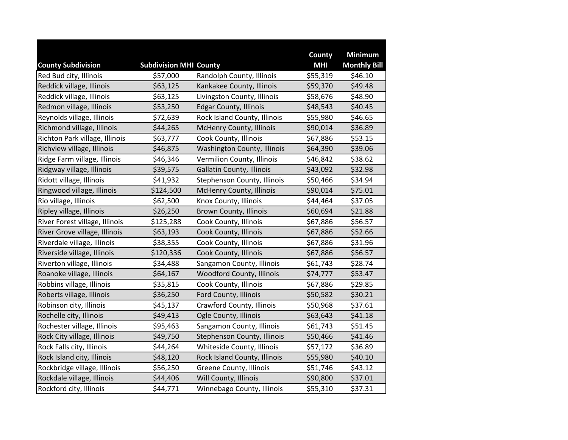|                                |                               |                                  | County     | <b>Minimum</b>      |
|--------------------------------|-------------------------------|----------------------------------|------------|---------------------|
| <b>County Subdivision</b>      | <b>Subdivision MHI County</b> |                                  | <b>MHI</b> | <b>Monthly Bill</b> |
| Red Bud city, Illinois         | \$57,000                      | Randolph County, Illinois        | \$55,319   | \$46.10             |
| Reddick village, Illinois      | \$63,125                      | Kankakee County, Illinois        | \$59,370   | \$49.48             |
| Reddick village, Illinois      | \$63,125                      | Livingston County, Illinois      | \$58,676   | \$48.90             |
| Redmon village, Illinois       | \$53,250                      | <b>Edgar County, Illinois</b>    | \$48,543   | \$40.45             |
| Reynolds village, Illinois     | \$72,639                      | Rock Island County, Illinois     | \$55,980   | \$46.65             |
| Richmond village, Illinois     | \$44,265                      | McHenry County, Illinois         | \$90,014   | \$36.89             |
| Richton Park village, Illinois | \$63,777                      | Cook County, Illinois            | \$67,886   | \$53.15             |
| Richview village, Illinois     | \$46,875                      | Washington County, Illinois      | \$64,390   | \$39.06             |
| Ridge Farm village, Illinois   | \$46,346                      | Vermilion County, Illinois       | \$46,842   | \$38.62             |
| Ridgway village, Illinois      | \$39,575                      | <b>Gallatin County, Illinois</b> | \$43,092   | \$32.98             |
| Ridott village, Illinois       | \$41,932                      | Stephenson County, Illinois      | \$50,466   | \$34.94             |
| Ringwood village, Illinois     | \$124,500                     | McHenry County, Illinois         | \$90,014   | \$75.01             |
| Rio village, Illinois          | \$62,500                      | Knox County, Illinois            | \$44,464   | \$37.05             |
| Ripley village, Illinois       | \$26,250                      | <b>Brown County, Illinois</b>    | \$60,694   | \$21.88             |
| River Forest village, Illinois | \$125,288                     | Cook County, Illinois            | \$67,886   | \$56.57             |
| River Grove village, Illinois  | \$63,193                      | Cook County, Illinois            | \$67,886   | \$52.66             |
| Riverdale village, Illinois    | \$38,355                      | Cook County, Illinois            | \$67,886   | \$31.96             |
| Riverside village, Illinois    | \$120,336                     | Cook County, Illinois            | \$67,886   | \$56.57             |
| Riverton village, Illinois     | \$34,488                      | Sangamon County, Illinois        | \$61,743   | \$28.74             |
| Roanoke village, Illinois      | \$64,167                      | <b>Woodford County, Illinois</b> | \$74,777   | \$53.47             |
| Robbins village, Illinois      | \$35,815                      | Cook County, Illinois            | \$67,886   | \$29.85             |
| Roberts village, Illinois      | \$36,250                      | Ford County, Illinois            | \$50,582   | \$30.21             |
| Robinson city, Illinois        | \$45,137                      | Crawford County, Illinois        | \$50,968   | \$37.61             |
| Rochelle city, Illinois        | \$49,413                      | Ogle County, Illinois            | \$63,643   | \$41.18             |
| Rochester village, Illinois    | \$95,463                      | Sangamon County, Illinois        | \$61,743   | \$51.45             |
| Rock City village, Illinois    | \$49,750                      | Stephenson County, Illinois      | \$50,466   | \$41.46             |
| Rock Falls city, Illinois      | \$44,264                      | Whiteside County, Illinois       | \$57,172   | \$36.89             |
| Rock Island city, Illinois     | \$48,120                      | Rock Island County, Illinois     | \$55,980   | \$40.10             |
| Rockbridge village, Illinois   | \$56,250                      | Greene County, Illinois          | \$51,746   | \$43.12             |
| Rockdale village, Illinois     | \$44,406                      | Will County, Illinois            | \$90,800   | \$37.01             |
| Rockford city, Illinois        | \$44,771                      | Winnebago County, Illinois       | \$55,310   | \$37.31             |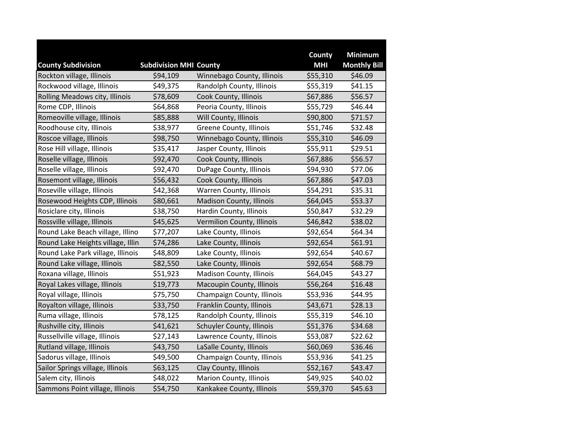|                                   |                               |                                  | County     | <b>Minimum</b>      |
|-----------------------------------|-------------------------------|----------------------------------|------------|---------------------|
| <b>County Subdivision</b>         | <b>Subdivision MHI County</b> |                                  | <b>MHI</b> | <b>Monthly Bill</b> |
| Rockton village, Illinois         | \$94,109                      | Winnebago County, Illinois       | \$55,310   | \$46.09             |
| Rockwood village, Illinois        | \$49,375                      | Randolph County, Illinois        | \$55,319   | \$41.15             |
| Rolling Meadows city, Illinois    | \$78,609                      | Cook County, Illinois            | \$67,886   | \$56.57             |
| Rome CDP, Illinois                | \$64,868                      | Peoria County, Illinois          | \$55,729   | \$46.44             |
| Romeoville village, Illinois      | \$85,888                      | Will County, Illinois            | \$90,800   | \$71.57             |
| Roodhouse city, Illinois          | \$38,977                      | Greene County, Illinois          | \$51,746   | \$32.48             |
| Roscoe village, Illinois          | \$98,750                      | Winnebago County, Illinois       | \$55,310   | \$46.09             |
| Rose Hill village, Illinois       | \$35,417                      | Jasper County, Illinois          | \$55,911   | \$29.51             |
| Roselle village, Illinois         | \$92,470                      | Cook County, Illinois            | \$67,886   | \$56.57             |
| Roselle village, Illinois         | \$92,470                      | DuPage County, Illinois          | \$94,930   | \$77.06             |
| Rosemont village, Illinois        | \$56,432                      | Cook County, Illinois            | \$67,886   | \$47.03             |
| Roseville village, Illinois       | \$42,368                      | Warren County, Illinois          | \$54,291   | \$35.31             |
| Rosewood Heights CDP, Illinois    | \$80,661                      | Madison County, Illinois         | \$64,045   | \$53.37             |
| Rosiclare city, Illinois          | \$38,750                      | Hardin County, Illinois          | \$50,847   | \$32.29             |
| Rossville village, Illinois       | \$45,625                      | Vermilion County, Illinois       | \$46,842   | \$38.02             |
| Round Lake Beach village, Illino  | \$77,207                      | Lake County, Illinois            | \$92,654   | \$64.34             |
| Round Lake Heights village, Illin | \$74,286                      | Lake County, Illinois            | \$92,654   | \$61.91             |
| Round Lake Park village, Illinois | \$48,809                      | Lake County, Illinois            | \$92,654   | \$40.67             |
| Round Lake village, Illinois      | \$82,550                      | Lake County, Illinois            | \$92,654   | \$68.79             |
| Roxana village, Illinois          | \$51,923                      | Madison County, Illinois         | \$64,045   | \$43.27             |
| Royal Lakes village, Illinois     | \$19,773                      | Macoupin County, Illinois        | \$56,264   | \$16.48             |
| Royal village, Illinois           | \$75,750                      | Champaign County, Illinois       | \$53,936   | \$44.95             |
| Royalton village, Illinois        | \$33,750                      | Franklin County, Illinois        | \$43,671   | \$28.13             |
| Ruma village, Illinois            | \$78,125                      | Randolph County, Illinois        | \$55,319   | \$46.10             |
| Rushville city, Illinois          | \$41,621                      | <b>Schuyler County, Illinois</b> | \$51,376   | \$34.68             |
| Russellville village, Illinois    | \$27,143                      | Lawrence County, Illinois        | \$53,087   | \$22.62             |
| Rutland village, Illinois         | \$43,750                      | LaSalle County, Illinois         | \$60,069   | \$36.46             |
| Sadorus village, Illinois         | \$49,500                      | Champaign County, Illinois       | \$53,936   | \$41.25             |
| Sailor Springs village, Illinois  | \$63,125                      | Clay County, Illinois            | \$52,167   | \$43.47             |
| Salem city, Illinois              | \$48,022                      | Marion County, Illinois          | \$49,925   | \$40.02             |
| Sammons Point village, Illinois   | \$54,750                      | Kankakee County, Illinois        | \$59,370   | \$45.63             |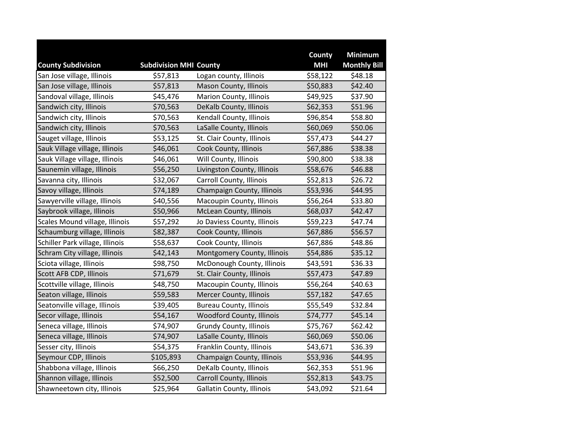|                                 |                               |                                  | County     | <b>Minimum</b>      |
|---------------------------------|-------------------------------|----------------------------------|------------|---------------------|
| <b>County Subdivision</b>       | <b>Subdivision MHI County</b> |                                  | <b>MHI</b> | <b>Monthly Bill</b> |
| San Jose village, Illinois      | \$57,813                      | Logan county, Illinois           | \$58,122   | \$48.18             |
| San Jose village, Illinois      | \$57,813                      | Mason County, Illinois           | \$50,883   | \$42.40             |
| Sandoval village, Illinois      | \$45,476                      | <b>Marion County, Illinois</b>   | \$49,925   | \$37.90             |
| Sandwich city, Illinois         | \$70,563                      | DeKalb County, Illinois          | \$62,353   | \$51.96             |
| Sandwich city, Illinois         | \$70,563                      | Kendall County, Illinois         | \$96,854   | \$58.80             |
| Sandwich city, Illinois         | \$70,563                      | LaSalle County, Illinois         | \$60,069   | \$50.06             |
| Sauget village, Illinois        | \$53,125                      | St. Clair County, Illinois       | \$57,473   | \$44.27             |
| Sauk Village village, Illinois  | \$46,061                      | Cook County, Illinois            | \$67,886   | \$38.38             |
| Sauk Village village, Illinois  | \$46,061                      | Will County, Illinois            | \$90,800   | \$38.38             |
| Saunemin village, Illinois      | \$56,250                      | Livingston County, Illinois      | \$58,676   | \$46.88             |
| Savanna city, Illinois          | \$32,067                      | <b>Carroll County, Illinois</b>  | \$52,813   | \$26.72             |
| Savoy village, Illinois         | \$74,189                      | Champaign County, Illinois       | \$53,936   | \$44.95             |
| Sawyerville village, Illinois   | \$40,556                      | Macoupin County, Illinois        | \$56,264   | \$33.80             |
| Saybrook village, Illinois      | \$50,966                      | McLean County, Illinois          | \$68,037   | \$42.47             |
| Scales Mound village, Illinois  | \$57,292                      | Jo Daviess County, Illinois      | \$59,223   | \$47.74             |
| Schaumburg village, Illinois    | \$82,387                      | Cook County, Illinois            | \$67,886   | \$56.57             |
| Schiller Park village, Illinois | \$58,637                      | Cook County, Illinois            | \$67,886   | \$48.86             |
| Schram City village, Illinois   | \$42,143                      | Montgomery County, Illinois      | \$54,886   | \$35.12             |
| Sciota village, Illinois        | \$98,750                      | McDonough County, Illinois       | \$43,591   | \$36.33             |
| Scott AFB CDP, Illinois         | \$71,679                      | St. Clair County, Illinois       | \$57,473   | \$47.89             |
| Scottville village, Illinois    | \$48,750                      | Macoupin County, Illinois        | \$56,264   | \$40.63             |
| Seaton village, Illinois        | \$59,583                      | Mercer County, Illinois          | \$57,182   | \$47.65             |
| Seatonville village, Illinois   | \$39,405                      | <b>Bureau County, Illinois</b>   | \$55,549   | \$32.84             |
| Secor village, Illinois         | \$54,167                      | <b>Woodford County, Illinois</b> | \$74,777   | \$45.14             |
| Seneca village, Illinois        | \$74,907                      | <b>Grundy County, Illinois</b>   | \$75,767   | \$62.42             |
| Seneca village, Illinois        | \$74,907                      | LaSalle County, Illinois         | \$60,069   | \$50.06             |
| Sesser city, Illinois           | \$54,375                      | Franklin County, Illinois        | \$43,671   | \$36.39             |
| Seymour CDP, Illinois           | \$105,893                     | Champaign County, Illinois       | \$53,936   | \$44.95             |
| Shabbona village, Illinois      | \$66,250                      | DeKalb County, Illinois          | \$62,353   | \$51.96             |
| Shannon village, Illinois       | \$52,500                      | <b>Carroll County, Illinois</b>  | \$52,813   | \$43.75             |
| Shawneetown city, Illinois      | \$25,964                      | Gallatin County, Illinois        | \$43,092   | \$21.64             |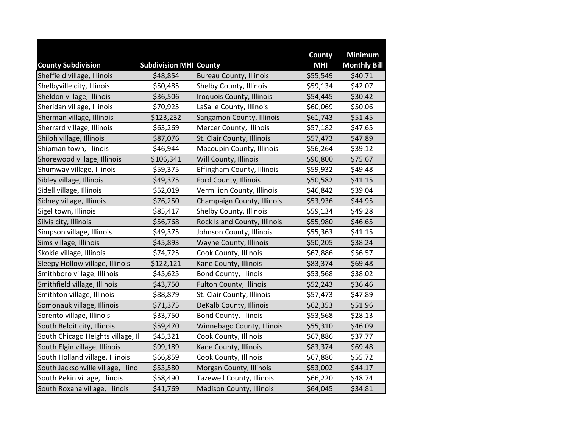|                                    |                               |                                 | County     | <b>Minimum</b>      |
|------------------------------------|-------------------------------|---------------------------------|------------|---------------------|
| <b>County Subdivision</b>          | <b>Subdivision MHI County</b> |                                 | <b>MHI</b> | <b>Monthly Bill</b> |
| Sheffield village, Illinois        | \$48,854                      | <b>Bureau County, Illinois</b>  | \$55,549   | \$40.71             |
| Shelbyville city, Illinois         | \$50,485                      | Shelby County, Illinois         | \$59,134   | \$42.07             |
| Sheldon village, Illinois          | \$36,506                      | Iroquois County, Illinois       | \$54,445   | \$30.42             |
| Sheridan village, Illinois         | \$70,925                      | LaSalle County, Illinois        | \$60,069   | \$50.06             |
| Sherman village, Illinois          | \$123,232                     | Sangamon County, Illinois       | \$61,743   | \$51.45             |
| Sherrard village, Illinois         | \$63,269                      | Mercer County, Illinois         | \$57,182   | \$47.65             |
| Shiloh village, Illinois           | \$87,076                      | St. Clair County, Illinois      | \$57,473   | \$47.89             |
| Shipman town, Illinois             | \$46,944                      | Macoupin County, Illinois       | \$56,264   | \$39.12             |
| Shorewood village, Illinois        | \$106,341                     | Will County, Illinois           | \$90,800   | \$75.67             |
| Shumway village, Illinois          | \$59,375                      | Effingham County, Illinois      | \$59,932   | \$49.48             |
| Sibley village, Illinois           | \$49,375                      | Ford County, Illinois           | \$50,582   | \$41.15             |
| Sidell village, Illinois           | \$52,019                      | Vermilion County, Illinois      | \$46,842   | \$39.04             |
| Sidney village, Illinois           | \$76,250                      | Champaign County, Illinois      | \$53,936   | \$44.95             |
| Sigel town, Illinois               | \$85,417                      | Shelby County, Illinois         | \$59,134   | \$49.28             |
| Silvis city, Illinois              | \$56,768                      | Rock Island County, Illinois    | \$55,980   | \$46.65             |
| Simpson village, Illinois          | \$49,375                      | Johnson County, Illinois        | \$55,363   | \$41.15             |
| Sims village, Illinois             | \$45,893                      | Wayne County, Illinois          | \$50,205   | \$38.24             |
| Skokie village, Illinois           | \$74,725                      | Cook County, Illinois           | \$67,886   | \$56.57             |
| Sleepy Hollow village, Illinois    | \$122,121                     | Kane County, Illinois           | \$83,374   | \$69.48             |
| Smithboro village, Illinois        | \$45,625                      | Bond County, Illinois           | \$53,568   | \$38.02             |
| Smithfield village, Illinois       | \$43,750                      | <b>Fulton County, Illinois</b>  | \$52,243   | \$36.46             |
| Smithton village, Illinois         | \$88,879                      | St. Clair County, Illinois      | \$57,473   | \$47.89             |
| Somonauk village, Illinois         | \$71,375                      | DeKalb County, Illinois         | \$62,353   | \$51.96             |
| Sorento village, Illinois          | \$33,750                      | <b>Bond County, Illinois</b>    | \$53,568   | \$28.13             |
| South Beloit city, Illinois        | \$59,470                      | Winnebago County, Illinois      | \$55,310   | \$46.09             |
| South Chicago Heights village, Il  | \$45,321                      | Cook County, Illinois           | \$67,886   | \$37.77             |
| South Elgin village, Illinois      | \$99,189                      | Kane County, Illinois           | \$83,374   | \$69.48             |
| South Holland village, Illinois    | \$66,859                      | Cook County, Illinois           | \$67,886   | \$55.72             |
| South Jacksonville village, Illino | \$53,580                      | Morgan County, Illinois         | \$53,002   | \$44.17             |
| South Pekin village, Illinois      | \$58,490                      | Tazewell County, Illinois       | \$66,220   | \$48.74             |
| South Roxana village, Illinois     | \$41,769                      | <b>Madison County, Illinois</b> | \$64,045   | \$34.81             |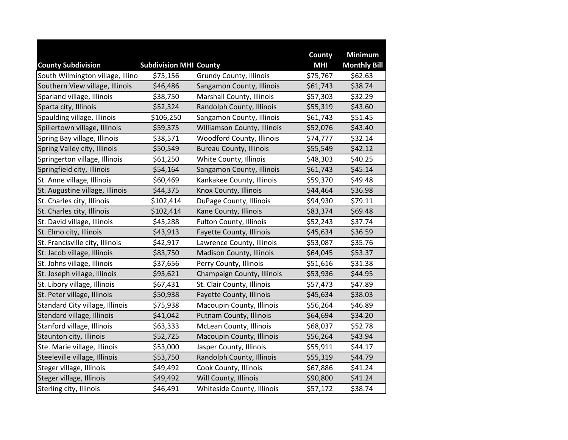|                                  |                               |                                  | County     | <b>Minimum</b>      |
|----------------------------------|-------------------------------|----------------------------------|------------|---------------------|
| <b>County Subdivision</b>        | <b>Subdivision MHI County</b> |                                  | <b>MHI</b> | <b>Monthly Bill</b> |
| South Wilmington village, Illino | \$75,156                      | Grundy County, Illinois          | \$75,767   | \$62.63             |
| Southern View village, Illinois  | \$46,486                      | Sangamon County, Illinois        | \$61,743   | \$38.74             |
| Sparland village, Illinois       | \$38,750                      | Marshall County, Illinois        | \$57,303   | \$32.29             |
| Sparta city, Illinois            | \$52,324                      | Randolph County, Illinois        | \$55,319   | \$43.60             |
| Spaulding village, Illinois      | \$106,250                     | Sangamon County, Illinois        | \$61,743   | \$51.45             |
| Spillertown village, Illinois    | \$59,375                      | Williamson County, Illinois      | \$52,076   | \$43.40             |
| Spring Bay village, Illinois     | \$38,571                      | <b>Woodford County, Illinois</b> | \$74,777   | \$32.14             |
| Spring Valley city, Illinois     | \$50,549                      | <b>Bureau County, Illinois</b>   | \$55,549   | \$42.12             |
| Springerton village, Illinois    | \$61,250                      | White County, Illinois           | \$48,303   | \$40.25             |
| Springfield city, Illinois       | \$54,164                      | Sangamon County, Illinois        | \$61,743   | \$45.14             |
| St. Anne village, Illinois       | \$60,469                      | Kankakee County, Illinois        | \$59,370   | \$49.48             |
| St. Augustine village, Illinois  | \$44,375                      | Knox County, Illinois            | \$44,464   | \$36.98             |
| St. Charles city, Illinois       | \$102,414                     | DuPage County, Illinois          | \$94,930   | \$79.11             |
| St. Charles city, Illinois       | \$102,414                     | Kane County, Illinois            | \$83,374   | \$69.48             |
| St. David village, Illinois      | \$45,288                      | Fulton County, Illinois          | \$52,243   | \$37.74             |
| St. Elmo city, Illinois          | \$43,913                      | Fayette County, Illinois         | \$45,634   | \$36.59             |
| St. Francisville city, Illinois  | \$42,917                      | Lawrence County, Illinois        | \$53,087   | \$35.76             |
| St. Jacob village, Illinois      | \$83,750                      | <b>Madison County, Illinois</b>  | \$64,045   | \$53.37             |
| St. Johns village, Illinois      | \$37,656                      | Perry County, Illinois           | \$51,616   | \$31.38             |
| St. Joseph village, Illinois     | \$93,621                      | Champaign County, Illinois       | \$53,936   | \$44.95             |
| St. Libory village, Illinois     | \$67,431                      | St. Clair County, Illinois       | \$57,473   | \$47.89             |
| St. Peter village, Illinois      | \$50,938                      | Fayette County, Illinois         | \$45,634   | \$38.03             |
| Standard City village, Illinois  | \$75,938                      | Macoupin County, Illinois        | \$56,264   | \$46.89             |
| Standard village, Illinois       | \$41,042                      | Putnam County, Illinois          | \$64,694   | \$34.20             |
| Stanford village, Illinois       | \$63,333                      | McLean County, Illinois          | \$68,037   | \$52.78             |
| Staunton city, Illinois          | \$52,725                      | Macoupin County, Illinois        | \$56,264   | \$43.94             |
| Ste. Marie village, Illinois     | \$53,000                      | Jasper County, Illinois          | \$55,911   | \$44.17             |
| Steeleville village, Illinois    | \$53,750                      | Randolph County, Illinois        | \$55,319   | \$44.79             |
| Steger village, Illinois         | \$49,492                      | Cook County, Illinois            | \$67,886   | \$41.24             |
| Steger village, Illinois         | \$49,492                      | Will County, Illinois            | \$90,800   | \$41.24             |
| Sterling city, Illinois          | \$46,491                      | Whiteside County, Illinois       | \$57,172   | \$38.74             |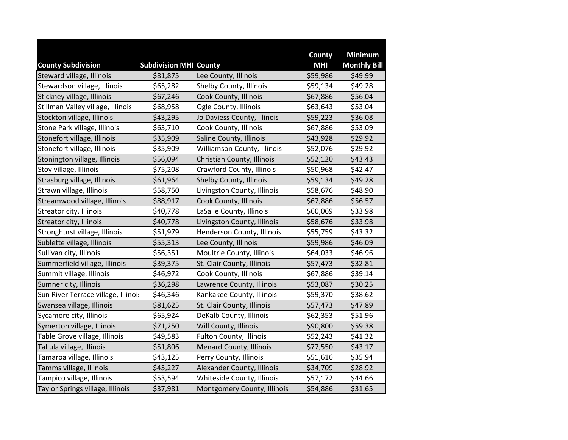|                                     |                               |                                | <b>County</b> | <b>Minimum</b>      |
|-------------------------------------|-------------------------------|--------------------------------|---------------|---------------------|
| <b>County Subdivision</b>           | <b>Subdivision MHI County</b> |                                | <b>MHI</b>    | <b>Monthly Bill</b> |
| Steward village, Illinois           | \$81,875                      | Lee County, Illinois           | \$59,986      | \$49.99             |
| Stewardson village, Illinois        | \$65,282                      | Shelby County, Illinois        | \$59,134      | \$49.28             |
| Stickney village, Illinois          | \$67,246                      | Cook County, Illinois          | \$67,886      | \$56.04             |
| Stillman Valley village, Illinois   | \$68,958                      | Ogle County, Illinois          | \$63,643      | \$53.04             |
| Stockton village, Illinois          | \$43,295                      | Jo Daviess County, Illinois    | \$59,223      | \$36.08             |
| Stone Park village, Illinois        | \$63,710                      | Cook County, Illinois          | \$67,886      | \$53.09             |
| Stonefort village, Illinois         | \$35,909                      | Saline County, Illinois        | \$43,928      | \$29.92             |
| Stonefort village, Illinois         | \$35,909                      | Williamson County, Illinois    | \$52,076      | \$29.92             |
| Stonington village, Illinois        | \$56,094                      | Christian County, Illinois     | \$52,120      | \$43.43             |
| Stoy village, Illinois              | \$75,208                      | Crawford County, Illinois      | \$50,968      | \$42.47             |
| Strasburg village, Illinois         | \$61,964                      | Shelby County, Illinois        | \$59,134      | \$49.28             |
| Strawn village, Illinois            | \$58,750                      | Livingston County, Illinois    | \$58,676      | \$48.90             |
| Streamwood village, Illinois        | \$88,917                      | Cook County, Illinois          | \$67,886      | \$56.57             |
| Streator city, Illinois             | \$40,778                      | LaSalle County, Illinois       | \$60,069      | \$33.98             |
| Streator city, Illinois             | \$40,778                      | Livingston County, Illinois    | \$58,676      | \$33.98             |
| Stronghurst village, Illinois       | \$51,979                      | Henderson County, Illinois     | \$55,759      | \$43.32             |
| Sublette village, Illinois          | \$55,313                      | Lee County, Illinois           | \$59,986      | \$46.09             |
| Sullivan city, Illinois             | \$56,351                      | Moultrie County, Illinois      | \$64,033      | \$46.96             |
| Summerfield village, Illinois       | \$39,375                      | St. Clair County, Illinois     | \$57,473      | \$32.81             |
| Summit village, Illinois            | \$46,972                      | Cook County, Illinois          | \$67,886      | \$39.14             |
| Sumner city, Illinois               | \$36,298                      | Lawrence County, Illinois      | \$53,087      | \$30.25             |
| Sun River Terrace village, Illinoi: | \$46,346                      | Kankakee County, Illinois      | \$59,370      | \$38.62             |
| Swansea village, Illinois           | \$81,625                      | St. Clair County, Illinois     | \$57,473      | \$47.89             |
| Sycamore city, Illinois             | \$65,924                      | DeKalb County, Illinois        | \$62,353      | \$51.96             |
| Symerton village, Illinois          | \$71,250                      | Will County, Illinois          | \$90,800      | \$59.38             |
| Table Grove village, Illinois       | \$49,583                      | Fulton County, Illinois        | \$52,243      | \$41.32             |
| Tallula village, Illinois           | \$51,806                      | <b>Menard County, Illinois</b> | \$77,550      | \$43.17             |
| Tamaroa village, Illinois           | \$43,125                      | Perry County, Illinois         | \$51,616      | \$35.94             |
| Tamms village, Illinois             | \$45,227                      | Alexander County, Illinois     | \$34,709      | \$28.92             |
| Tampico village, Illinois           | \$53,594                      | Whiteside County, Illinois     | \$57,172      | \$44.66             |
| Taylor Springs village, Illinois    | \$37,981                      | Montgomery County, Illinois    | \$54,886      | \$31.65             |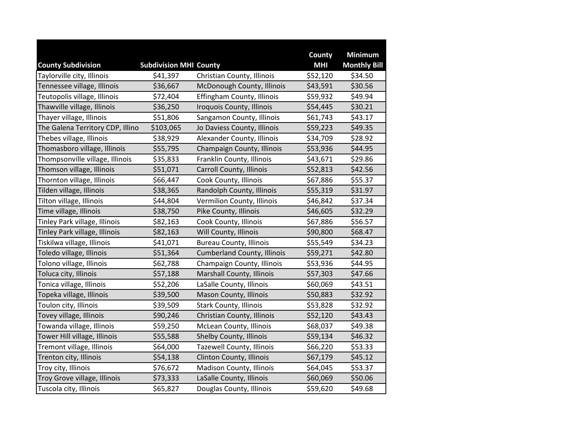|                                  |                               |                                    | County     | <b>Minimum</b>      |
|----------------------------------|-------------------------------|------------------------------------|------------|---------------------|
| <b>County Subdivision</b>        | <b>Subdivision MHI County</b> |                                    | <b>MHI</b> | <b>Monthly Bill</b> |
| Taylorville city, Illinois       | \$41,397                      | Christian County, Illinois         | \$52,120   | \$34.50             |
| Tennessee village, Illinois      | \$36,667                      | McDonough County, Illinois         | \$43,591   | \$30.56             |
| Teutopolis village, Illinois     | \$72,404                      | Effingham County, Illinois         | \$59,932   | \$49.94             |
| Thawville village, Illinois      | \$36,250                      | Iroquois County, Illinois          | \$54,445   | \$30.21             |
| Thayer village, Illinois         | \$51,806                      | Sangamon County, Illinois          | \$61,743   | \$43.17             |
| The Galena Territory CDP, Illino | \$103,065                     | Jo Daviess County, Illinois        | \$59,223   | \$49.35             |
| Thebes village, Illinois         | \$38,929                      | Alexander County, Illinois         | \$34,709   | \$28.92             |
| Thomasboro village, Illinois     | \$55,795                      | Champaign County, Illinois         | \$53,936   | \$44.95             |
| Thompsonville village, Illinois  | \$35,833                      | Franklin County, Illinois          | \$43,671   | \$29.86             |
| Thomson village, Illinois        | \$51,071                      | Carroll County, Illinois           | \$52,813   | \$42.56             |
| Thornton village, Illinois       | \$66,447                      | Cook County, Illinois              | \$67,886   | \$55.37             |
| Tilden village, Illinois         | \$38,365                      | Randolph County, Illinois          | \$55,319   | \$31.97             |
| Tilton village, Illinois         | \$44,804                      | Vermilion County, Illinois         | \$46,842   | \$37.34             |
| Time village, Illinois           | \$38,750                      | Pike County, Illinois              | \$46,605   | \$32.29             |
| Tinley Park village, Illinois    | \$82,163                      | Cook County, Illinois              | \$67,886   | \$56.57             |
| Tinley Park village, Illinois    | \$82,163                      | Will County, Illinois              | \$90,800   | \$68.47             |
| Tiskilwa village, Illinois       | \$41,071                      | <b>Bureau County, Illinois</b>     | \$55,549   | \$34.23             |
| Toledo village, Illinois         | \$51,364                      | <b>Cumberland County, Illinois</b> | \$59,271   | \$42.80             |
| Tolono village, Illinois         | \$62,788                      | Champaign County, Illinois         | \$53,936   | \$44.95             |
| Toluca city, Illinois            | \$57,188                      | Marshall County, Illinois          | \$57,303   | \$47.66             |
| Tonica village, Illinois         | \$52,206                      | LaSalle County, Illinois           | \$60,069   | \$43.51             |
| Topeka village, Illinois         | \$39,500                      | Mason County, Illinois             | \$50,883   | \$32.92             |
| Toulon city, Illinois            | \$39,509                      | Stark County, Illinois             | \$53,828   | \$32.92             |
| Tovey village, Illinois          | \$90,246                      | Christian County, Illinois         | \$52,120   | \$43.43             |
| Towanda village, Illinois        | \$59,250                      | McLean County, Illinois            | \$68,037   | \$49.38             |
| Tower Hill village, Illinois     | \$55,588                      | Shelby County, Illinois            | \$59,134   | \$46.32             |
| Tremont village, Illinois        | \$64,000                      | Tazewell County, Illinois          | \$66,220   | \$53.33             |
| Trenton city, Illinois           | \$54,138                      | Clinton County, Illinois           | \$67,179   | \$45.12             |
| Troy city, Illinois              | \$76,672                      | Madison County, Illinois           | \$64,045   | \$53.37             |
| Troy Grove village, Illinois     | \$73,333                      | LaSalle County, Illinois           | \$60,069   | \$50.06             |
| Tuscola city, Illinois           | \$65,827                      | Douglas County, Illinois           | \$59,620   | \$49.68             |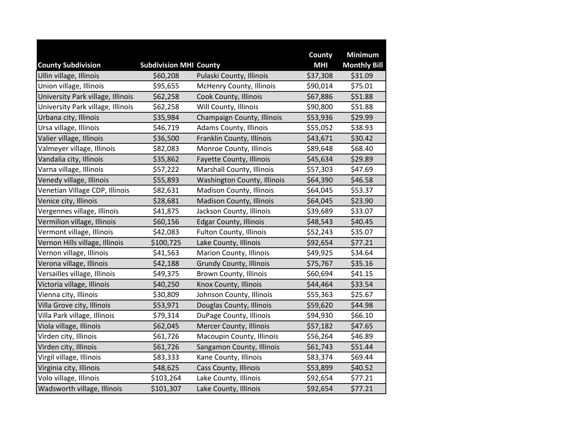|                                   |                               |                                | County     | <b>Minimum</b>      |
|-----------------------------------|-------------------------------|--------------------------------|------------|---------------------|
| <b>County Subdivision</b>         | <b>Subdivision MHI County</b> |                                | <b>MHI</b> | <b>Monthly Bill</b> |
| Ullin village, Illinois           | \$60,208                      | Pulaski County, Illinois       | \$37,308   | \$31.09             |
| Union village, Illinois           | \$95,655                      | McHenry County, Illinois       | \$90,014   | \$75.01             |
| University Park village, Illinois | \$62,258                      | Cook County, Illinois          | \$67,886   | \$51.88             |
| University Park village, Illinois | \$62,258                      | Will County, Illinois          | \$90,800   | \$51.88             |
| Urbana city, Illinois             | \$35,984                      | Champaign County, Illinois     | \$53,936   | \$29.99             |
| Ursa village, Illinois            | \$46,719                      | Adams County, Illinois         | \$55,052   | \$38.93             |
| Valier village, Illinois          | \$36,500                      | Franklin County, Illinois      | \$43,671   | \$30.42             |
| Valmeyer village, Illinois        | \$82,083                      | Monroe County, Illinois        | \$89,648   | \$68.40             |
| Vandalia city, Illinois           | \$35,862                      | Fayette County, Illinois       | \$45,634   | \$29.89             |
| Varna village, Illinois           | \$57,222                      | Marshall County, Illinois      | \$57,303   | \$47.69             |
| Venedy village, Illinois          | \$55,893                      | Washington County, Illinois    | \$64,390   | \$46.58             |
| Venetian Village CDP, Illinois    | \$82,631                      | Madison County, Illinois       | \$64,045   | \$53.37             |
| Venice city, Illinois             | \$28,681                      | Madison County, Illinois       | \$64,045   | \$23.90             |
| Vergennes village, Illinois       | \$41,875                      | Jackson County, Illinois       | \$39,689   | \$33.07             |
| Vermilion village, Illinois       | \$60,156                      | <b>Edgar County, Illinois</b>  | \$48,543   | \$40.45             |
| Vermont village, Illinois         | \$42,083                      | <b>Fulton County, Illinois</b> | \$52,243   | \$35.07             |
| Vernon Hills village, Illinois    | \$100,725                     | Lake County, Illinois          | \$92,654   | \$77.21             |
| Vernon village, Illinois          | \$41,563                      | Marion County, Illinois        | \$49,925   | \$34.64             |
| Verona village, Illinois          | \$42,188                      | <b>Grundy County, Illinois</b> | \$75,767   | \$35.16             |
| Versailles village, Illinois      | \$49,375                      | <b>Brown County, Illinois</b>  | \$60,694   | \$41.15             |
| Victoria village, Illinois        | \$40,250                      | Knox County, Illinois          | \$44,464   | \$33.54             |
| Vienna city, Illinois             | \$30,809                      | Johnson County, Illinois       | \$55,363   | \$25.67             |
| Villa Grove city, Illinois        | \$53,971                      | Douglas County, Illinois       | \$59,620   | \$44.98             |
| Villa Park village, Illinois      | \$79,314                      | DuPage County, Illinois        | \$94,930   | \$66.10             |
| Viola village, Illinois           | \$62,045                      | Mercer County, Illinois        | \$57,182   | \$47.65             |
| Virden city, Illinois             | \$61,726                      | Macoupin County, Illinois      | \$56,264   | \$46.89             |
| Virden city, Illinois             | \$61,726                      | Sangamon County, Illinois      | \$61,743   | \$51.44             |
| Virgil village, Illinois          | \$83,333                      | Kane County, Illinois          | \$83,374   | \$69.44             |
| Virginia city, Illinois           | \$48,625                      | Cass County, Illinois          | \$53,899   | \$40.52             |
| Volo village, Illinois            | \$103,264                     | Lake County, Illinois          | \$92,654   | \$77.21             |
| Wadsworth village, Illinois       | \$101,307                     | Lake County, Illinois          | \$92,654   | \$77.21             |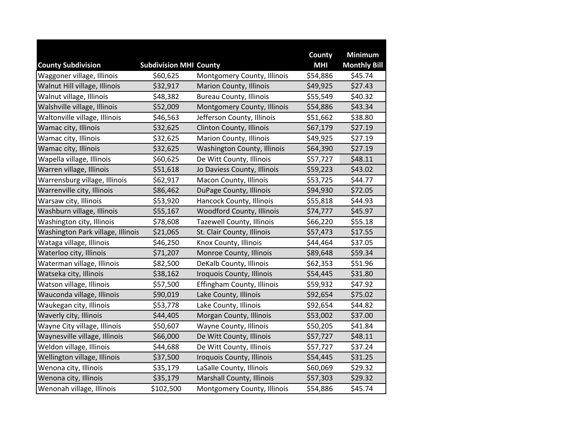|                                   |                               |                                | County     | <b>Minimum</b>      |
|-----------------------------------|-------------------------------|--------------------------------|------------|---------------------|
| <b>County Subdivision</b>         | <b>Subdivision MHI County</b> |                                | <b>MHI</b> | <b>Monthly Bill</b> |
| Waggoner village, Illinois        | \$60,625                      | Montgomery County, Illinois    | \$54,886   | \$45.74             |
| Walnut Hill village, Illinois     | \$32,917                      | <b>Marion County, Illinois</b> | \$49,925   | \$27.43             |
| Walnut village, Illinois          | \$48,382                      | <b>Bureau County, Illinois</b> | \$55,549   | \$40.32             |
| Walshville village, Illinois      | \$52,009                      | Montgomery County, Illinois    | \$54,886   | \$43.34             |
| Waltonville village, Illinois     | \$46,563                      | Jefferson County, Illinois     | \$51,662   | \$38.80             |
| Wamac city, Illinois              | \$32,625                      | Clinton County, Illinois       | \$67,179   | \$27.19             |
| Wamac city, Illinois              | \$32,625                      | Marion County, Illinois        | \$49,925   | \$27.19             |
| Wamac city, Illinois              | \$32,625                      | Washington County, Illinois    | \$64,390   | \$27.19             |
| Wapella village, Illinois         | \$60,625                      | De Witt County, Illinois       | \$57,727   | \$48.11             |
| Warren village, Illinois          | \$51,618                      | Jo Daviess County, Illinois    | \$59,223   | \$43.02             |
| Warrensburg village, Illinois     | \$62,917                      | Macon County, Illinois         | \$53,725   | \$44.77             |
| Warrenville city, Illinois        | \$86,462                      | DuPage County, Illinois        | \$94,930   | \$72.05             |
| Warsaw city, Illinois             | \$53,920                      | Hancock County, Illinois       | \$55,818   | \$44.93             |
| Washburn village, Illinois        | \$55,167                      | Woodford County, Illinois      | \$74,777   | \$45.97             |
| Washington city, Illinois         | \$78,608                      | Tazewell County, Illinois      | \$66,220   | \$55.18             |
| Washington Park village, Illinois | \$21,065                      | St. Clair County, Illinois     | \$57,473   | \$17.55             |
| Wataga village, Illinois          | \$46,250                      | Knox County, Illinois          | \$44,464   | \$37.05             |
| Waterloo city, Illinois           | \$71,207                      | Monroe County, Illinois        | \$89,648   | \$59.34             |
| Waterman village, Illinois        | \$82,500                      | DeKalb County, Illinois        | \$62,353   | \$51.96             |
| Watseka city, Illinois            | \$38,162                      | Iroquois County, Illinois      | \$54,445   | \$31.80             |
| Watson village, Illinois          | \$57,500                      | Effingham County, Illinois     | \$59,932   | \$47.92             |
| Wauconda village, Illinois        | \$90,019                      | Lake County, Illinois          | \$92,654   | \$75.02             |
| Waukegan city, Illinois           | \$53,778                      | Lake County, Illinois          | \$92,654   | \$44.82             |
| Waverly city, Illinois            | \$44,405                      | Morgan County, Illinois        | \$53,002   | \$37.00             |
| Wayne City village, Illinois      | \$50,607                      | Wayne County, Illinois         | \$50,205   | \$41.84             |
| Waynesville village, Illinois     | \$66,000                      | De Witt County, Illinois       | \$57,727   | \$48.11             |
| Weldon village, Illinois          | \$44,688                      | De Witt County, Illinois       | \$57,727   | \$37.24             |
| Wellington village, Illinois      | \$37,500                      | Iroquois County, Illinois      | \$54,445   | \$31.25             |
| Wenona city, Illinois             | \$35,179                      | LaSalle County, Illinois       | \$60,069   | \$29.32             |
| Wenona city, Illinois             | \$35,179                      | Marshall County, Illinois      | \$57,303   | \$29.32             |
| Wenonah village, Illinois         | \$102,500                     | Montgomery County, Illinois    | \$54,886   | \$45.74             |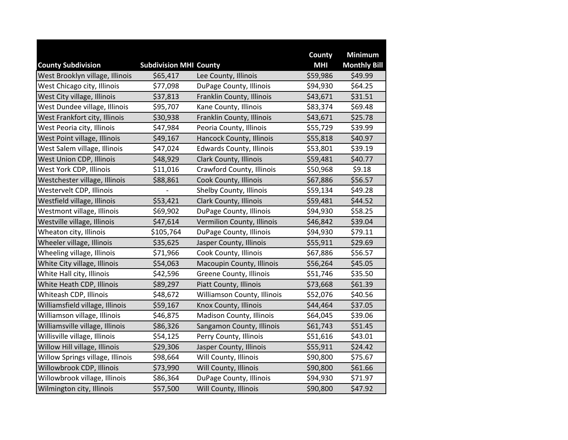|                                  |                               |                                 | County     | <b>Minimum</b>      |
|----------------------------------|-------------------------------|---------------------------------|------------|---------------------|
| <b>County Subdivision</b>        | <b>Subdivision MHI County</b> |                                 | <b>MHI</b> | <b>Monthly Bill</b> |
| West Brooklyn village, Illinois  | \$65,417                      | Lee County, Illinois            | \$59,986   | \$49.99             |
| West Chicago city, Illinois      | \$77,098                      | DuPage County, Illinois         | \$94,930   | \$64.25             |
| West City village, Illinois      | \$37,813                      | Franklin County, Illinois       | \$43,671   | \$31.51             |
| West Dundee village, Illinois    | \$95,707                      | Kane County, Illinois           | \$83,374   | \$69.48             |
| West Frankfort city, Illinois    | \$30,938                      | Franklin County, Illinois       | \$43,671   | \$25.78             |
| West Peoria city, Illinois       | \$47,984                      | Peoria County, Illinois         | \$55,729   | \$39.99             |
| West Point village, Illinois     | \$49,167                      | Hancock County, Illinois        | \$55,818   | \$40.97             |
| West Salem village, Illinois     | \$47,024                      | <b>Edwards County, Illinois</b> | \$53,801   | \$39.19             |
| West Union CDP, Illinois         | \$48,929                      | Clark County, Illinois          | \$59,481   | \$40.77             |
| West York CDP, Illinois          | \$11,016                      | Crawford County, Illinois       | \$50,968   | \$9.18              |
| Westchester village, Illinois    | \$88,861                      | Cook County, Illinois           | \$67,886   | \$56.57             |
| Westervelt CDP, Illinois         |                               | Shelby County, Illinois         | \$59,134   | \$49.28             |
| Westfield village, Illinois      | \$53,421                      | Clark County, Illinois          | \$59,481   | \$44.52             |
| Westmont village, Illinois       | \$69,902                      | DuPage County, Illinois         | \$94,930   | \$58.25             |
| Westville village, Illinois      | \$47,614                      | Vermilion County, Illinois      | \$46,842   | \$39.04             |
| Wheaton city, Illinois           | \$105,764                     | DuPage County, Illinois         | \$94,930   | \$79.11             |
| Wheeler village, Illinois        | \$35,625                      | Jasper County, Illinois         | \$55,911   | \$29.69             |
| Wheeling village, Illinois       | \$71,966                      | Cook County, Illinois           | \$67,886   | \$56.57             |
| White City village, Illinois     | \$54,063                      | Macoupin County, Illinois       | \$56,264   | \$45.05             |
| White Hall city, Illinois        | \$42,596                      | Greene County, Illinois         | \$51,746   | \$35.50             |
| White Heath CDP, Illinois        | \$89,297                      | Piatt County, Illinois          | \$73,668   | \$61.39             |
| Whiteash CDP, Illinois           | \$48,672                      | Williamson County, Illinois     | \$52,076   | \$40.56             |
| Williamsfield village, Illinois  | \$59,167                      | Knox County, Illinois           | \$44,464   | \$37.05             |
| Williamson village, Illinois     | \$46,875                      | Madison County, Illinois        | \$64,045   | \$39.06             |
| Williamsville village, Illinois  | \$86,326                      | Sangamon County, Illinois       | \$61,743   | \$51.45             |
| Willisville village, Illinois    | \$54,125                      | Perry County, Illinois          | \$51,616   | \$43.01             |
| Willow Hill village, Illinois    | \$29,306                      | Jasper County, Illinois         | \$55,911   | \$24.42             |
| Willow Springs village, Illinois | \$98,664                      | Will County, Illinois           | \$90,800   | \$75.67             |
| Willowbrook CDP, Illinois        | \$73,990                      | Will County, Illinois           | \$90,800   | \$61.66             |
| Willowbrook village, Illinois    | \$86,364                      | DuPage County, Illinois         | \$94,930   | \$71.97             |
| Wilmington city, Illinois        | \$57,500                      | Will County, Illinois           | \$90,800   | \$47.92             |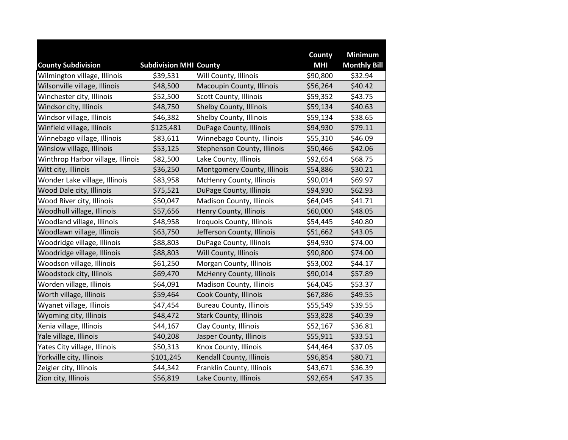|                                   |                               |                                | County     | <b>Minimum</b>      |
|-----------------------------------|-------------------------------|--------------------------------|------------|---------------------|
| <b>County Subdivision</b>         | <b>Subdivision MHI County</b> |                                | <b>MHI</b> | <b>Monthly Bill</b> |
| Wilmington village, Illinois      | \$39,531                      | Will County, Illinois          | \$90,800   | \$32.94             |
| Wilsonville village, Illinois     | \$48,500                      | Macoupin County, Illinois      | \$56,264   | \$40.42             |
| Winchester city, Illinois         | \$52,500                      | Scott County, Illinois         | \$59,352   | \$43.75             |
| Windsor city, Illinois            | \$48,750                      | Shelby County, Illinois        | \$59,134   | \$40.63             |
| Windsor village, Illinois         | \$46,382                      | Shelby County, Illinois        | \$59,134   | \$38.65             |
| Winfield village, Illinois        | \$125,481                     | DuPage County, Illinois        | \$94,930   | \$79.11             |
| Winnebago village, Illinois       | \$83,611                      | Winnebago County, Illinois     | \$55,310   | \$46.09             |
| Winslow village, Illinois         | \$53,125                      | Stephenson County, Illinois    | \$50,466   | \$42.06             |
| Winthrop Harbor village, Illinois | \$82,500                      | Lake County, Illinois          | \$92,654   | \$68.75             |
| Witt city, Illinois               | \$36,250                      | Montgomery County, Illinois    | \$54,886   | \$30.21             |
| Wonder Lake village, Illinois     | \$83,958                      | McHenry County, Illinois       | \$90,014   | \$69.97             |
| Wood Dale city, Illinois          | \$75,521                      | DuPage County, Illinois        | \$94,930   | \$62.93             |
| Wood River city, Illinois         | \$50,047                      | Madison County, Illinois       | \$64,045   | \$41.71             |
| Woodhull village, Illinois        | \$57,656                      | Henry County, Illinois         | \$60,000   | \$48.05             |
| Woodland village, Illinois        | \$48,958                      | Iroquois County, Illinois      | \$54,445   | \$40.80             |
| Woodlawn village, Illinois        | \$63,750                      | Jefferson County, Illinois     | \$51,662   | \$43.05             |
| Woodridge village, Illinois       | \$88,803                      | DuPage County, Illinois        | \$94,930   | \$74.00             |
| Woodridge village, Illinois       | \$88,803                      | Will County, Illinois          | \$90,800   | \$74.00             |
| Woodson village, Illinois         | \$61,250                      | Morgan County, Illinois        | \$53,002   | \$44.17             |
| Woodstock city, Illinois          | \$69,470                      | McHenry County, Illinois       | \$90,014   | \$57.89             |
| Worden village, Illinois          | \$64,091                      | Madison County, Illinois       | \$64,045   | \$53.37             |
| Worth village, Illinois           | \$59,464                      | Cook County, Illinois          | \$67,886   | \$49.55             |
| Wyanet village, Illinois          | \$47,454                      | <b>Bureau County, Illinois</b> | \$55,549   | \$39.55             |
| Wyoming city, Illinois            | \$48,472                      | <b>Stark County, Illinois</b>  | \$53,828   | \$40.39             |
| Xenia village, Illinois           | \$44,167                      | Clay County, Illinois          | \$52,167   | \$36.81             |
| Yale village, Illinois            | \$40,208                      | Jasper County, Illinois        | \$55,911   | \$33.51             |
| Yates City village, Illinois      | \$50,313                      | Knox County, Illinois          | \$44,464   | \$37.05             |
| Yorkville city, Illinois          | \$101,245                     | Kendall County, Illinois       | \$96,854   | \$80.71             |
| Zeigler city, Illinois            | \$44,342                      | Franklin County, Illinois      | \$43,671   | \$36.39             |
| Zion city, Illinois               | \$56,819                      | Lake County, Illinois          | \$92,654   | \$47.35             |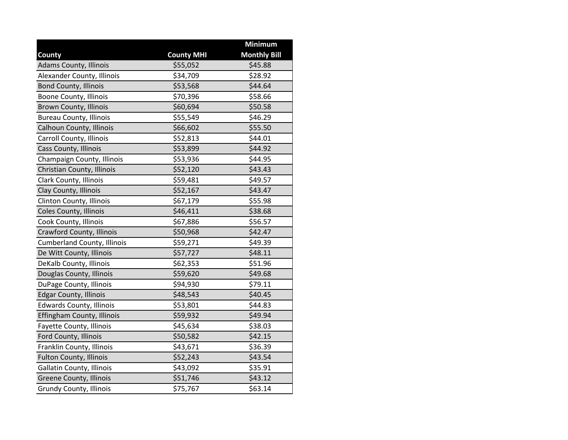|                                    |                   | Minimum             |
|------------------------------------|-------------------|---------------------|
| County                             | <b>County MHI</b> | <b>Monthly Bill</b> |
| <b>Adams County, Illinois</b>      | \$55,052          | \$45.88             |
| Alexander County, Illinois         | \$34,709          | \$28.92             |
| <b>Bond County, Illinois</b>       | \$53,568          | \$44.64             |
| Boone County, Illinois             | \$70,396          | \$58.66             |
| <b>Brown County, Illinois</b>      | \$60,694          | \$50.58             |
| <b>Bureau County, Illinois</b>     | \$55,549          | \$46.29             |
| Calhoun County, Illinois           | \$66,602          | \$55.50             |
| Carroll County, Illinois           | \$52,813          | \$44.01             |
| Cass County, Illinois              | \$53,899          | \$44.92             |
| Champaign County, Illinois         | \$53,936          | \$44.95             |
| Christian County, Illinois         | \$52,120          | \$43.43             |
| Clark County, Illinois             | \$59,481          | \$49.57             |
| Clay County, Illinois              | \$52,167          | \$43.47             |
| Clinton County, Illinois           | \$67,179          | \$55.98             |
| Coles County, Illinois             | \$46,411          | \$38.68             |
| Cook County, Illinois              | \$67,886          | \$56.57             |
| Crawford County, Illinois          | \$50,968          | \$42.47             |
| <b>Cumberland County, Illinois</b> | \$59,271          | \$49.39             |
| De Witt County, Illinois           | \$57,727          | \$48.11             |
| DeKalb County, Illinois            | \$62,353          | \$51.96             |
| Douglas County, Illinois           | \$59,620          | \$49.68             |
| DuPage County, Illinois            | \$94,930          | \$79.11             |
| <b>Edgar County, Illinois</b>      | \$48,543          | \$40.45             |
| <b>Edwards County, Illinois</b>    | \$53,801          | \$44.83             |
| Effingham County, Illinois         | \$59,932          | \$49.94             |
| Fayette County, Illinois           | \$45,634          | \$38.03             |
| Ford County, Illinois              | \$50,582          | \$42.15             |
| Franklin County, Illinois          | \$43,671          | \$36.39             |
| <b>Fulton County, Illinois</b>     | \$52,243          | \$43.54             |
| <b>Gallatin County, Illinois</b>   | \$43,092          | \$35.91             |
| Greene County, Illinois            | \$51,746          | \$43.12             |
| <b>Grundy County, Illinois</b>     | \$75,767          | \$63.14             |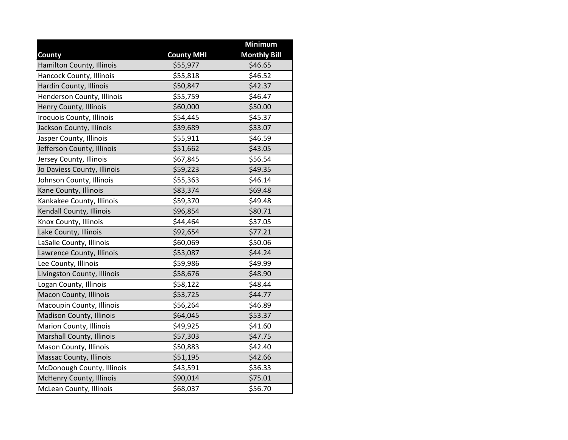|                             |                   | <b>Minimum</b>      |
|-----------------------------|-------------------|---------------------|
| County                      | <b>County MHI</b> | <b>Monthly Bill</b> |
| Hamilton County, Illinois   | \$55,977          | \$46.65             |
| Hancock County, Illinois    | \$55,818          | \$46.52             |
| Hardin County, Illinois     | \$50,847          | \$42.37             |
| Henderson County, Illinois  | \$55,759          | \$46.47             |
| Henry County, Illinois      | \$60,000          | \$50.00             |
| Iroquois County, Illinois   | \$54,445          | \$45.37             |
| Jackson County, Illinois    | \$39,689          | \$33.07             |
| Jasper County, Illinois     | \$55,911          | \$46.59             |
| Jefferson County, Illinois  | \$51,662          | \$43.05             |
| Jersey County, Illinois     | \$67,845          | \$56.54             |
| Jo Daviess County, Illinois | \$59,223          | \$49.35             |
| Johnson County, Illinois    | \$55,363          | \$46.14             |
| Kane County, Illinois       | \$83,374          | \$69.48             |
| Kankakee County, Illinois   | \$59,370          | \$49.48             |
| Kendall County, Illinois    | \$96,854          | \$80.71             |
| Knox County, Illinois       | \$44,464          | \$37.05             |
| Lake County, Illinois       | \$92,654          | \$77.21             |
| LaSalle County, Illinois    | \$60,069          | \$50.06             |
| Lawrence County, Illinois   | \$53,087          | \$44.24             |
| Lee County, Illinois        | \$59,986          | \$49.99             |
| Livingston County, Illinois | \$58,676          | \$48.90             |
| Logan County, Illinois      | \$58,122          | \$48.44             |
| Macon County, Illinois      | \$53,725          | \$44.77             |
| Macoupin County, Illinois   | \$56,264          | \$46.89             |
| Madison County, Illinois    | \$64,045          | \$53.37             |
| Marion County, Illinois     | \$49,925          | \$41.60             |
| Marshall County, Illinois   | \$57,303          | \$47.75             |
| Mason County, Illinois      | \$50,883          | \$42.40             |
| Massac County, Illinois     | \$51,195          | \$42.66             |
| McDonough County, Illinois  | \$43,591          | \$36.33             |
| McHenry County, Illinois    | \$90,014          | \$75.01             |
| McLean County, Illinois     | \$68,037          | \$56.70             |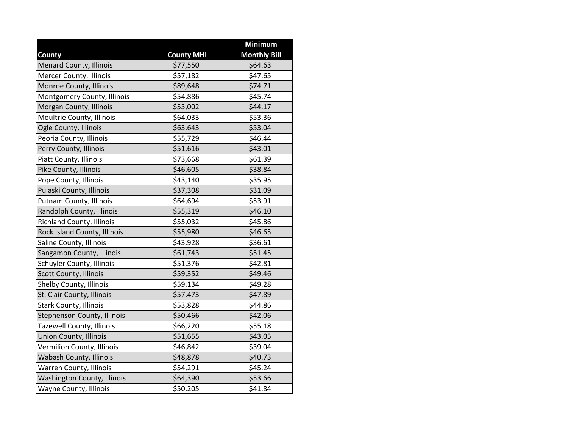|                                  |                   | Minimum             |
|----------------------------------|-------------------|---------------------|
| County                           | <b>County MHI</b> | <b>Monthly Bill</b> |
| <b>Menard County, Illinois</b>   | \$77,550          | \$64.63             |
| Mercer County, Illinois          | \$57,182          | \$47.65             |
| Monroe County, Illinois          | \$89,648          | \$74.71             |
| Montgomery County, Illinois      | \$54,886          | \$45.74             |
| Morgan County, Illinois          | \$53,002          | \$44.17             |
| Moultrie County, Illinois        | \$64,033          | \$53.36             |
| Ogle County, Illinois            | \$63,643          | \$53.04             |
| Peoria County, Illinois          | \$55,729          | \$46.44             |
| Perry County, Illinois           | \$51,616          | \$43.01             |
| Piatt County, Illinois           | \$73,668          | \$61.39             |
| Pike County, Illinois            | \$46,605          | \$38.84             |
| Pope County, Illinois            | \$43,140          | \$35.95             |
| Pulaski County, Illinois         | \$37,308          | \$31.09             |
| Putnam County, Illinois          | \$64,694          | \$53.91             |
| Randolph County, Illinois        | \$55,319          | \$46.10             |
| Richland County, Illinois        | \$55,032          | \$45.86             |
| Rock Island County, Illinois     | \$55,980          | \$46.65             |
| Saline County, Illinois          | \$43,928          | \$36.61             |
| Sangamon County, Illinois        | \$61,743          | \$51.45             |
| Schuyler County, Illinois        | \$51,376          | \$42.81             |
| Scott County, Illinois           | \$59,352          | \$49.46             |
| Shelby County, Illinois          | \$59,134          | \$49.28             |
| St. Clair County, Illinois       | \$57,473          | \$47.89             |
| Stark County, Illinois           | \$53,828          | \$44.86             |
| Stephenson County, Illinois      | \$50,466          | \$42.06             |
| <b>Tazewell County, Illinois</b> | \$66,220          | \$55.18             |
| Union County, Illinois           | \$51,655          | \$43.05             |
| Vermilion County, Illinois       | \$46,842          | \$39.04             |
| Wabash County, Illinois          | \$48,878          | \$40.73             |
| Warren County, Illinois          | \$54,291          | \$45.24             |
| Washington County, Illinois      | \$64,390          | \$53.66             |
| Wayne County, Illinois           | \$50,205          | \$41.84             |